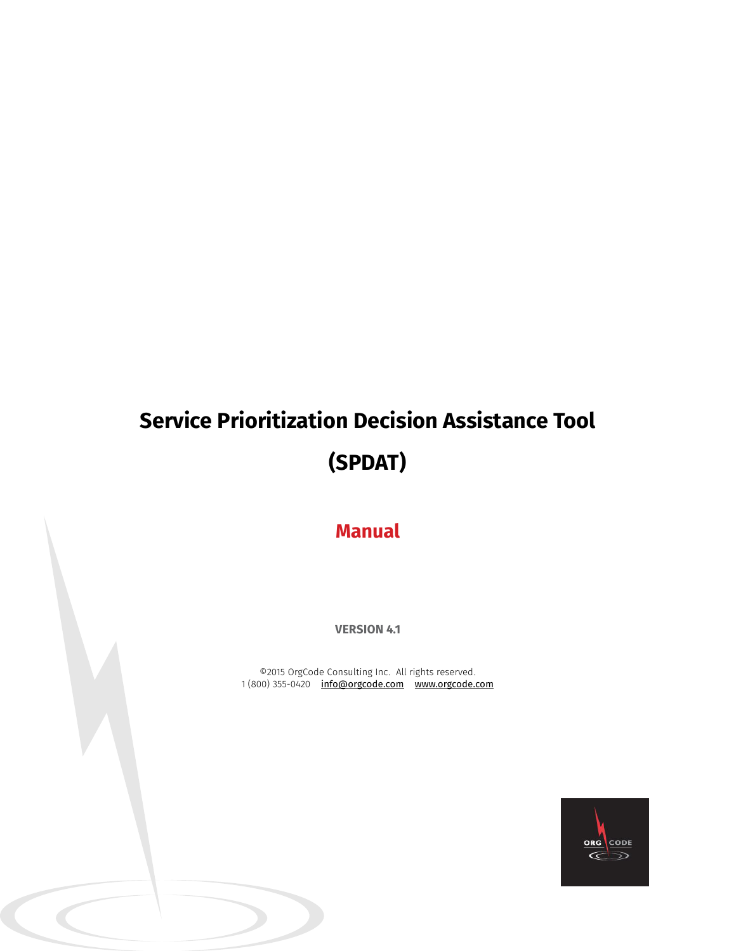# **Service Prioritization Decision Assistance Tool (SPDAT)**

**Manual**

**VERSION 4.1**

©2015 OrgCode Consulting Inc. All rights reserved. 1 (800) 355-0420 <u>info@orgcode.com</u> <u>www.orgcode.com</u>

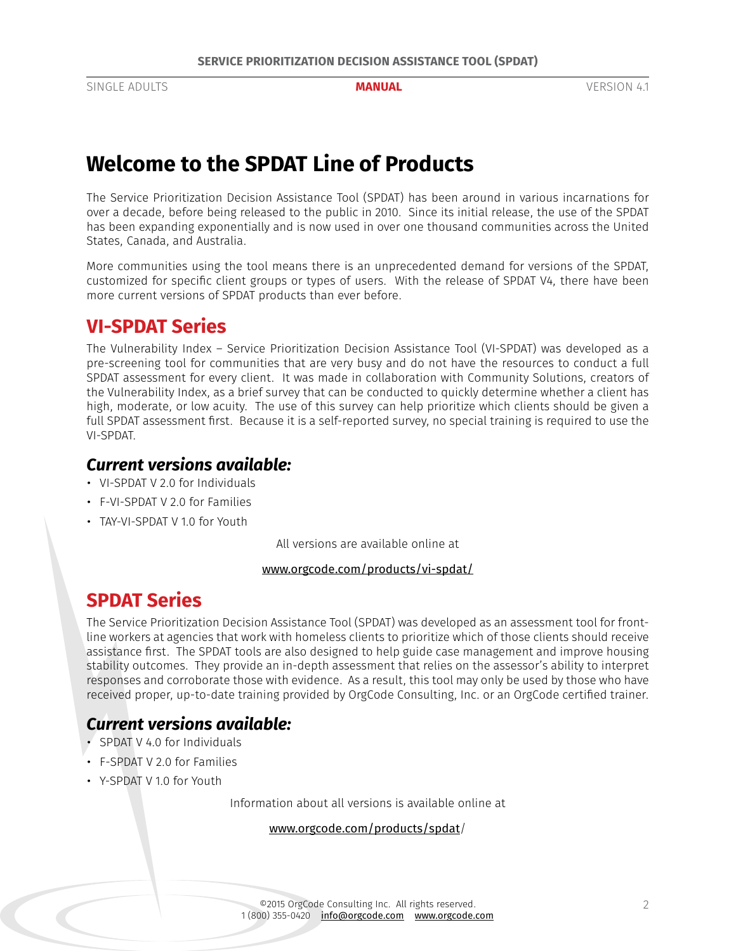# **Welcome to the SPDAT Line of Products**

The Service Prioritization Decision Assistance Tool (SPDAT) has been around in various incarnations for over a decade, before being released to the public in 2010. Since its initial release, the use of the SPDAT has been expanding exponentially and is now used in over one thousand communities across the United States, Canada, and Australia.

More communities using the tool means there is an unprecedented demand for versions of the SPDAT, customized for specific client groups or types of users. With the release of SPDAT V4, there have been more current versions of SPDAT products than ever before.

# **VI-SPDAT Series**

The Vulnerability Index – Service Prioritization Decision Assistance Tool (VI-SPDAT) was developed as a pre-screening tool for communities that are very busy and do not have the resources to conduct a full SPDAT assessment for every client. It was made in collaboration with Community Solutions, creators of the Vulnerability Index, as a brief survey that can be conducted to quickly determine whether a client has high, moderate, or low acuity. The use of this survey can help prioritize which clients should be given a full SPDAT assessment first. Because it is a self-reported survey, no special training is required to use the VI-SPDAT.

# *Current versions available:*

- VI-SPDAT V 2.0 for Individuals
- F-VI-SPDAT V 2.0 for Families
- TAY-VI-SPDAT V 1.0 for Youth

All versions are available online at

#### www.orgcode.com/products/vi-spdat/

# **SPDAT Series**

The Service Prioritization Decision Assistance Tool (SPDAT) was developed as an assessment tool for frontline workers at agencies that work with homeless clients to prioritize which of those clients should receive assistance first. The SPDAT tools are also designed to help guide case management and improve housing stability outcomes. They provide an in-depth assessment that relies on the assessor's ability to interpret responses and corroborate those with evidence. As a result, this tool may only be used by those who have received proper, up-to-date training provided by OrgCode Consulting, Inc. or an OrgCode certified trainer.

# *Current versions available:*

- SPDAT V 4.0 for Individuals
- F-SPDAT V 2.0 for Families
- Y-SPDAT V 1.0 for Youth

Information about all versions is available online at

#### www.orgcode.com/products/spdat/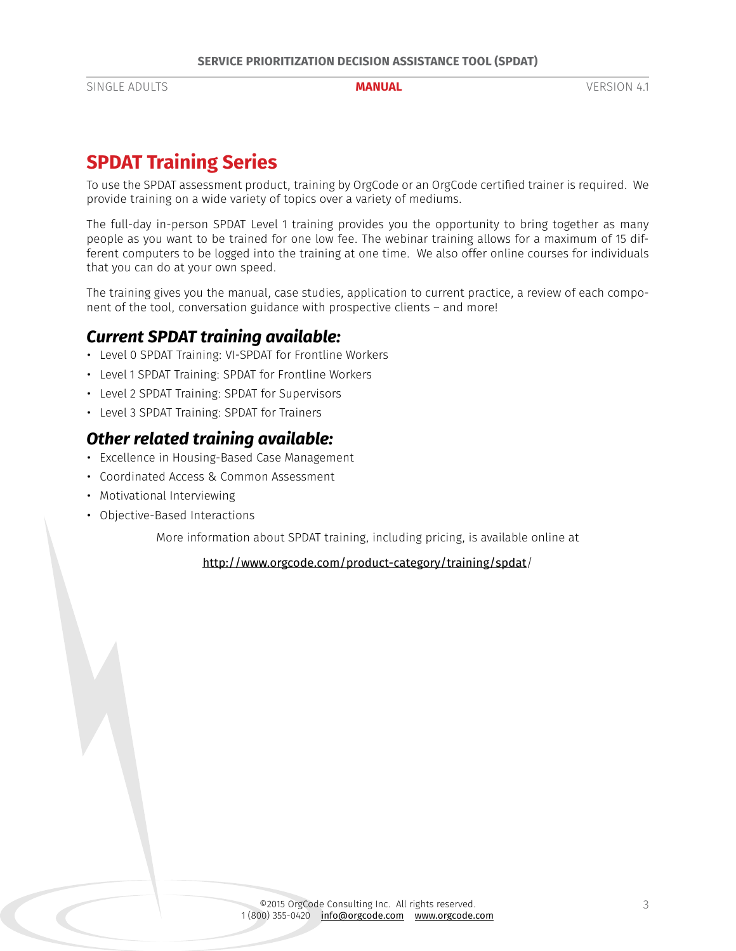# **SPDAT Training Series**

To use the SPDAT assessment product, training by OrgCode or an OrgCode certified trainer is required. We provide training on a wide variety of topics over a variety of mediums.

The full-day in-person SPDAT Level 1 training provides you the opportunity to bring together as many people as you want to be trained for one low fee. The webinar training allows for a maximum of 15 different computers to be logged into the training at one time. We also offer online courses for individuals that you can do at your own speed.

The training gives you the manual, case studies, application to current practice, a review of each component of the tool, conversation guidance with prospective clients – and more!

## *Current SPDAT training available:*

- Level 0 SPDAT Training: VI-SPDAT for Frontline Workers
- Level 1 SPDAT Training: SPDAT for Frontline Workers
- Level 2 SPDAT Training: SPDAT for Supervisors
- Level 3 SPDAT Training: SPDAT for Trainers

## *Other related training available:*

- Excellence in Housing-Based Case Management
- Coordinated Access & Common Assessment
- Motivational Interviewing
- Objective-Based Interactions

More information about SPDAT training, including pricing, is available online at

http://www.orgcode.com/product-category/training/spdat/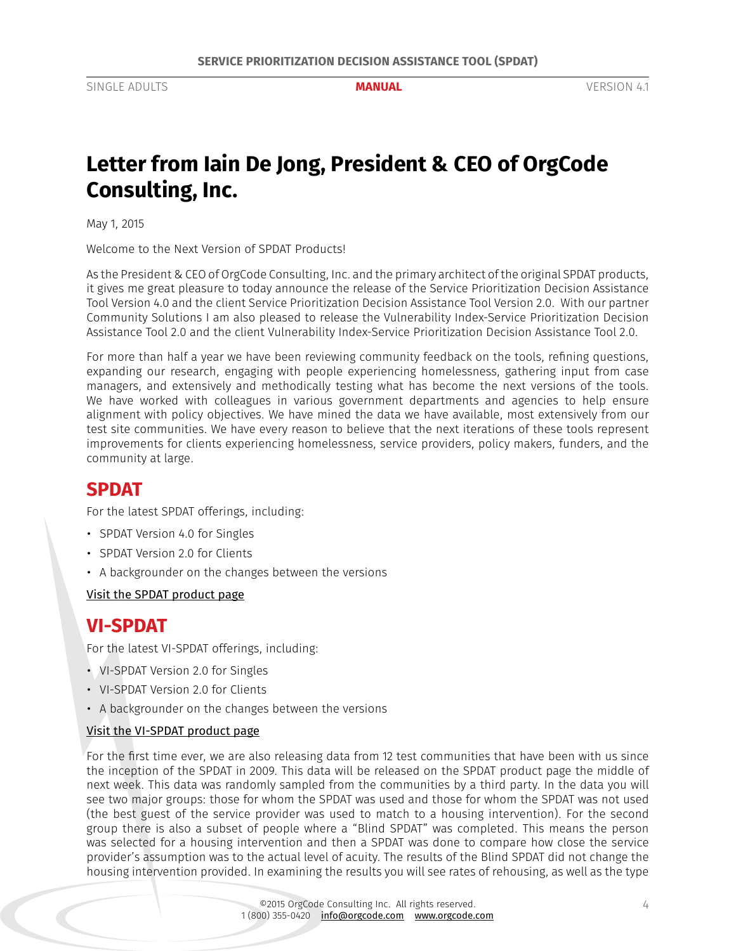# <span id="page-3-0"></span>**Letter from Iain De Jong, President & CEO of OrgCode Consulting, Inc.**

May 1, 2015

Welcome to the Next Version of SPDAT Products!

As the President & CEO of OrgCode Consulting, Inc. and the primary architect of the original SPDAT products, it gives me great pleasure to today announce the release of the Service Prioritization Decision Assistance Tool Version 4.0 and the client Service Prioritization Decision Assistance Tool Version 2.0. With our partner Community Solutions I am also pleased to release the Vulnerability Index-Service Prioritization Decision Assistance Tool 2.0 and the client Vulnerability Index-Service Prioritization Decision Assistance Tool 2.0.

For more than half a year we have been reviewing community feedback on the tools, refining questions, expanding our research, engaging with people experiencing homelessness, gathering input from case managers, and extensively and methodically testing what has become the next versions of the tools. We have worked with colleagues in various government departments and agencies to help ensure alignment with policy objectives. We have mined the data we have available, most extensively from our test site communities. We have every reason to believe that the next iterations of these tools represent improvements for clients experiencing homelessness, service providers, policy makers, funders, and the community at large.

# **SPDAT**

For the latest SPDAT offerings, including:

- SPDAT Version 4.0 for Singles
- SPDAT Version 2.0 for Clients
- A backgrounder on the changes between the versions

[Visit the SPDAT product page](http://www.orgcode.com/product/spdat/)

# **VI-SPDAT**

For the latest VI-SPDAT offerings, including:

- VI-SPDAT Version 2.0 for Singles
- VI-SPDAT Version 2.0 for Clients
- A backgrounder on the changes between the versions

#### [Visit the VI-SPDAT product page](http://www.orgcode.com/product/vi-spdat/)

For the first time ever, we are also releasing data from 12 test communities that have been with us since the inception of the SPDAT in 2009. This data will be released on the SPDAT product page the middle of next week. This data was randomly sampled from the communities by a third party. In the data you will see two major groups: those for whom the SPDAT was used and those for whom the SPDAT was not used (the best guest of the service provider was used to match to a housing intervention). For the second group there is also a subset of people where a "Blind SPDAT" was completed. This means the person was selected for a housing intervention and then a SPDAT was done to compare how close the service provider's assumption was to the actual level of acuity. The results of the Blind SPDAT did not change the housing intervention provided. In examining the results you will see rates of rehousing, as well as the type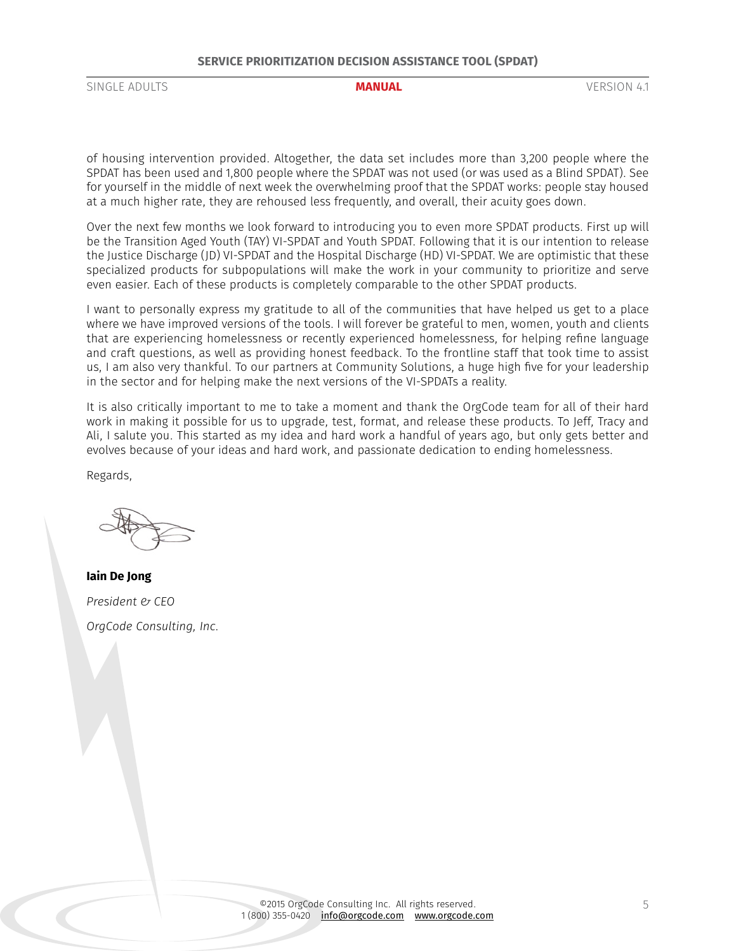#### **SERVICE PRIORITIZATION DECISION ASSISTANCE TOOL (SPDAT)**

SINGLE ADULTS **MANUAL** VERSION 4.1

of housing intervention provided. Altogether, the data set includes more than 3,200 people where the SPDAT has been used and 1,800 people where the SPDAT was not used (or was used as a Blind SPDAT). See for yourself in the middle of next week the overwhelming proof that the SPDAT works: people stay housed at a much higher rate, they are rehoused less frequently, and overall, their acuity goes down.

Over the next few months we look forward to introducing you to even more SPDAT products. First up will be the Transition Aged Youth (TAY) VI-SPDAT and Youth SPDAT. Following that it is our intention to release the Justice Discharge (JD) VI-SPDAT and the Hospital Discharge (HD) VI-SPDAT. We are optimistic that these specialized products for subpopulations will make the work in your community to prioritize and serve even easier. Each of these products is completely comparable to the other SPDAT products.

I want to personally express my gratitude to all of the communities that have helped us get to a place where we have improved versions of the tools. I will forever be grateful to men, women, youth and clients that are experiencing homelessness or recently experienced homelessness, for helping refine language and craft questions, as well as providing honest feedback. To the frontline staff that took time to assist us, I am also very thankful. To our partners at Community Solutions, a huge high five for your leadership in the sector and for helping make the next versions of the VI-SPDATs a reality.

It is also critically important to me to take a moment and thank the OrgCode team for all of their hard work in making it possible for us to upgrade, test, format, and release these products. To Jeff, Tracy and Ali, I salute you. This started as my idea and hard work a handful of years ago, but only gets better and evolves because of your ideas and hard work, and passionate dedication to ending homelessness.

Regards,

**Iain De Jong** *President & CEO OrgCode Consulting, Inc.*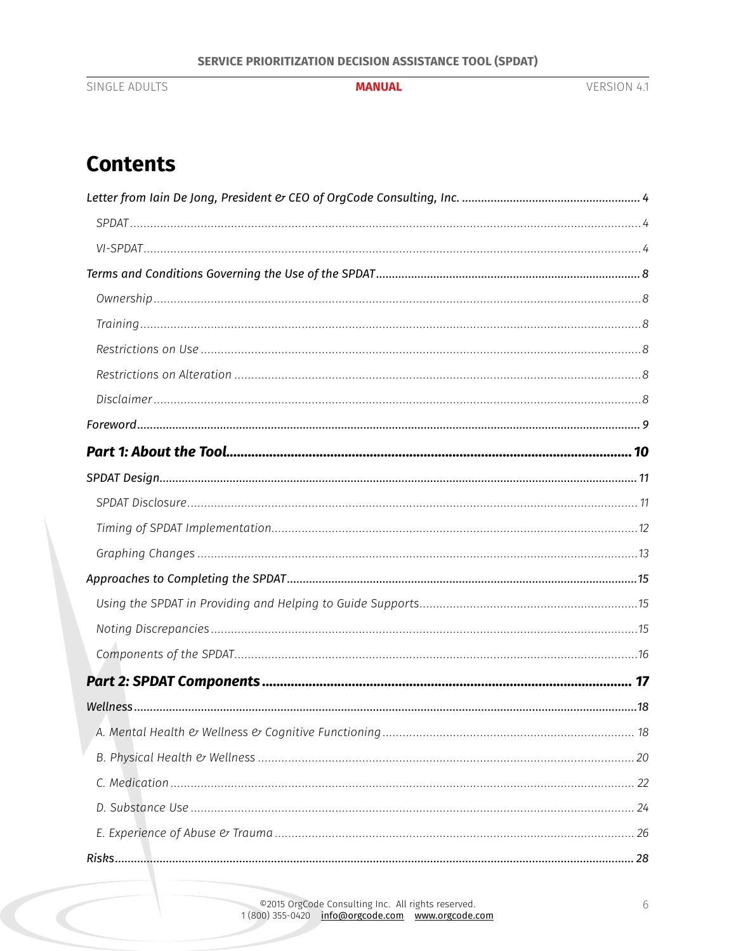SINGLE ADULTS

#### **MANUAL**

# **Contents**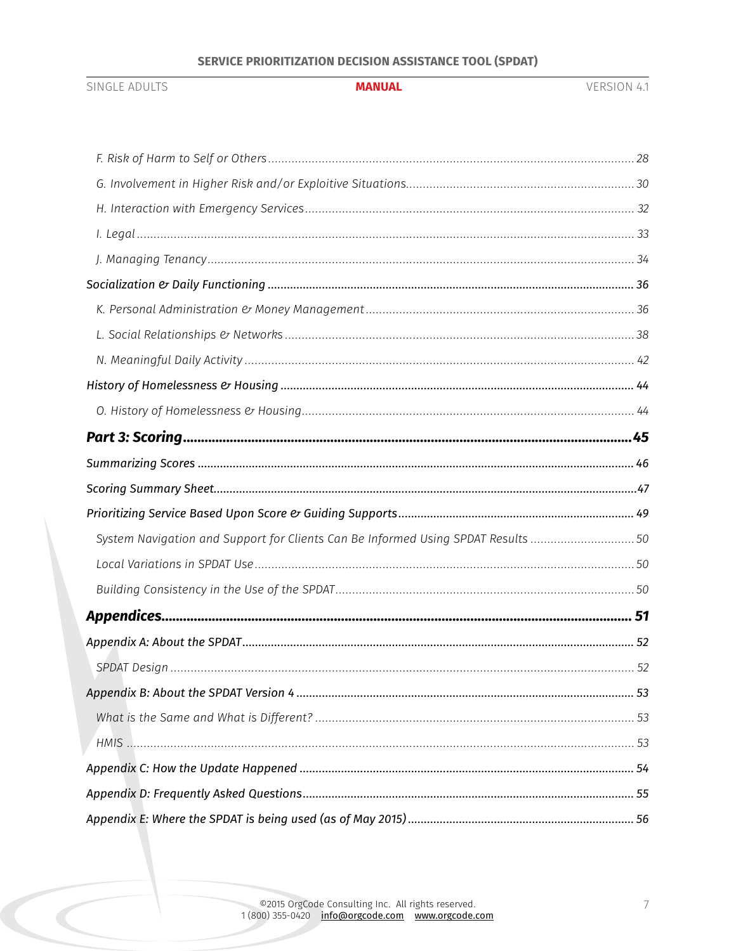### SERVICE PRIORITIZATION DECISION ASSISTANCE TOOL (SPDAT)

#### **MANUAL**

SINGLE ADULTS

| System Navigation and Support for Clients Can Be Informed Using SPDAT Results50 |
|---------------------------------------------------------------------------------|
|                                                                                 |
|                                                                                 |
|                                                                                 |
|                                                                                 |
|                                                                                 |
|                                                                                 |
|                                                                                 |
| HMIS NARROW 153                                                                 |
|                                                                                 |
|                                                                                 |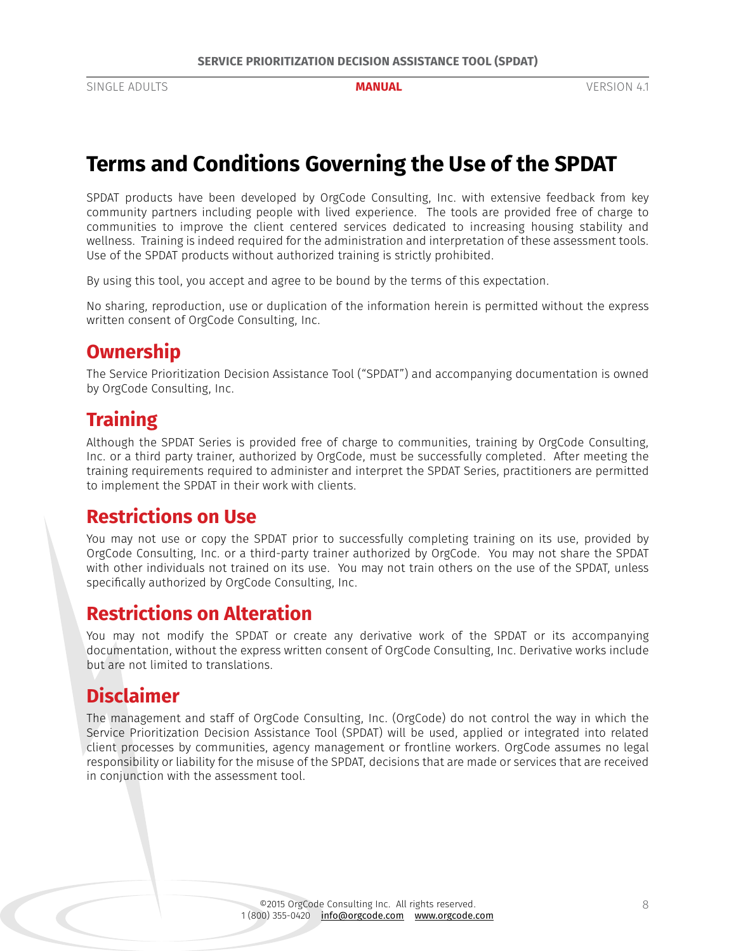# <span id="page-7-0"></span>**Terms and Conditions Governing the Use of the SPDAT**

SPDAT products have been developed by OrgCode Consulting, Inc. with extensive feedback from key community partners including people with lived experience. The tools are provided free of charge to communities to improve the client centered services dedicated to increasing housing stability and wellness. Training is indeed required for the administration and interpretation of these assessment tools. Use of the SPDAT products without authorized training is strictly prohibited.

By using this tool, you accept and agree to be bound by the terms of this expectation.

No sharing, reproduction, use or duplication of the information herein is permitted without the express written consent of OrgCode Consulting, Inc.

# **Ownership**

The Service Prioritization Decision Assistance Tool ("SPDAT") and accompanying documentation is owned by OrgCode Consulting, Inc.

# **Training**

Although the SPDAT Series is provided free of charge to communities, training by OrgCode Consulting, Inc. or a third party trainer, authorized by OrgCode, must be successfully completed. After meeting the training requirements required to administer and interpret the SPDAT Series, practitioners are permitted to implement the SPDAT in their work with clients.

# **Restrictions on Use**

You may not use or copy the SPDAT prior to successfully completing training on its use, provided by OrgCode Consulting, Inc. or a third-party trainer authorized by OrgCode. You may not share the SPDAT with other individuals not trained on its use. You may not train others on the use of the SPDAT, unless specifically authorized by OrgCode Consulting, Inc.

# **Restrictions on Alteration**

You may not modify the SPDAT or create any derivative work of the SPDAT or its accompanying documentation, without the express written consent of OrgCode Consulting, Inc. Derivative works include but are not limited to translations.

# **Disclaimer**

The management and staff of OrgCode Consulting, Inc. (OrgCode) do not control the way in which the Service Prioritization Decision Assistance Tool (SPDAT) will be used, applied or integrated into related client processes by communities, agency management or frontline workers. OrgCode assumes no legal responsibility or liability for the misuse of the SPDAT, decisions that are made or services that are received in conjunction with the assessment tool.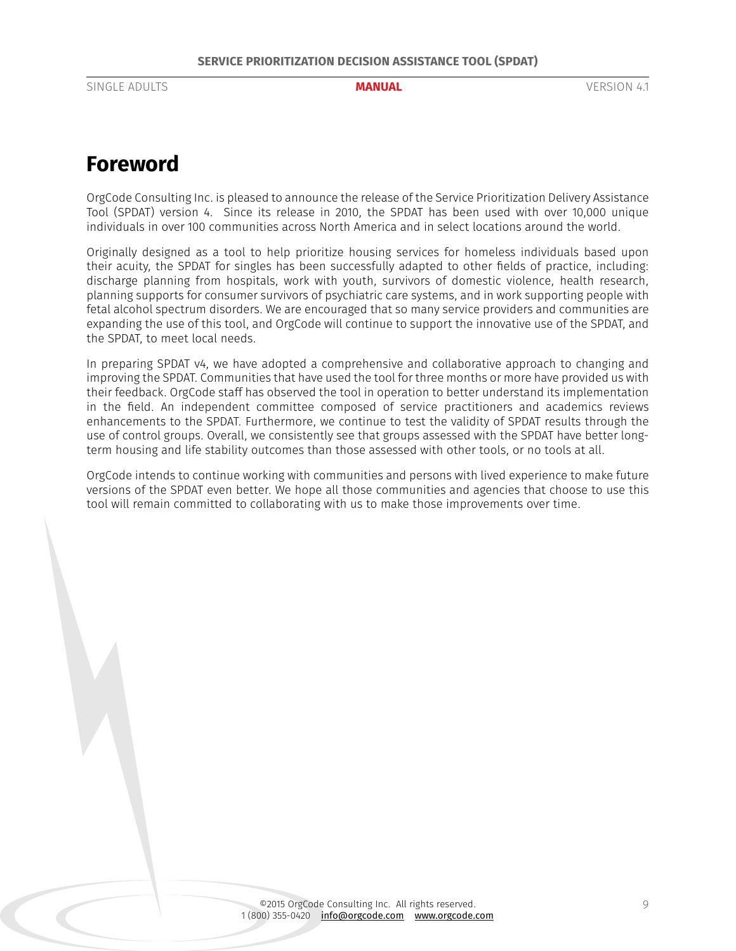# <span id="page-8-0"></span>**Foreword**

OrgCode Consulting Inc. is pleased to announce the release of the Service Prioritization Delivery Assistance Tool (SPDAT) version 4. Since its release in 2010, the SPDAT has been used with over 10,000 unique individuals in over 100 communities across North America and in select locations around the world.

Originally designed as a tool to help prioritize housing services for homeless individuals based upon their acuity, the SPDAT for singles has been successfully adapted to other fields of practice, including: discharge planning from hospitals, work with youth, survivors of domestic violence, health research, planning supports for consumer survivors of psychiatric care systems, and in work supporting people with fetal alcohol spectrum disorders. We are encouraged that so many service providers and communities are expanding the use of this tool, and OrgCode will continue to support the innovative use of the SPDAT, and the SPDAT, to meet local needs.

In preparing SPDAT v4, we have adopted a comprehensive and collaborative approach to changing and improving the SPDAT. Communities that have used the tool for three months or more have provided us with their feedback. OrgCode staff has observed the tool in operation to better understand its implementation in the field. An independent committee composed of service practitioners and academics reviews enhancements to the SPDAT. Furthermore, we continue to test the validity of SPDAT results through the use of control groups. Overall, we consistently see that groups assessed with the SPDAT have better longterm housing and life stability outcomes than those assessed with other tools, or no tools at all.

OrgCode intends to continue working with communities and persons with lived experience to make future versions of the SPDAT even better. We hope all those communities and agencies that choose to use this tool will remain committed to collaborating with us to make those improvements over time.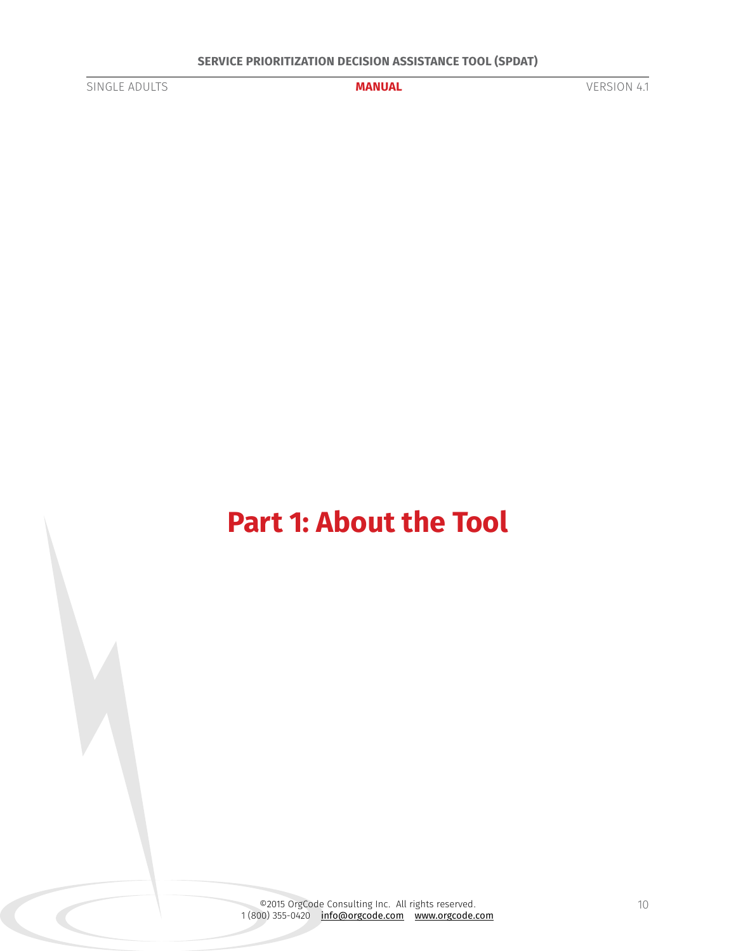<span id="page-9-0"></span>

# **Part 1: About the Tool**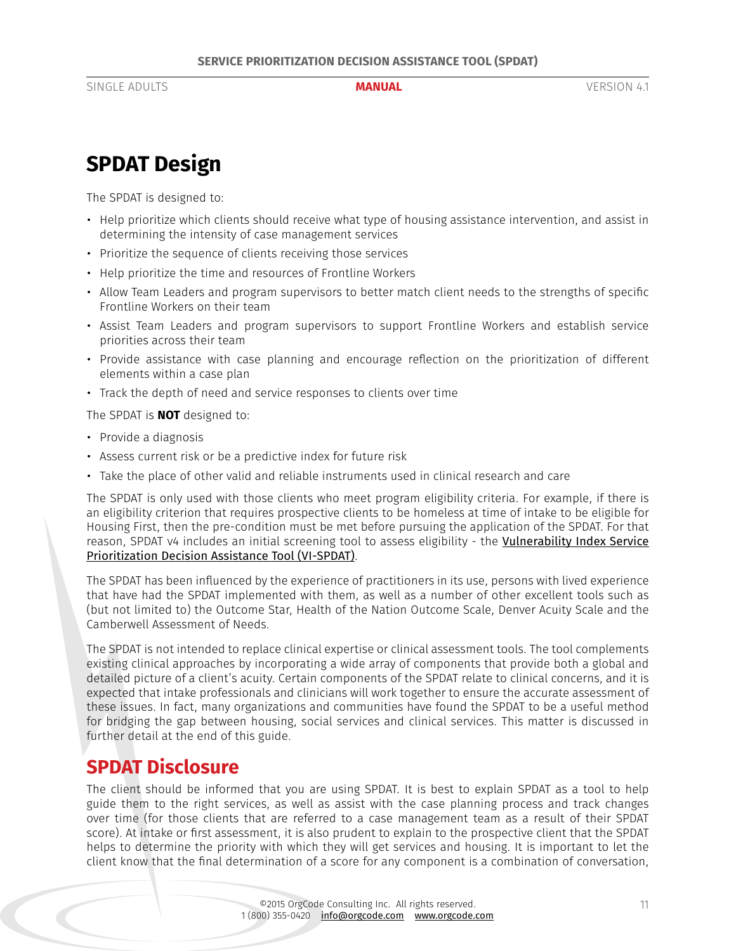# <span id="page-10-0"></span>**SPDAT Design**

The SPDAT is designed to:

- Help prioritize which clients should receive what type of housing assistance intervention, and assist in determining the intensity of case management services
- Prioritize the sequence of clients receiving those services
- Help prioritize the time and resources of Frontline Workers
- Allow Team Leaders and program supervisors to better match client needs to the strengths of specific Frontline Workers on their team
- Assist Team Leaders and program supervisors to support Frontline Workers and establish service priorities across their team
- Provide assistance with case planning and encourage reflection on the prioritization of different elements within a case plan
- Track the depth of need and service responses to clients over time

The SPDAT is **NOT** designed to:

- Provide a diagnosis
- Assess current risk or be a predictive index for future risk
- Take the place of other valid and reliable instruments used in clinical research and care

The SPDAT is only used with those clients who meet program eligibility criteria. For example, if there is an eligibility criterion that requires prospective clients to be homeless at time of intake to be eligible for Housing First, then the pre-condition must be met before pursuing the application of the SPDAT. For that reason, SPDAT v4 includes an initial screening tool to assess eligibility - the Vulnerability Index Service [Prioritization Decision Assistance Tool \(VI-SPDAT\)](http://www.orgcode.com/product/vi-spdat/).

The SPDAT has been influenced by the experience of practitioners in its use, persons with lived experience that have had the SPDAT implemented with them, as well as a number of other excellent tools such as (but not limited to) the Outcome Star, Health of the Nation Outcome Scale, Denver Acuity Scale and the Camberwell Assessment of Needs.

The SPDAT is not intended to replace clinical expertise or clinical assessment tools. The tool complements existing clinical approaches by incorporating a wide array of components that provide both a global and detailed picture of a client's acuity. Certain components of the SPDAT relate to clinical concerns, and it is expected that intake professionals and clinicians will work together to ensure the accurate assessment of these issues. In fact, many organizations and communities have found the SPDAT to be a useful method for bridging the gap between housing, social services and clinical services. This matter is discussed in further detail at the end of this guide.

# **SPDAT Disclosure**

The client should be informed that you are using SPDAT. It is best to explain SPDAT as a tool to help guide them to the right services, as well as assist with the case planning process and track changes over time (for those clients that are referred to a case management team as a result of their SPDAT score). At intake or first assessment, it is also prudent to explain to the prospective client that the SPDAT helps to determine the priority with which they will get services and housing. It is important to let the client know that the final determination of a score for any component is a combination of conversation,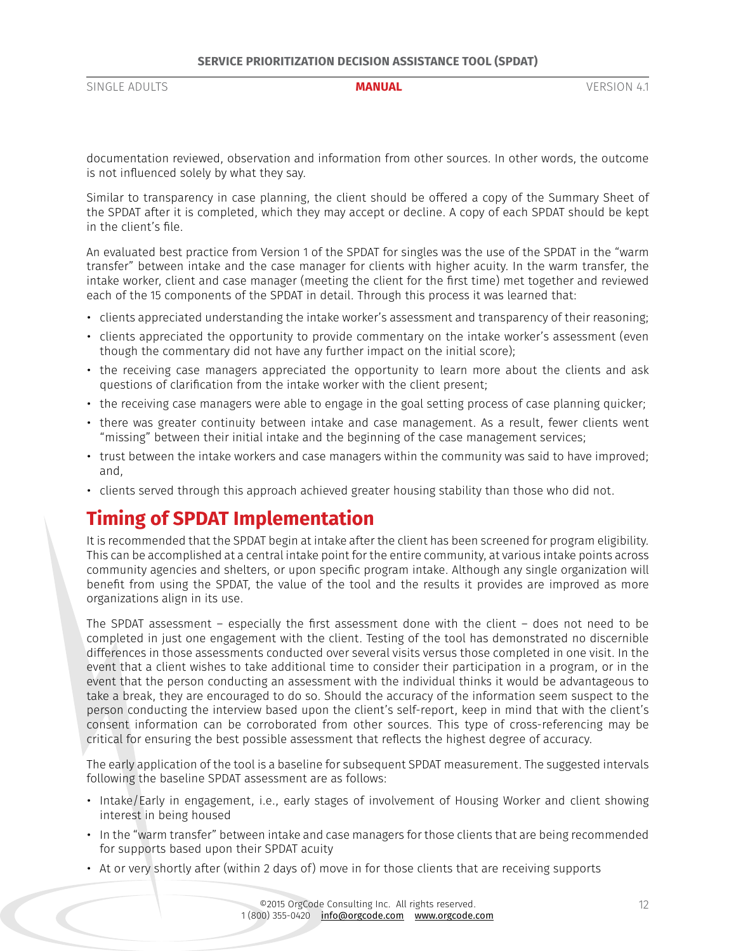<span id="page-11-0"></span>documentation reviewed, observation and information from other sources. In other words, the outcome is not influenced solely by what they say.

Similar to transparency in case planning, the client should be offered a copy of the Summary Sheet of the SPDAT after it is completed, which they may accept or decline. A copy of each SPDAT should be kept in the client's file.

An evaluated best practice from Version 1 of the SPDAT for singles was the use of the SPDAT in the "warm transfer" between intake and the case manager for clients with higher acuity. In the warm transfer, the intake worker, client and case manager (meeting the client for the first time) met together and reviewed each of the 15 components of the SPDAT in detail. Through this process it was learned that:

- clients appreciated understanding the intake worker's assessment and transparency of their reasoning;
- clients appreciated the opportunity to provide commentary on the intake worker's assessment (even though the commentary did not have any further impact on the initial score);
- the receiving case managers appreciated the opportunity to learn more about the clients and ask questions of clarification from the intake worker with the client present;
- the receiving case managers were able to engage in the goal setting process of case planning quicker;
- there was greater continuity between intake and case management. As a result, fewer clients went "missing" between their initial intake and the beginning of the case management services;
- trust between the intake workers and case managers within the community was said to have improved; and,
- clients served through this approach achieved greater housing stability than those who did not.

# **Timing of SPDAT Implementation**

It is recommended that the SPDAT begin at intake after the client has been screened for program eligibility. This can be accomplished at a central intake point for the entire community, at various intake points across community agencies and shelters, or upon specific program intake. Although any single organization will benefit from using the SPDAT, the value of the tool and the results it provides are improved as more organizations align in its use.

The SPDAT assessment – especially the first assessment done with the client – does not need to be completed in just one engagement with the client. Testing of the tool has demonstrated no discernible differences in those assessments conducted over several visits versus those completed in one visit. In the event that a client wishes to take additional time to consider their participation in a program, or in the event that the person conducting an assessment with the individual thinks it would be advantageous to take a break, they are encouraged to do so. Should the accuracy of the information seem suspect to the person conducting the interview based upon the client's self-report, keep in mind that with the client's consent information can be corroborated from other sources. This type of cross-referencing may be critical for ensuring the best possible assessment that reflects the highest degree of accuracy.

The early application of the tool is a baseline for subsequent SPDAT measurement. The suggested intervals following the baseline SPDAT assessment are as follows:

- Intake/Early in engagement, i.e., early stages of involvement of Housing Worker and client showing interest in being housed
- In the "warm transfer" between intake and case managers for those clients that are being recommended for supports based upon their SPDAT acuity
- At or very shortly after (within 2 days of) move in for those clients that are receiving supports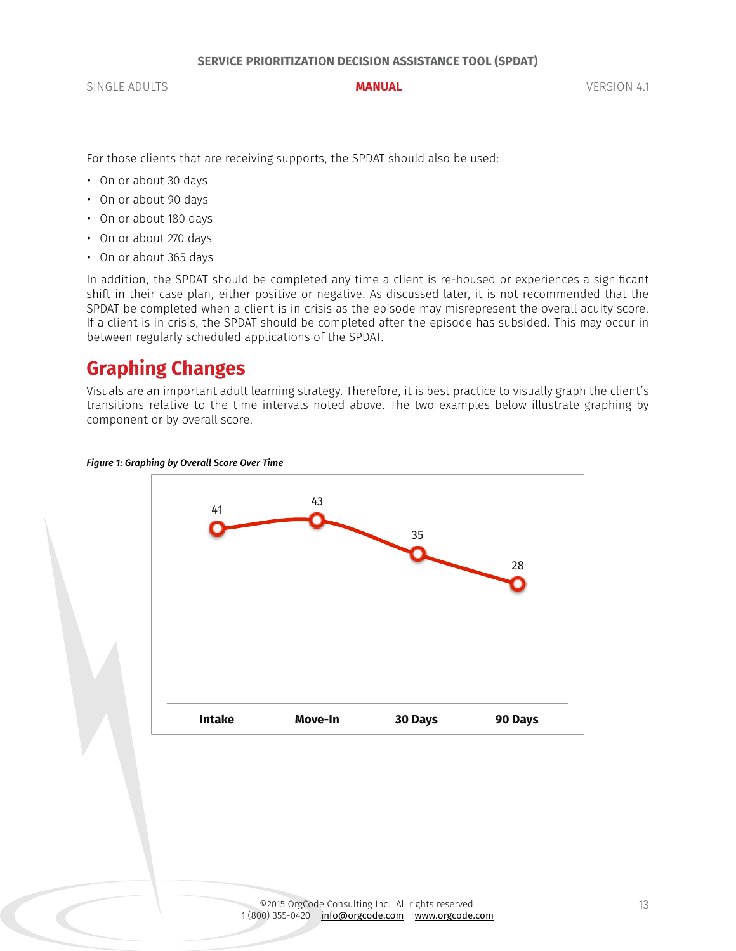<span id="page-12-0"></span>For those clients that are receiving supports, the SPDAT should also be used:

- On or about 30 days
- On or about 90 days
- On or about 180 days
- On or about 270 days
- On or about 365 days

In addition, the SPDAT should be completed any time a client is re-housed or experiences a significant shift in their case plan, either positive or negative. As discussed later, it is not recommended that the SPDAT be completed when a client is in crisis as the episode may misrepresent the overall acuity score. If a client is in crisis, the SPDAT should be completed after the episode has subsided. This may occur in between regularly scheduled applications of the SPDAT.

# **Graphing Changes**

Visuals are an important adult learning strategy. Therefore, it is best practice to visually graph the client's transitions relative to the time intervals noted above. The two examples below illustrate graphing by component or by overall score.



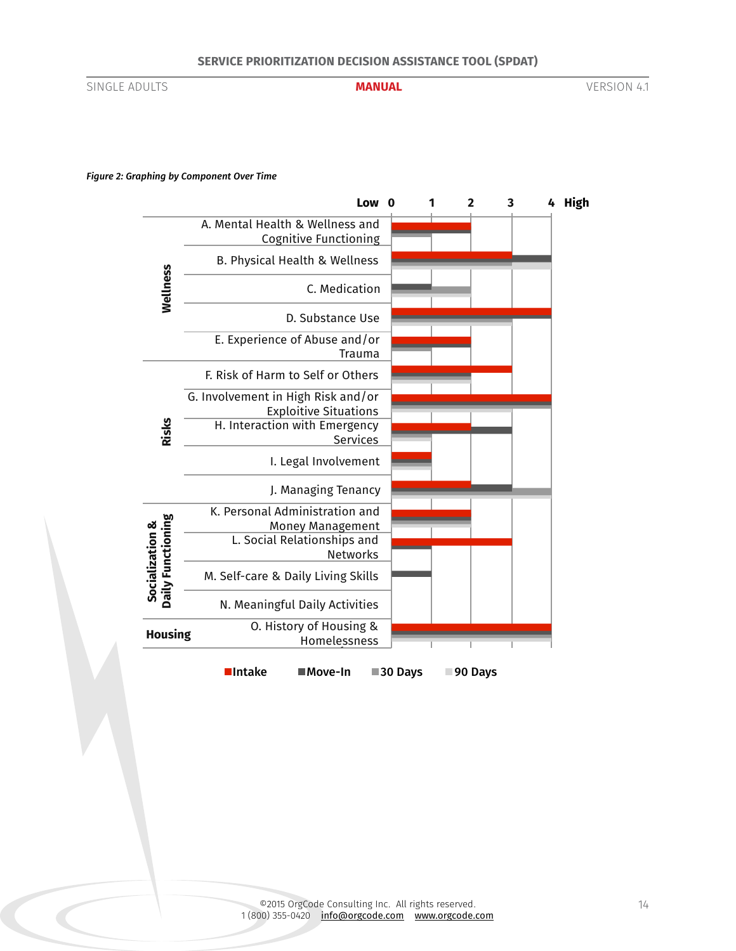**MANUAL** 

SINGLE ADULTS **MANUAL** VERSION 4.1

#### *Figure 2: Graphing by Component Over Time*



14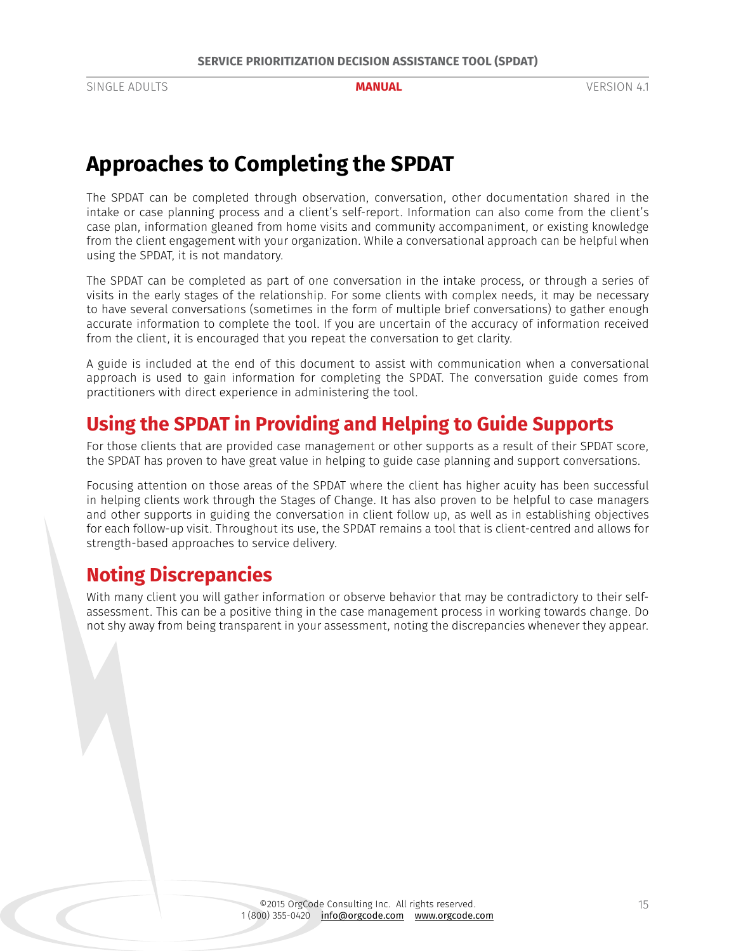# <span id="page-14-0"></span>**Approaches to Completing the SPDAT**

The SPDAT can be completed through observation, conversation, other documentation shared in the intake or case planning process and a client's self-report. Information can also come from the client's case plan, information gleaned from home visits and community accompaniment, or existing knowledge from the client engagement with your organization. While a conversational approach can be helpful when using the SPDAT, it is not mandatory.

The SPDAT can be completed as part of one conversation in the intake process, or through a series of visits in the early stages of the relationship. For some clients with complex needs, it may be necessary to have several conversations (sometimes in the form of multiple brief conversations) to gather enough accurate information to complete the tool. If you are uncertain of the accuracy of information received from the client, it is encouraged that you repeat the conversation to get clarity.

A guide is included at the end of this document to assist with communication when a conversational approach is used to gain information for completing the SPDAT. The conversation guide comes from practitioners with direct experience in administering the tool.

# **Using the SPDAT in Providing and Helping to Guide Supports**

For those clients that are provided case management or other supports as a result of their SPDAT score, the SPDAT has proven to have great value in helping to guide case planning and support conversations.

Focusing attention on those areas of the SPDAT where the client has higher acuity has been successful in helping clients work through the Stages of Change. It has also proven to be helpful to case managers and other supports in guiding the conversation in client follow up, as well as in establishing objectives for each follow-up visit. Throughout its use, the SPDAT remains a tool that is client-centred and allows for strength-based approaches to service delivery.

# **Noting Discrepancies**

With many client you will gather information or observe behavior that may be contradictory to their selfassessment. This can be a positive thing in the case management process in working towards change. Do not shy away from being transparent in your assessment, noting the discrepancies whenever they appear.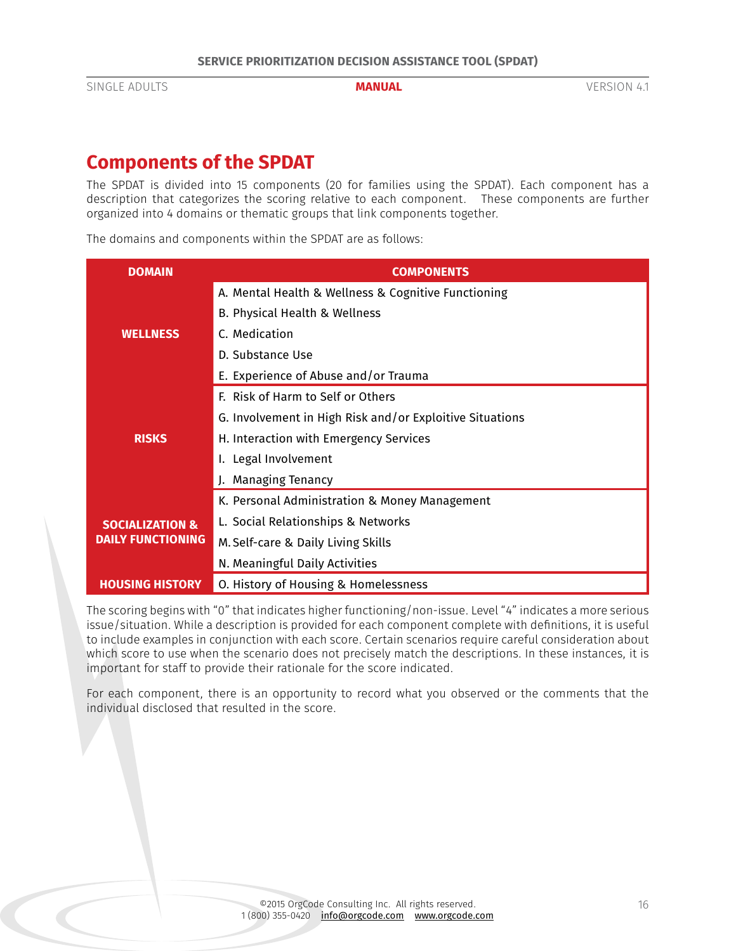# <span id="page-15-0"></span>**Components of the SPDAT**

The SPDAT is divided into 15 components (20 for families using the SPDAT). Each component has a description that categorizes the scoring relative to each component. These components are further organized into 4 domains or thematic groups that link components together.

The domains and components within the SPDAT are as follows:

| <b>DOMAIN</b>              | <b>COMPONENTS</b>                                        |  |  |
|----------------------------|----------------------------------------------------------|--|--|
|                            | A. Mental Health & Wellness & Cognitive Functioning      |  |  |
|                            | B. Physical Health & Wellness                            |  |  |
| <b>WELLNESS</b>            | C. Medication                                            |  |  |
|                            | D. Substance Use                                         |  |  |
|                            | E. Experience of Abuse and/or Trauma                     |  |  |
|                            | F. Risk of Harm to Self or Others                        |  |  |
|                            | G. Involvement in High Risk and/or Exploitive Situations |  |  |
| <b>RISKS</b>               | H. Interaction with Emergency Services                   |  |  |
|                            | I. Legal Involvement                                     |  |  |
|                            | J. Managing Tenancy                                      |  |  |
|                            | K. Personal Administration & Money Management            |  |  |
| <b>SOCIALIZATION &amp;</b> | L. Social Relationships & Networks                       |  |  |
| <b>DAILY FUNCTIONING</b>   | M. Self-care & Daily Living Skills                       |  |  |
|                            | N. Meaningful Daily Activities                           |  |  |
| <b>HOUSING HISTORY</b>     | O. History of Housing & Homelessness                     |  |  |

The scoring begins with "0" that indicates higher functioning/non-issue. Level "4" indicates a more serious issue/situation. While a description is provided for each component complete with definitions, it is useful to include examples in conjunction with each score. Certain scenarios require careful consideration about which score to use when the scenario does not precisely match the descriptions. In these instances, it is important for staff to provide their rationale for the score indicated.

For each component, there is an opportunity to record what you observed or the comments that the individual disclosed that resulted in the score.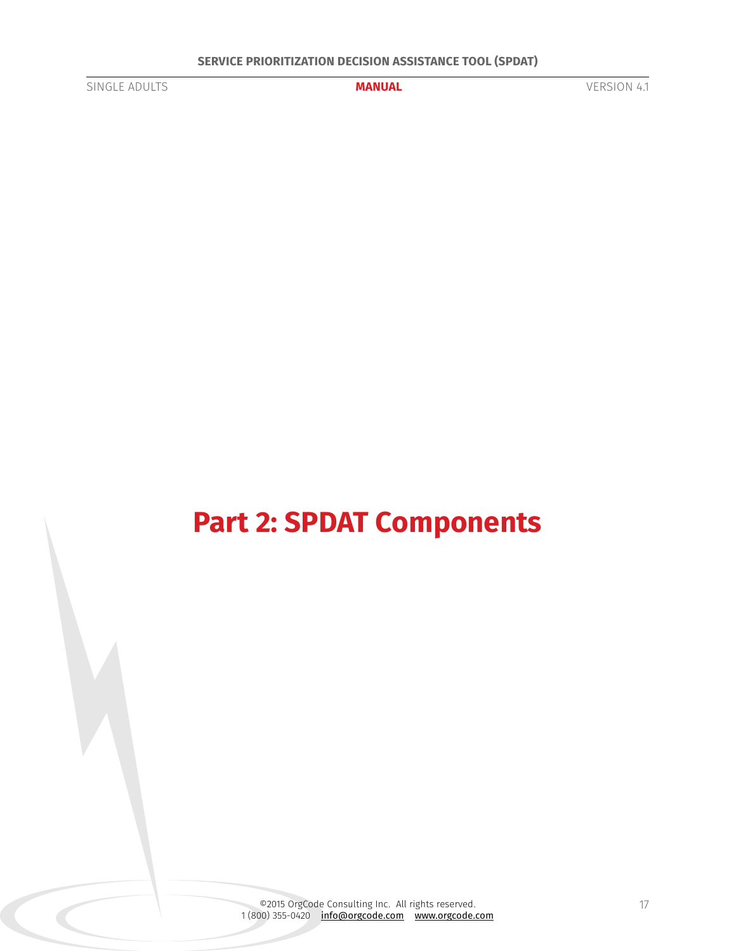<span id="page-16-0"></span>

# **Part 2: SPDAT Components**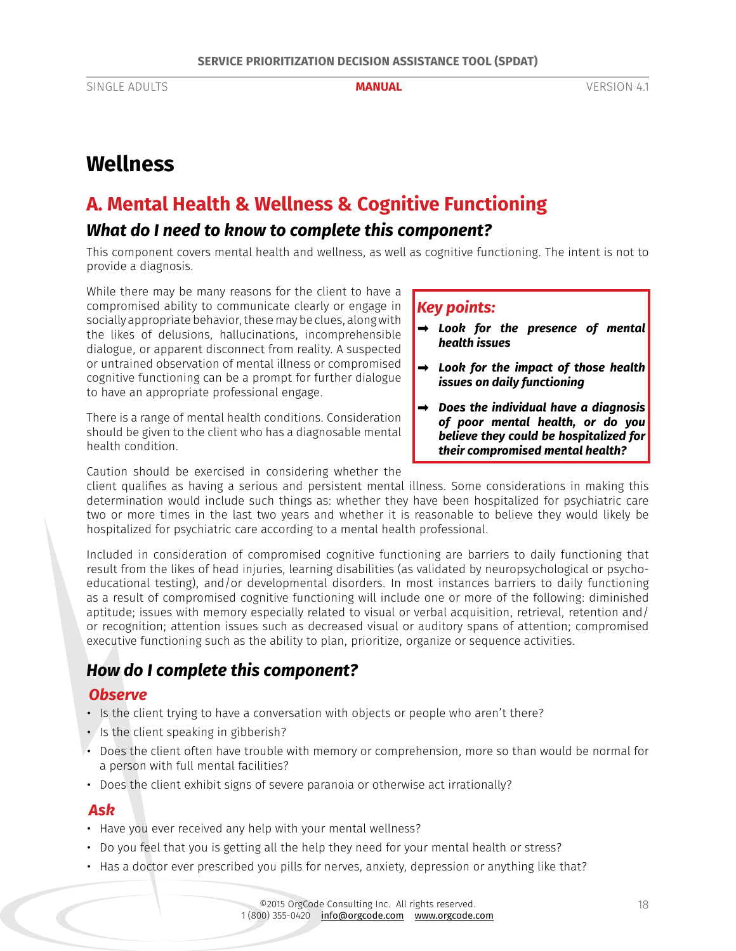# <span id="page-17-0"></span>**Wellness**

# <span id="page-17-1"></span>**A. Mental Health & Wellness & Cognitive Functioning**

## *What do I need to know to complete this component?*

This component covers mental health and wellness, as well as cognitive functioning. The intent is not to provide a diagnosis.

While there may be many reasons for the client to have a compromised ability to communicate clearly or engage in socially appropriate behavior, these may be clues, along with the likes of delusions, hallucinations, incomprehensible dialogue, or apparent disconnect from reality. A suspected or untrained observation of mental illness or compromised cognitive functioning can be a prompt for further dialogue to have an appropriate professional engage.

There is a range of mental health conditions. Consideration should be given to the client who has a diagnosable mental health condition.

Caution should be exercised in considering whether the

client qualifies as having a serious and persistent mental illness. Some considerations in making this determination would include such things as: whether they have been hospitalized for psychiatric care two or more times in the last two years and whether it is reasonable to believe they would likely be hospitalized for psychiatric care according to a mental health professional.

Included in consideration of compromised cognitive functioning are barriers to daily functioning that result from the likes of head injuries, learning disabilities (as validated by neuropsychological or psychoeducational testing), and/or developmental disorders. In most instances barriers to daily functioning as a result of compromised cognitive functioning will include one or more of the following: diminished aptitude; issues with memory especially related to visual or verbal acquisition, retrieval, retention and/ or recognition; attention issues such as decreased visual or auditory spans of attention; compromised executive functioning such as the ability to plan, prioritize, organize or sequence activities.

# *How do I complete this component?*

### *Observe*

- Is the client trying to have a conversation with objects or people who aren't there?
- Is the client speaking in gibberish?
- Does the client often have trouble with memory or comprehension, more so than would be normal for a person with full mental facilities?
- Does the client exhibit signs of severe paranoia or otherwise act irrationally?

#### *Ask*

- Have you ever received any help with your mental wellness?
- Do you feel that you is getting all the help they need for your mental health or stress?
- Has a doctor ever prescribed you pills for nerves, anxiety, depression or anything like that?

## *Key points:*

- *➡ Look for the presence of mental health issues*
- *➡ Look for the impact of those health issues on daily functioning*
- *➡ Does the individual have a diagnosis of poor mental health, or do you believe they could be hospitalized for their compromised mental health?*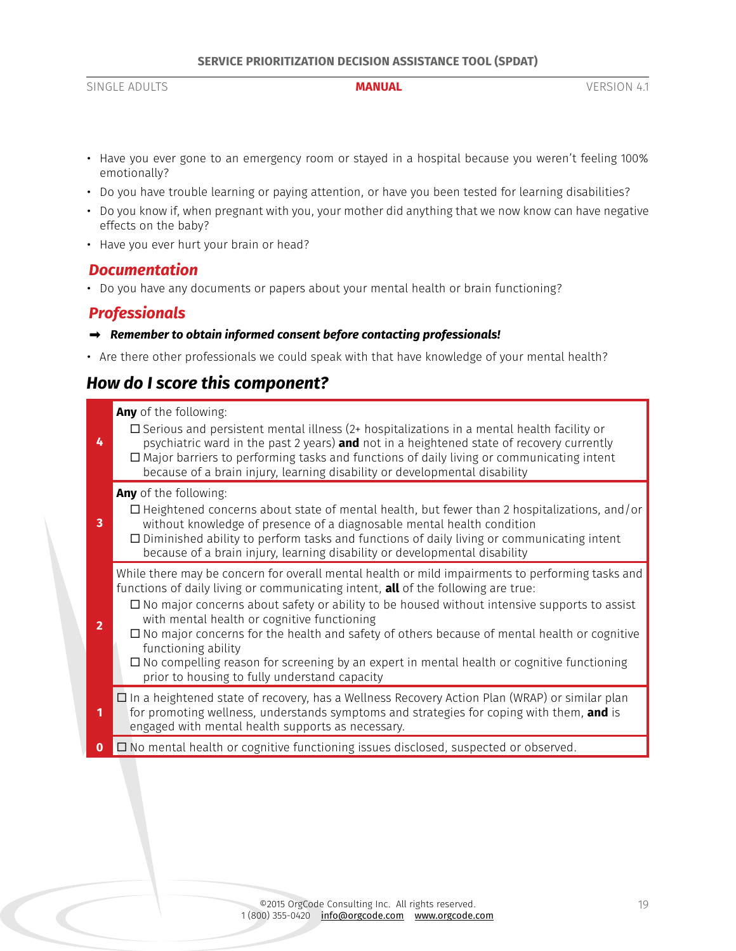- Have you ever gone to an emergency room or stayed in a hospital because you weren't feeling 100% emotionally?
- Do you have trouble learning or paying attention, or have you been tested for learning disabilities?
- Do you know if, when pregnant with you, your mother did anything that we now know can have negative effects on the baby?
- Have you ever hurt your brain or head?

### *Documentation*

• Do you have any documents or papers about your mental health or brain functioning?

## *Professionals*

- *➡ Remember to obtain informed consent before contacting professionals!*
- Are there other professionals we could speak with that have knowledge of your mental health?

# *How do I score this component?*

<span id="page-18-0"></span>

| 4              | Any of the following:<br>$\square$ Serious and persistent mental illness (2+ hospitalizations in a mental health facility or<br>psychiatric ward in the past 2 years) and not in a heightened state of recovery currently<br>$\Box$ Major barriers to performing tasks and functions of daily living or communicating intent<br>because of a brain injury, learning disability or developmental disability                                                                                                                                                                                                                     |
|----------------|--------------------------------------------------------------------------------------------------------------------------------------------------------------------------------------------------------------------------------------------------------------------------------------------------------------------------------------------------------------------------------------------------------------------------------------------------------------------------------------------------------------------------------------------------------------------------------------------------------------------------------|
| 3              | Any of the following:<br>$\Box$ Heightened concerns about state of mental health, but fewer than 2 hospitalizations, and/or<br>without knowledge of presence of a diagnosable mental health condition<br>$\Box$ Diminished ability to perform tasks and functions of daily living or communicating intent<br>because of a brain injury, learning disability or developmental disability                                                                                                                                                                                                                                        |
| $\overline{2}$ | While there may be concern for overall mental health or mild impairments to performing tasks and<br>functions of daily living or communicating intent, <b>all</b> of the following are true:<br>$\Box$ No major concerns about safety or ability to be housed without intensive supports to assist<br>with mental health or cognitive functioning<br>□ No major concerns for the health and safety of others because of mental health or cognitive<br>functioning ability<br>$\Box$ No compelling reason for screening by an expert in mental health or cognitive functioning<br>prior to housing to fully understand capacity |
| 1              | $\Box$ In a heightened state of recovery, has a Wellness Recovery Action Plan (WRAP) or similar plan<br>for promoting wellness, understands symptoms and strategies for coping with them, and is<br>engaged with mental health supports as necessary.                                                                                                                                                                                                                                                                                                                                                                          |
| $\mathbf{0}$   | $\Box$ No mental health or cognitive functioning issues disclosed, suspected or observed.                                                                                                                                                                                                                                                                                                                                                                                                                                                                                                                                      |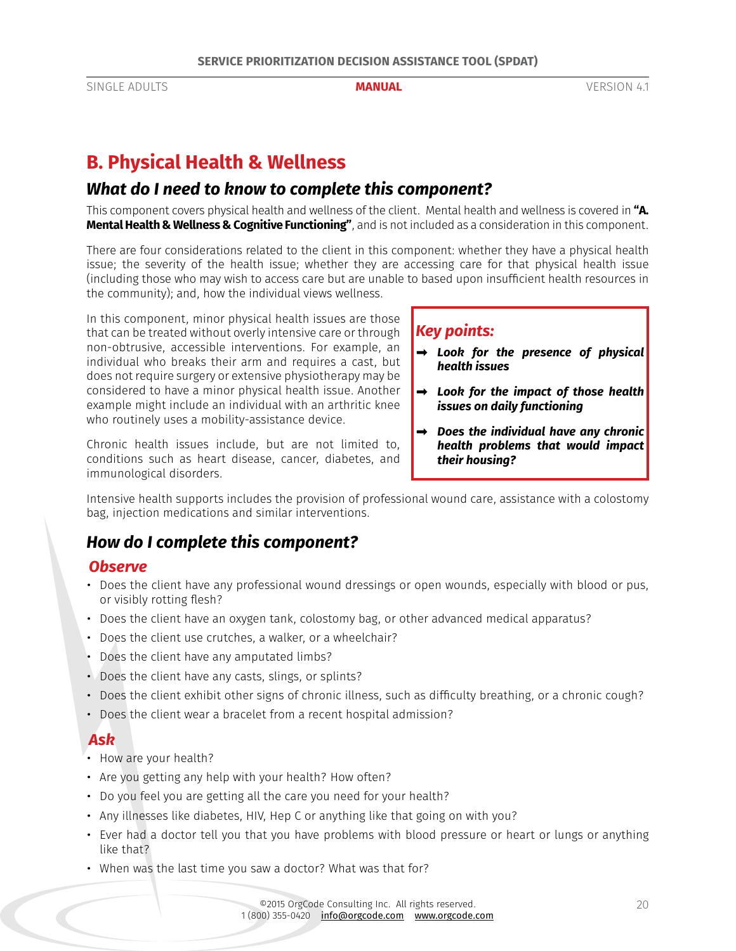# <span id="page-19-0"></span>**B. Physical Health & Wellness**

## *What do I need to know to complete this component?*

This component covers physical health and wellness of the client. Mental health and wellness is covered in **["A.](#page-17-1)  [Mental Health & Wellness & Cognitive Functioning"](#page-17-1)**, and is not included as a consideration in this component.

There are four considerations related to the client in this component: whether they have a physical health issue; the severity of the health issue; whether they are accessing care for that physical health issue (including those who may wish to access care but are unable to based upon insufficient health resources in the community); and, how the individual views wellness.

In this component, minor physical health issues are those that can be treated without overly intensive care or through non-obtrusive, accessible interventions. For example, an individual who breaks their arm and requires a cast, but does not require surgery or extensive physiotherapy may be considered to have a minor physical health issue. Another example might include an individual with an arthritic knee who routinely uses a mobility-assistance device.

Chronic health issues include, but are not limited to, conditions such as heart disease, cancer, diabetes, and immunological disorders.

### *Key points:*

- *➡ Look for the presence of physical health issues*
- *➡ Look for the impact of those health issues on daily functioning*
- *➡ Does the individual have any chronic health problems that would impact their housing?*

Intensive health supports includes the provision of professional wound care, assistance with a colostomy bag, injection medications and similar interventions.

# *How do I complete this component?*

### *Observe*

- Does the client have any professional wound dressings or open wounds, especially with blood or pus, or visibly rotting flesh?
- Does the client have an oxygen tank, colostomy bag, or other advanced medical apparatus?
- Does the client use crutches, a walker, or a wheelchair?
- Does the client have any amputated limbs?
- Does the client have any casts, slings, or splints?
- Does the client exhibit other signs of chronic illness, such as difficulty breathing, or a chronic cough?
- Does the client wear a bracelet from a recent hospital admission?

### *Ask*

- How are your health?
- Are you getting any help with your health? How often?
- Do you feel you are getting all the care you need for your health?
- Any illnesses like diabetes, HIV, Hep C or anything like that going on with you?
- Ever had a doctor tell you that you have problems with blood pressure or heart or lungs or anything like that?
- When was the last time you saw a doctor? What was that for?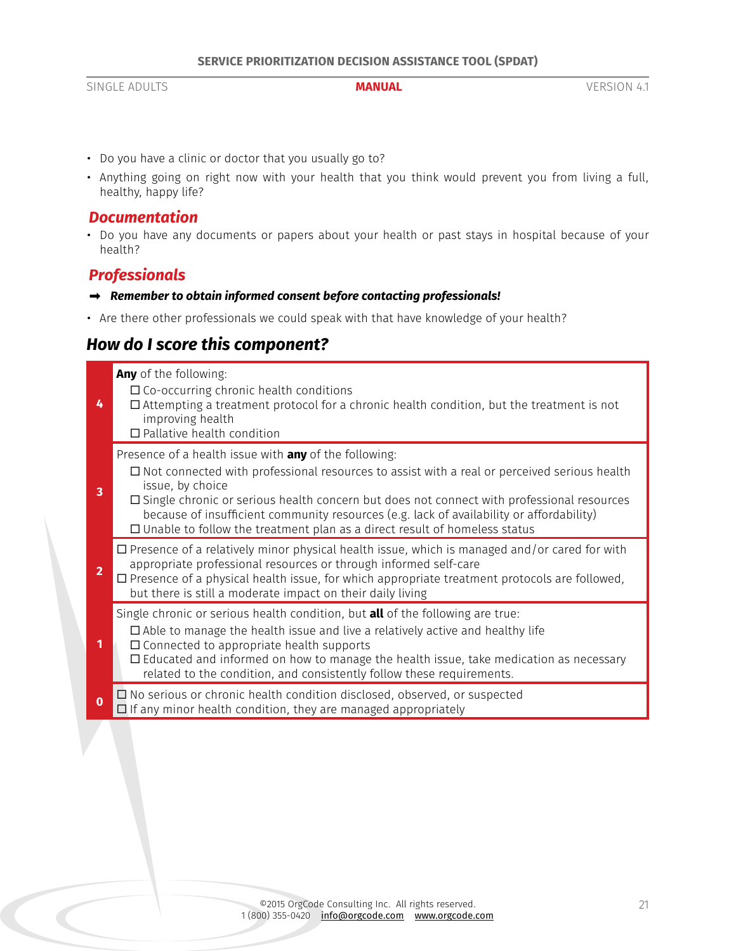- Do you have a clinic or doctor that you usually go to?
- Anything going on right now with your health that you think would prevent you from living a full, healthy, happy life?

#### *Documentation*

• Do you have any documents or papers about your health or past stays in hospital because of your health?

### *Professionals*

- *➡ Remember to obtain informed consent before contacting professionals!*
- Are there other professionals we could speak with that have knowledge of your health?

# *How do I score this component?*

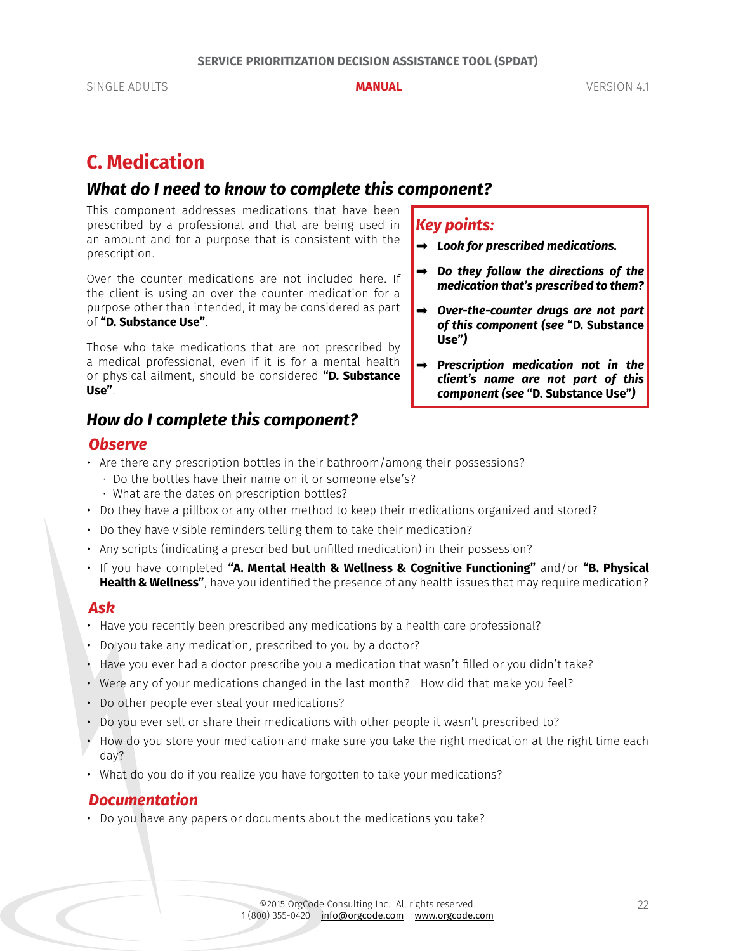# <span id="page-21-1"></span><span id="page-21-0"></span>**C. Medication**

## *What do I need to know to complete this component?*

This component addresses medications that have been prescribed by a professional and that are being used in an amount and for a purpose that is consistent with the prescription.

Over the counter medications are not included here. If the client is using an over the counter medication for a purpose other than intended, it may be considered as part of **["D. Substance Use"](#page-23-1)**.

Those who take medications that are not prescribed by a medical professional, even if it is for a mental health or physical ailment, should be considered **["D. Substance](#page-23-1) [Use"](#page-23-1)**.

# *How do I complete this component?*

### *Observe*

- Are there any prescription bottles in their bathroom/among their possessions?
	- · Do the bottles have their name on it or someone else's?
	- · What are the dates on prescription bottles?
- Do they have a pillbox or any other method to keep their medications organized and stored?
- Do they have visible reminders telling them to take their medication?
- Any scripts (indicating a prescribed but unfilled medication) in their possession?
- If you have completed **["A. Mental Health & Wellness & Cognitive Functioning"](#page-17-1)** and/or **["B. Physical](#page-18-0) [Health & Wellness"](#page-18-0)**, have you identified the presence of any health issues that may require medication?

#### *Ask*

- Have you recently been prescribed any medications by a health care professional?
- Do you take any medication, prescribed to you by a doctor?
- Have you ever had a doctor prescribe you a medication that wasn't filled or you didn't take?
- Were any of your medications changed in the last month? How did that make you feel?
- Do other people ever steal your medications?
- Do you ever sell or share their medications with other people it wasn't prescribed to?
- How do you store your medication and make sure you take the right medication at the right time each day?
- What do you do if you realize you have forgotten to take your medications?

### *Documentation*

• Do you have any papers or documents about the medications you take?

# *Key points:*

- *➡ Look for prescribed medications.*
- *➡ Do they follow the directions of the medication that's prescribed to them?*
- *➡ Over-the-counter drugs are not part of this component (see* **["D. Substance](#page-23-1)  [Use"](#page-23-1)***)*
- *➡ Prescription medication not in the client's name are not part of this component (see* **["D. Substance Use"](#page-23-1)***)*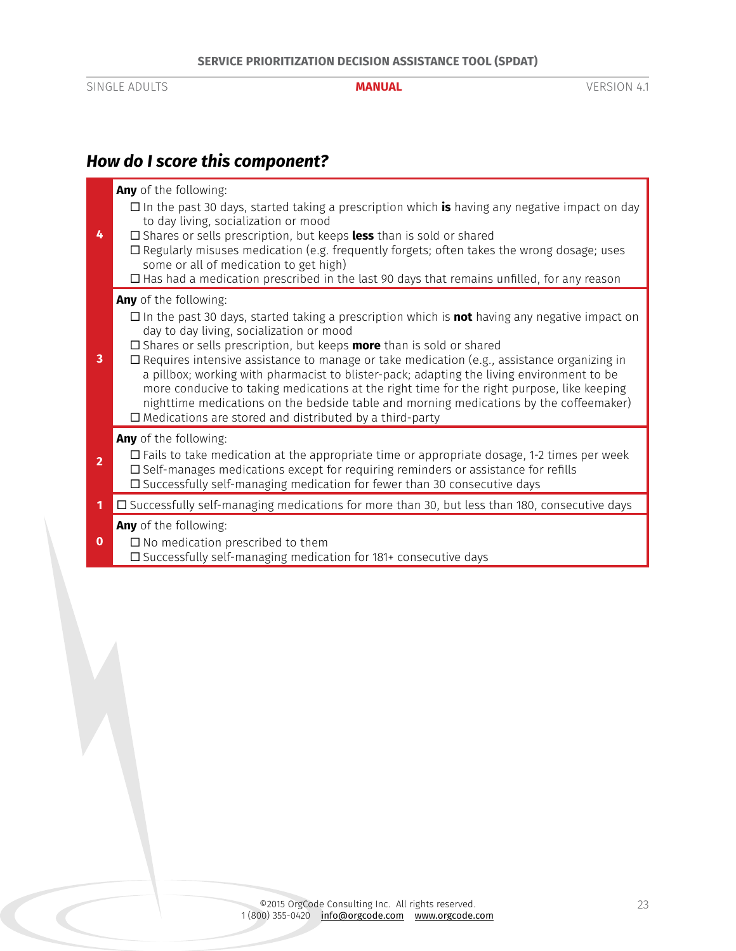**4**

# *How do I score this component?*

# **Any** of the following:

- ¨ In the past 30 days, started taking a prescription which **is** having any negative impact on day to day living, socialization or mood
- □ Shares or sells prescription, but keeps less than is sold or shared
- $\square$  Regularly misuses medication (e.g. frequently forgets; often takes the wrong dosage; uses some or all of medication to get high)
	- $\square$  Has had a medication prescribed in the last 90 days that remains unfilled, for any reason

#### **Any** of the following:

- ¨ In the past 30 days, started taking a prescription which is **not** having any negative impact on day to day living, socialization or mood
- □ Shares or sells prescription, but keeps **more** than is sold or shared
- **3**  $\square$  Requires intensive assistance to manage or take medication (e.g., assistance organizing in a pillbox; working with pharmacist to blister-pack; adapting the living environment to be more conducive to taking medications at the right time for the right purpose, like keeping nighttime medications on the bedside table and morning medications by the coffeemaker)  $\square$  Medications are stored and distributed by a third-party

#### **Any** of the following:

- **2**  $\square$  Fails to take medication at the appropriate time or appropriate dosage, 1-2 times per week  $\square$  Self-manages medications except for requiring reminders or assistance for refills  $\square$  Successfully self-managing medication for fewer than 30 consecutive days
- **1** □ Successfully self-managing medications for more than 30, but less than 180, consecutive days

**Any** of the following:

**0**  $\square$  No medication prescribed to them  $\square$  Successfully self-managing medication for 181+ consecutive days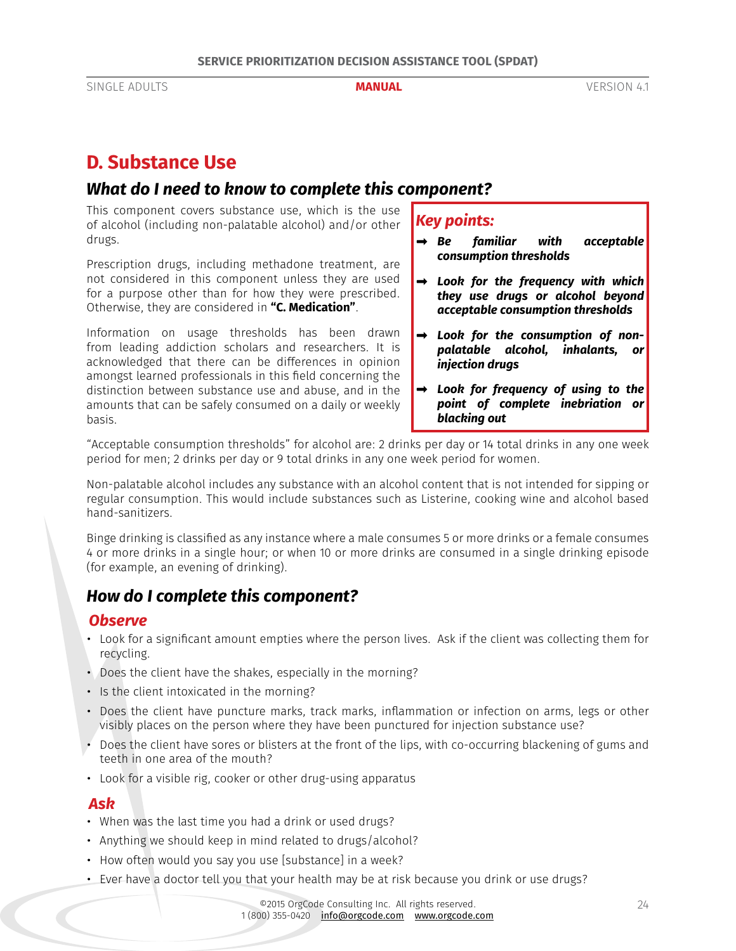# <span id="page-23-1"></span><span id="page-23-0"></span>**D. Substance Use**

## *What do I need to know to complete this component?*

This component covers substance use, which is the use of alcohol (including non-palatable alcohol) and/or other drugs.

Prescription drugs, including methadone treatment, are not considered in this component unless they are used for a purpose other than for how they were prescribed. Otherwise, they are considered in **["C. Medication"](#page-21-1)**.

Information on usage thresholds has been drawn from leading addiction scholars and researchers. It is acknowledged that there can be differences in opinion amongst learned professionals in this field concerning the distinction between substance use and abuse, and in the amounts that can be safely consumed on a daily or weekly basis.

## *Key points:*

- *➡ Be familiar with acceptable consumption thresholds*
- *➡ Look for the frequency with which they use drugs or alcohol beyond acceptable consumption thresholds*
- *➡ Look for the consumption of nonpalatable alcohol, inhalants, or injection drugs*
- *➡ Look for frequency of using to the point of complete inebriation or blacking out*

"Acceptable consumption thresholds" for alcohol are: 2 drinks per day or 14 total drinks in any one week period for men; 2 drinks per day or 9 total drinks in any one week period for women.

Non-palatable alcohol includes any substance with an alcohol content that is not intended for sipping or regular consumption. This would include substances such as Listerine, cooking wine and alcohol based hand-sanitizers.

Binge drinking is classified as any instance where a male consumes 5 or more drinks or a female consumes 4 or more drinks in a single hour; or when 10 or more drinks are consumed in a single drinking episode (for example, an evening of drinking).

# *How do I complete this component?*

### *Observe*

- Look for a significant amount empties where the person lives. Ask if the client was collecting them for recycling.
- Does the client have the shakes, especially in the morning?
- Is the client intoxicated in the morning?
- Does the client have puncture marks, track marks, inflammation or infection on arms, legs or other visibly places on the person where they have been punctured for injection substance use?
- Does the client have sores or blisters at the front of the lips, with co-occurring blackening of gums and teeth in one area of the mouth?
- Look for a visible rig, cooker or other drug-using apparatus

### *Ask*

- When was the last time you had a drink or used drugs?
- Anything we should keep in mind related to drugs/alcohol?
- How often would you say you use [substance] in a week?
- Ever have a doctor tell you that your health may be at risk because you drink or use drugs?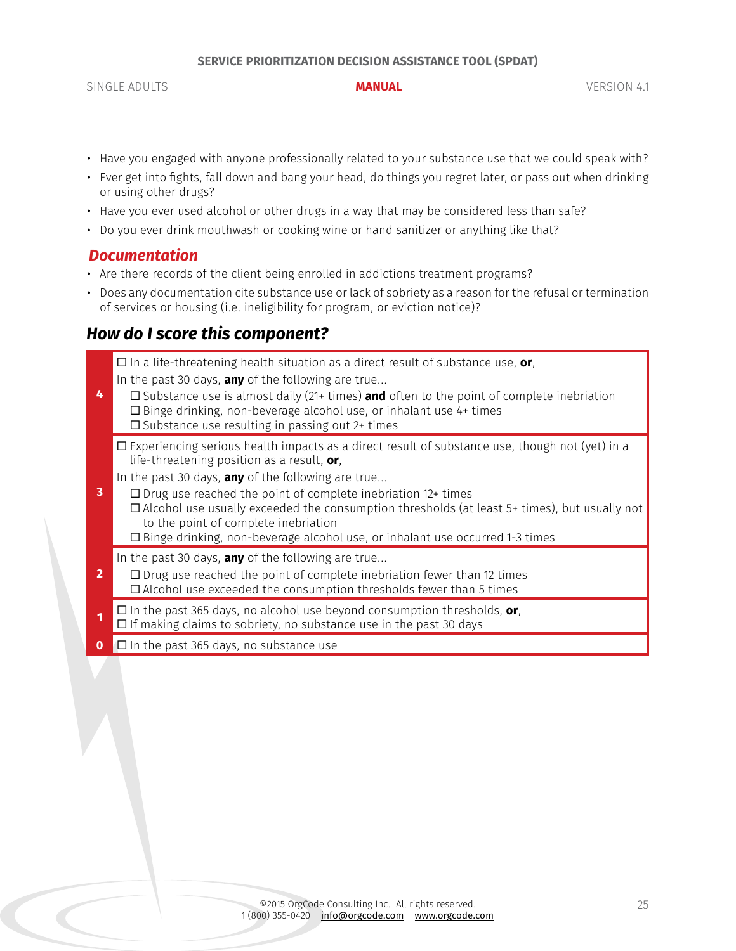#### • Have you engaged with anyone professionally related to your substance use that we could speak with?

- Ever get into fights, fall down and bang your head, do things you regret later, or pass out when drinking or using other drugs?
- Have you ever used alcohol or other drugs in a way that may be considered less than safe?
- Do you ever drink mouthwash or cooking wine or hand sanitizer or anything like that?

### *Documentation*

- Are there records of the client being enrolled in addictions treatment programs?
- Does any documentation cite substance use or lack of sobriety as a reason for the refusal or termination of services or housing (i.e. ineligibility for program, or eviction notice)?

# *How do I score this component?*

**4**  $\Box$  In a life-threatening health situation as a direct result of substance use, **or**, In the past 30 days, **any** of the following are true...  $\Box$  Substance use is almost daily (21+ times) **and** often to the point of complete inebriation  $\square$  Binge drinking, non-beverage alcohol use, or inhalant use 4+ times  $\square$  Substance use resulting in passing out 2+ times **3**  $\Box$  Experiencing serious health impacts as a direct result of substance use, though not (yet) in a life-threatening position as a result, **or**, In the past 30 days, **any** of the following are true...  $\square$  Drug use reached the point of complete inebriation 12+ times  $\Box$  Alcohol use usually exceeded the consumption thresholds (at least 5+ times), but usually not to the point of complete inebriation  $\square$  Binge drinking, non-beverage alcohol use, or inhalant use occurred 1-3 times **2** In the past 30 days, **any** of the following are true...  $\square$  Drug use reached the point of complete inebriation fewer than 12 times  $\square$  Alcohol use exceeded the consumption thresholds fewer than 5 times

 $\Box$  In the past 365 days, no alcohol use beyond consumption thresholds, **or**,

- $\Box$  If making claims to sobriety, no substance use in the past 30 days
- **0**  $\Box$  In the past 365 days, no substance use

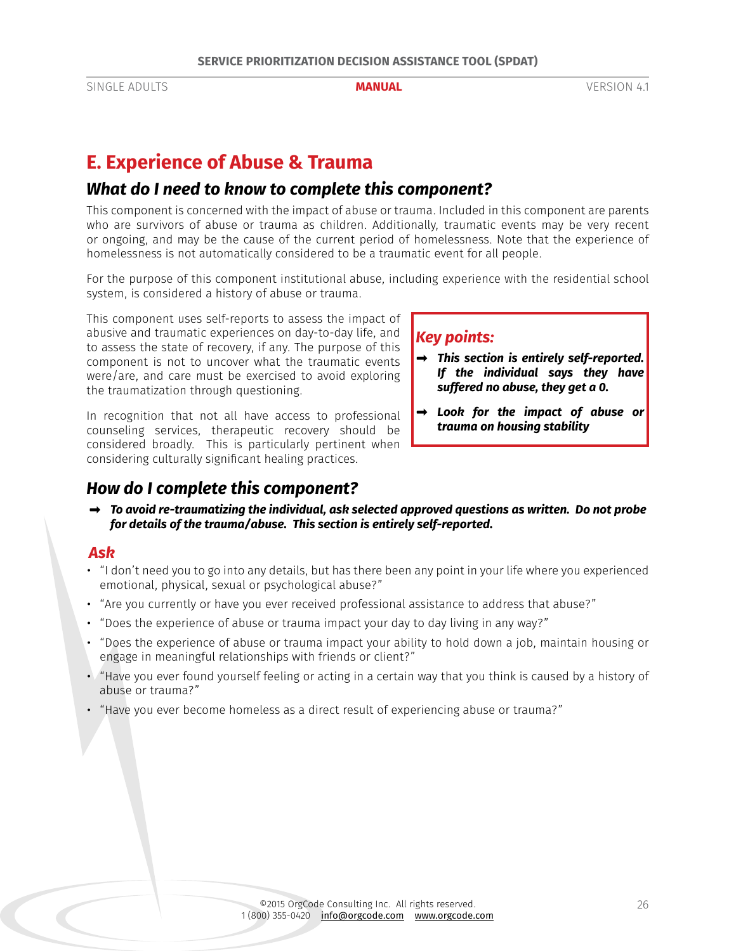# <span id="page-25-0"></span>**E. Experience of Abuse & Trauma**

## *What do I need to know to complete this component?*

This component is concerned with the impact of abuse or trauma. Included in this component are parents who are survivors of abuse or trauma as children. Additionally, traumatic events may be very recent or ongoing, and may be the cause of the current period of homelessness. Note that the experience of homelessness is not automatically considered to be a traumatic event for all people.

For the purpose of this component institutional abuse, including experience with the residential school system, is considered a history of abuse or trauma.

This component uses self-reports to assess the impact of abusive and traumatic experiences on day-to-day life, and to assess the state of recovery, if any. The purpose of this component is not to uncover what the traumatic events were/are, and care must be exercised to avoid exploring the traumatization through questioning.

In recognition that not all have access to professional counseling services, therapeutic recovery should be considered broadly. This is particularly pertinent when considering culturally significant healing practices.

# *How do I complete this component?*

### *Key points:*

- *➡ This section is entirely self-reported. If the individual says they have suffered no abuse, they get a 0.*
- *➡ Look for the impact of abuse or trauma on housing stability*
- *➡ To avoid re-traumatizing the individual, ask selected approved questions as written. Do not probe for details of the trauma/abuse. This section is entirely self-reported.*

### *Ask*

- "I don't need you to go into any details, but has there been any point in your life where you experienced emotional, physical, sexual or psychological abuse?"
- "Are you currently or have you ever received professional assistance to address that abuse?"
- "Does the experience of abuse or trauma impact your day to day living in any way?"
- "Does the experience of abuse or trauma impact your ability to hold down a job, maintain housing or engage in meaningful relationships with friends or client?"
- "Have you ever found yourself feeling or acting in a certain way that you think is caused by a history of abuse or trauma?"
- "Have you ever become homeless as a direct result of experiencing abuse or trauma?"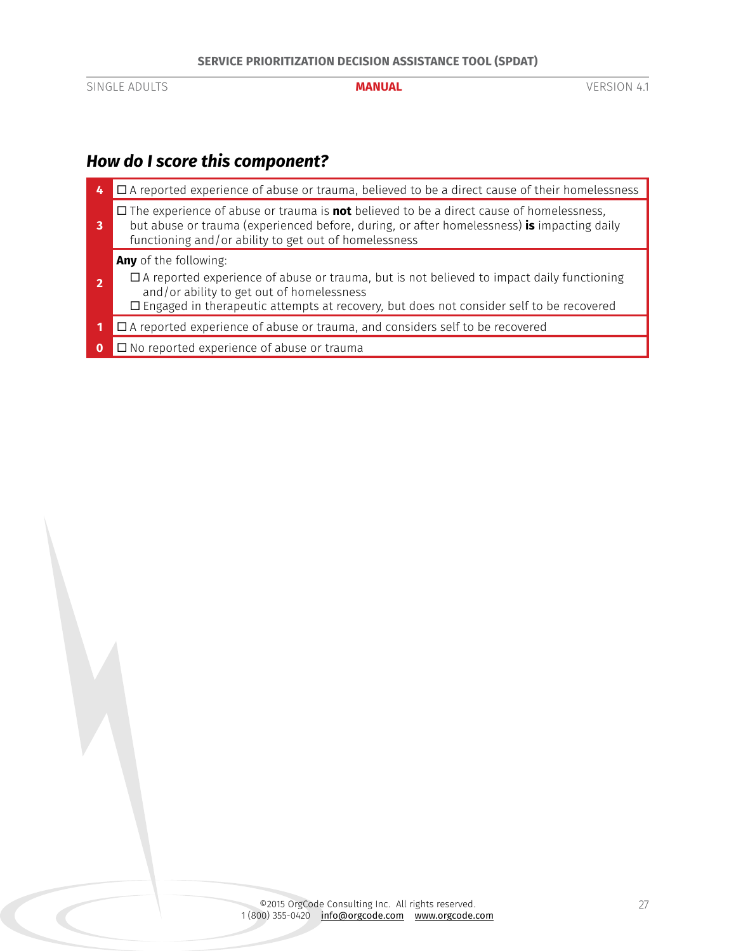# *How do I score this component?*

| LT                                                                                                                                                                                                                                                           | $\Box$ A reported experience of abuse or trauma, believed to be a direct cause of their homelessness                                                                                                                                                                            |  |  |
|--------------------------------------------------------------------------------------------------------------------------------------------------------------------------------------------------------------------------------------------------------------|---------------------------------------------------------------------------------------------------------------------------------------------------------------------------------------------------------------------------------------------------------------------------------|--|--|
| $\Box$ The experience of abuse or trauma is <b>not</b> believed to be a direct cause of homelessness,<br>but abuse or trauma (experienced before, during, or after homelessness) is impacting daily<br>functioning and/or ability to get out of homelessness |                                                                                                                                                                                                                                                                                 |  |  |
|                                                                                                                                                                                                                                                              | <b>Any</b> of the following:<br>$\Box$ A reported experience of abuse or trauma, but is not believed to impact daily functioning<br>and/or ability to get out of homelessness<br>$\Box$ Engaged in therapeutic attempts at recovery, but does not consider self to be recovered |  |  |
| 1                                                                                                                                                                                                                                                            | $\Box$ A reported experience of abuse or trauma, and considers self to be recovered                                                                                                                                                                                             |  |  |
| 0                                                                                                                                                                                                                                                            | $\square$ No reported experience of abuse or trauma                                                                                                                                                                                                                             |  |  |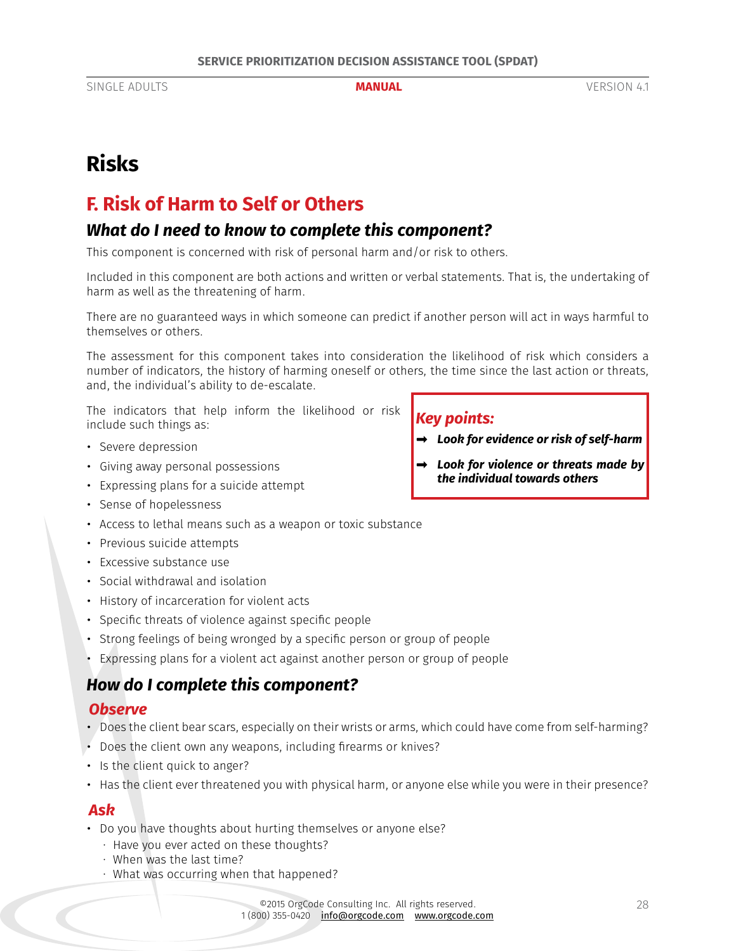# <span id="page-27-0"></span>**Risks**

# **F. Risk of Harm to Self or Others**

# *What do I need to know to complete this component?*

This component is concerned with risk of personal harm and/or risk to others.

Included in this component are both actions and written or verbal statements. That is, the undertaking of harm as well as the threatening of harm.

There are no guaranteed ways in which someone can predict if another person will act in ways harmful to themselves or others.

The assessment for this component takes into consideration the likelihood of risk which considers a number of indicators, the history of harming oneself or others, the time since the last action or threats, and, the individual's ability to de-escalate.

The indicators that help inform the likelihood or risk include such things as:

- Severe depression
- Giving away personal possessions
- Expressing plans for a suicide attempt
- Sense of hopelessness
- Access to lethal means such as a weapon or toxic substance
- Previous suicide attempts
- Excessive substance use
- Social withdrawal and isolation
- History of incarceration for violent acts
- Specific threats of violence against specific people
- Strong feelings of being wronged by a specific person or group of people
- Expressing plans for a violent act against another person or group of people

# *How do I complete this component?*

### *Observe*

- Does the client bear scars, especially on their wrists or arms, which could have come from self-harming?
- Does the client own any weapons, including firearms or knives?
- Is the client quick to anger?
- Has the client ever threatened you with physical harm, or anyone else while you were in their presence?

#### *Ask*

- Do you have thoughts about hurting themselves or anyone else?
	- · Have you ever acted on these thoughts?
	- · When was the last time?
	- · What was occurring when that happened?

## *Key points:*

- *➡ Look for evidence or risk of self-harm*
- *➡ Look for violence or threats made by the individual towards others*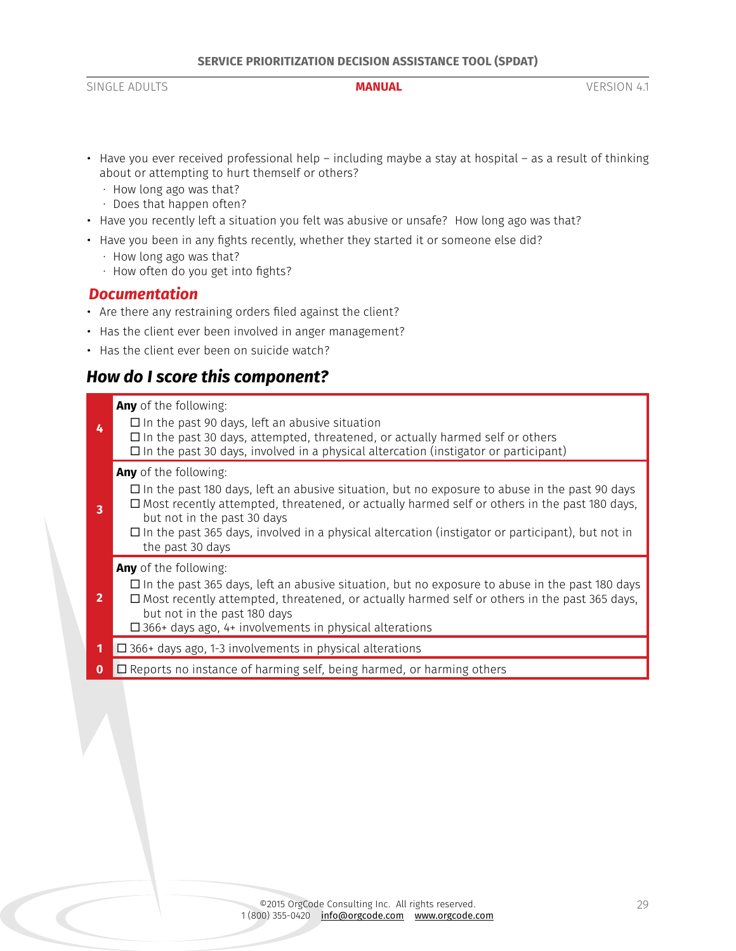- Have you ever received professional help including maybe a stay at hospital as a result of thinking about or attempting to hurt themself or others?
	- · How long ago was that?
	- · Does that happen often?
- Have you recently left a situation you felt was abusive or unsafe? How long ago was that?
- Have you been in any fights recently, whether they started it or someone else did?
	- · How long ago was that?
	- · How often do you get into fights?

#### *Documentation*

- Are there any restraining orders filed against the client?
- Has the client ever been involved in anger management?
- Has the client ever been on suicide watch?

# *How do I score this component?*

| 4              | Any of the following:<br>$\Box$ In the past 90 days, left an abusive situation<br>$\Box$ In the past 30 days, attempted, threatened, or actually harmed self or others<br>$\Box$ In the past 30 days, involved in a physical altercation (instigator or participant)                                                                                                                                      |  |  |
|----------------|-----------------------------------------------------------------------------------------------------------------------------------------------------------------------------------------------------------------------------------------------------------------------------------------------------------------------------------------------------------------------------------------------------------|--|--|
| 3              | <b>Any</b> of the following:<br>$\Box$ In the past 180 days, left an abusive situation, but no exposure to abuse in the past 90 days<br>$\Box$ Most recently attempted, threatened, or actually harmed self or others in the past 180 days,<br>but not in the past 30 days<br>$\Box$ In the past 365 days, involved in a physical altercation (instigator or participant), but not in<br>the past 30 days |  |  |
| $\overline{2}$ | <b>Any</b> of the following:<br>$\Box$ In the past 365 days, left an abusive situation, but no exposure to abuse in the past 180 days<br>$\Box$ Most recently attempted, threatened, or actually harmed self or others in the past 365 days,<br>but not in the past 180 days<br>$\Box$ 366+ days ago, 4+ involvements in physical alterations                                                             |  |  |
| 1              | $\square$ 366+ days ago, 1-3 involvements in physical alterations                                                                                                                                                                                                                                                                                                                                         |  |  |
| $\bf{0}$       | $\Box$ Reports no instance of harming self, being harmed, or harming others                                                                                                                                                                                                                                                                                                                               |  |  |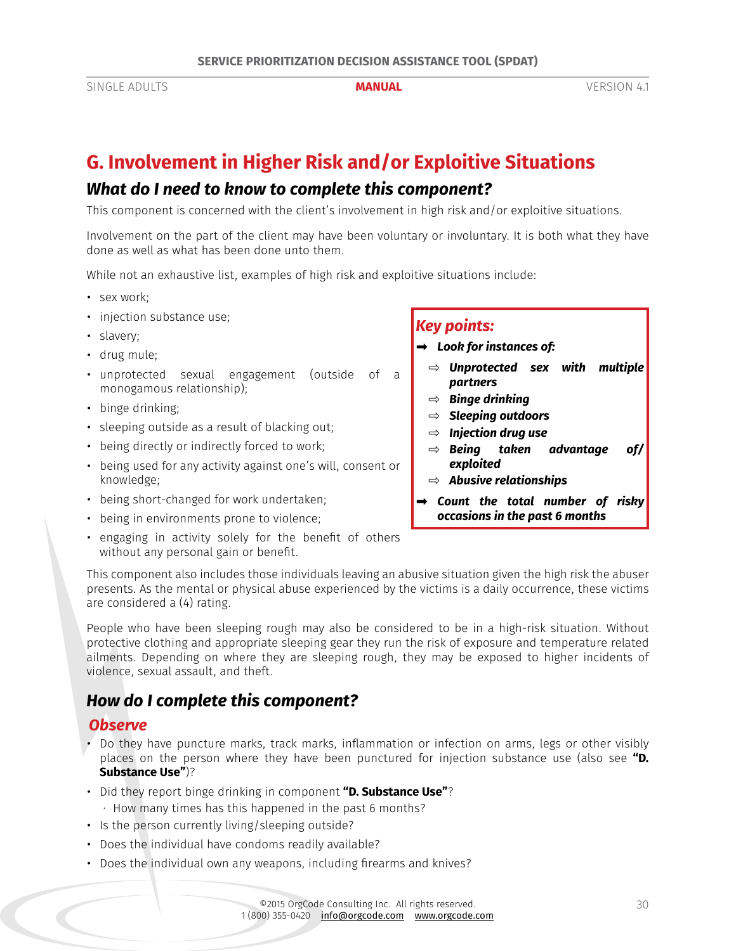# <span id="page-29-0"></span>**G. Involvement in Higher Risk and/or Exploitive Situations**

## *What do I need to know to complete this component?*

This component is concerned with the client's involvement in high risk and/or exploitive situations.

Involvement on the part of the client may have been voluntary or involuntary. It is both what they have done as well as what has been done unto them.

While not an exhaustive list, examples of high risk and exploitive situations include:

- sex work;
- injection substance use;
- slavery;
- drug mule;
- unprotected sexual engagement (outside of a monogamous relationship);
- binge drinking;
- sleeping outside as a result of blacking out;
- being directly or indirectly forced to work;
- being used for any activity against one's will, consent or knowledge;
- being short-changed for work undertaken;
- being in environments prone to violence;
- engaging in activity solely for the benefit of others without any personal gain or benefit.

#### *Key points:*

- *➡ Look for instances of:* 
	- ⇨ *Unprotected sex with multiple partners*
	- ⇨ *Binge drinking*
	- ⇨ *Sleeping outdoors*
	- ⇨ *Injection drug use*
	- ⇨ *Being taken advantage of/ exploited*
	- ⇨ *Abusive relationships*
- *➡ Count the total number of risky occasions in the past 6 months*

This component also includes those individuals leaving an abusive situation given the high risk the abuser presents. As the mental or physical abuse experienced by the victims is a daily occurrence, these victims are considered a (4) rating.

People who have been sleeping rough may also be considered to be in a high-risk situation. Without protective clothing and appropriate sleeping gear they run the risk of exposure and temperature related ailments. Depending on where they are sleeping rough, they may be exposed to higher incidents of violence, sexual assault, and theft.

# *How do I complete this component?*

### *Observe*

- Do they have puncture marks, track marks, inflammation or infection on arms, legs or other visibly places on the person where they have been punctured for injection substance use (also see **["D.](#page-23-1)  [Substance Use"](#page-23-1)**)?
- Did they report binge drinking in component **["D. Substance Use"](#page-23-1)**? · How many times has this happened in the past 6 months?
- Is the person currently living/sleeping outside?
- Does the individual have condoms readily available?
- Does the individual own any weapons, including firearms and knives?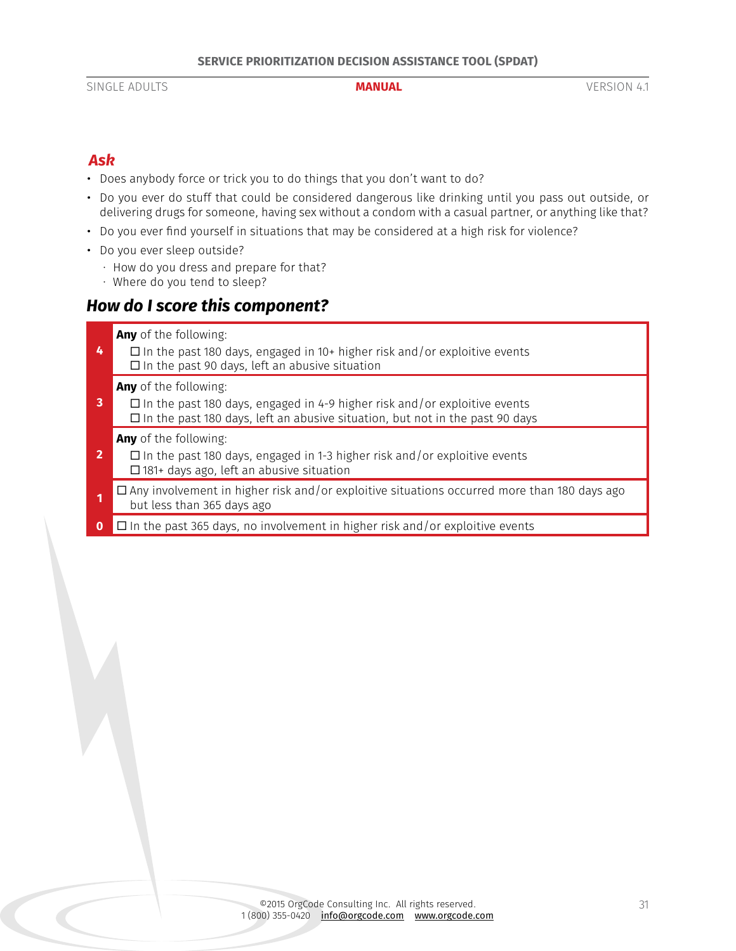## *Ask*

- Does anybody force or trick you to do things that you don't want to do?
- Do you ever do stuff that could be considered dangerous like drinking until you pass out outside, or delivering drugs for someone, having sex without a condom with a casual partner, or anything like that?
- Do you ever find yourself in situations that may be considered at a high risk for violence?
- Do you ever sleep outside?
	- · How do you dress and prepare for that?
	- · Where do you tend to sleep?

# *How do I score this component?*

- **Any** of the following:
- **4**  $\Box$  In the past 180 days, engaged in 10+ higher risk and/or exploitive events  $\square$  In the past 90 days, left an abusive situation

**Any** of the following:

**3**  $\Box$  In the past 180 days, engaged in 4-9 higher risk and/or exploitive events  $\square$  In the past 180 days, left an abusive situation, but not in the past 90 days

**Any** of the following:

- **2**  $\Box$  In the past 180 days, engaged in 1-3 higher risk and/or exploitive events  $\square$  181+ days ago, left an abusive situation
- □ Any involvement in higher risk and/or exploitive situations occurred more than 180 days ago but less than 365 days ago
- **0** □ In the past 365 days, no involvement in higher risk and/or exploitive events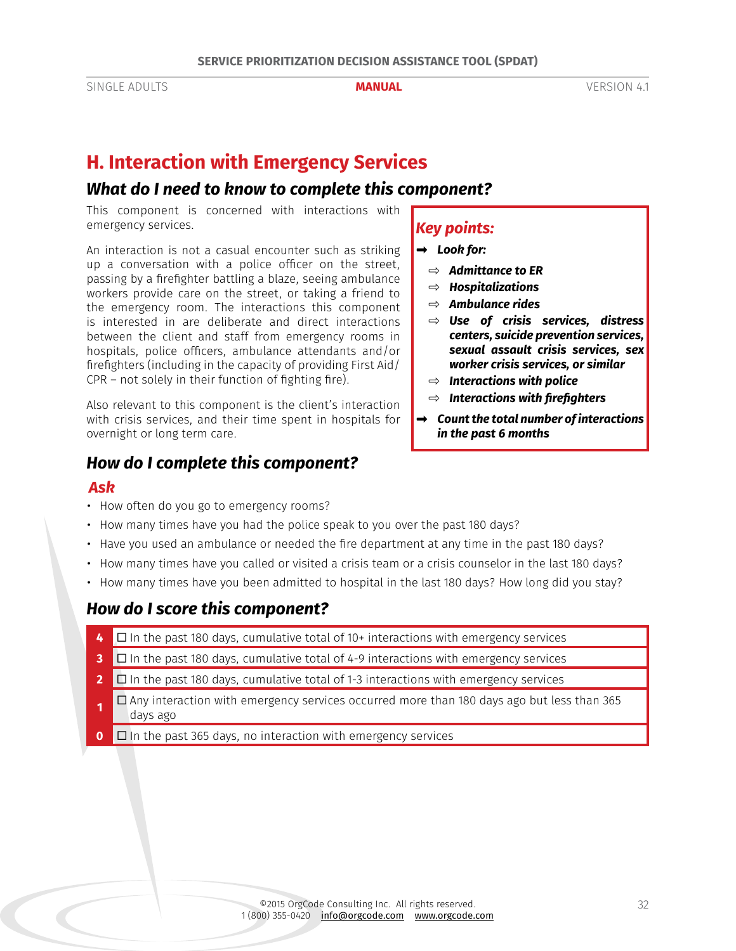# <span id="page-31-0"></span>**H. Interaction with Emergency Services**

## *What do I need to know to complete this component?*

This component is concerned with interactions with emergency services.

An interaction is not a casual encounter such as striking up a conversation with a police officer on the street, passing by a firefighter battling a blaze, seeing ambulance workers provide care on the street, or taking a friend to the emergency room. The interactions this component is interested in are deliberate and direct interactions between the client and staff from emergency rooms in hospitals, police officers, ambulance attendants and/or firefighters (including in the capacity of providing First Aid/ CPR – not solely in their function of fighting fire).

Also relevant to this component is the client's interaction with crisis services, and their time spent in hospitals for overnight or long term care.

# *How do I complete this component?*

### *Ask*

- How often do you go to emergency rooms?
- How many times have you had the police speak to you over the past 180 days?
- Have you used an ambulance or needed the fire department at any time in the past 180 days?
- How many times have you called or visited a crisis team or a crisis counselor in the last 180 days?
- How many times have you been admitted to hospital in the last 180 days? How long did you stay?

# *How do I score this component?*

- **4** □ In the past 180 days, cumulative total of 10+ interactions with emergency services
- **3** □ In the past 180 days, cumulative total of 4-9 interactions with emergency services
- **2** □ In the past 180 days, cumulative total of 1-3 interactions with emergency services
- $\Box$  Any interaction with emergency services occurred more than 180 days ago but less than 365 days ago
- **0** □ In the past 365 days, no interaction with emergency services

# *Key points:*

#### *➡ Look for:*

- ⇨ *Admittance to ER*
- ⇨ *Hospitalizations*
- ⇨ *Ambulance rides*
- ⇨ *Use of crisis services, distress centers, suicide prevention services, sexual assault crisis services, sex worker crisis services, or similar*
- ⇨ *Interactions with police*
- ⇨ *Interactions with firefighters*
- *➡ Count the total number of interactions in the past 6 months*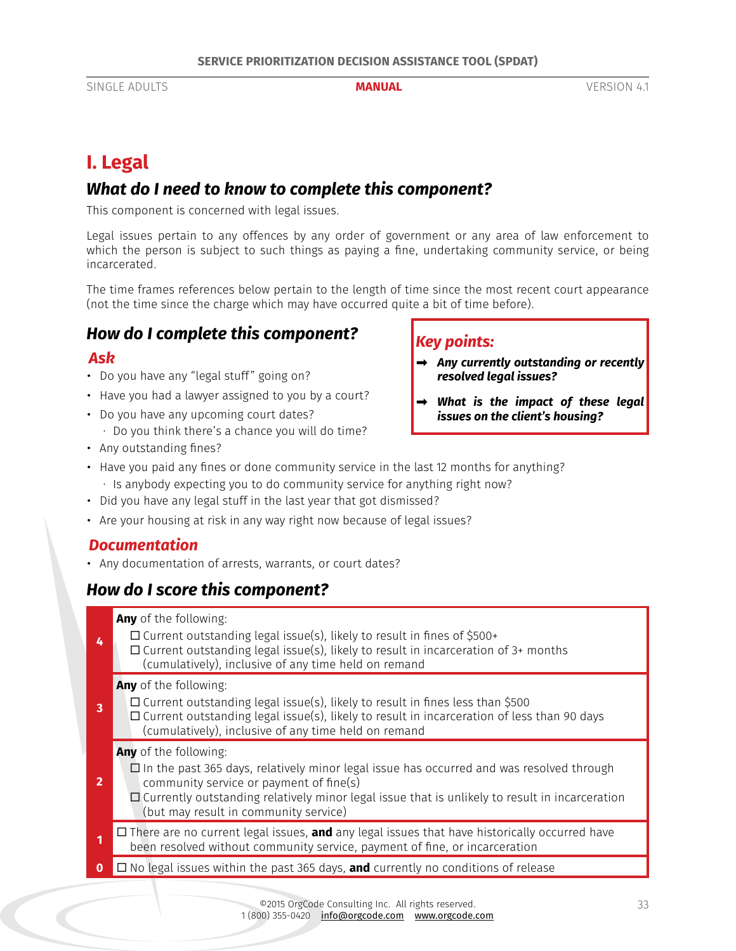# <span id="page-32-0"></span>**I. Legal**

# *What do I need to know to complete this component?*

This component is concerned with legal issues.

Legal issues pertain to any offences by any order of government or any area of law enforcement to which the person is subject to such things as paying a fine, undertaking community service, or being incarcerated.

The time frames references below pertain to the length of time since the most recent court appearance (not the time since the charge which may have occurred quite a bit of time before).

# *How do I complete this component?*

### *Ask*

- Do you have any "legal stuff" going on?
- Have you had a lawyer assigned to you by a court?
- Do you have any upcoming court dates?
- · Do you think there's a chance you will do time?
- Any outstanding fines?

## *Key points:*

- *➡ Any currently outstanding or recently resolved legal issues?*
- *➡ What is the impact of these legal issues on the client's housing?*
- Have you paid any fines or done community service in the last 12 months for anything?
- · Is anybody expecting you to do community service for anything right now?
- Did you have any legal stuff in the last year that got dismissed?
- Are your housing at risk in any way right now because of legal issues?

## *Documentation*

• Any documentation of arrests, warrants, or court dates?

# *How do I score this component?*

**Any** of the following:

**4**  $\Box$  Current outstanding legal issue(s), likely to result in fines of \$500+  $\square$  Current outstanding legal issue(s), likely to result in incarceration of 3+ months (cumulatively), inclusive of any time held on remand

#### **Any** of the following:

**3**  $\Box$  Current outstanding legal issue(s), likely to result in fines less than \$500  $\Box$  Current outstanding legal issue(s), likely to result in incarceration of less than 90 days (cumulatively), inclusive of any time held on remand

#### **Any** of the following:

- **2**  $\Box$  In the past 365 days, relatively minor legal issue has occurred and was resolved through community service or payment of fine(s)
	- $\Box$  Currently outstanding relatively minor legal issue that is unlikely to result in incarceration (but may result in community service)
- **1** □ There are no current legal issues, **and** any legal issues that have historically occurred have been resolved without community service, payment of fine, or incarceration
- $\Box$  No legal issues within the past 365 days, **and** currently no conditions of release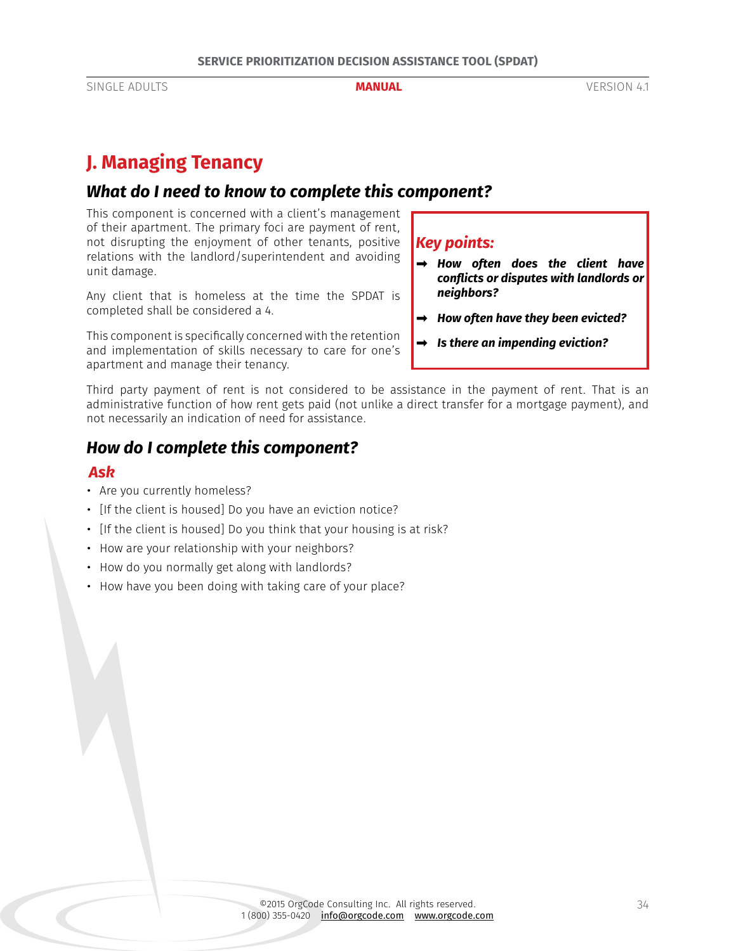# <span id="page-33-0"></span>**J. Managing Tenancy**

# *What do I need to know to complete this component?*

This component is concerned with a client's management of their apartment. The primary foci are payment of rent, not disrupting the enjoyment of other tenants, positive relations with the landlord/superintendent and avoiding unit damage.

Any client that is homeless at the time the SPDAT is completed shall be considered a 4.

This component is specifically concerned with the retention and implementation of skills necessary to care for one's apartment and manage their tenancy.

# *Key points:*

- *➡ How often does the client have conflicts or disputes with landlords or neighbors?*
- *➡ How often have they been evicted?*
- *➡ Is there an impending eviction?*

Third party payment of rent is not considered to be assistance in the payment of rent. That is an administrative function of how rent gets paid (not unlike a direct transfer for a mortgage payment), and not necessarily an indication of need for assistance.

# *How do I complete this component?*

#### *Ask*

- Are you currently homeless?
- [If the client is housed] Do you have an eviction notice?
- [If the client is housed] Do you think that your housing is at risk?
- How are your relationship with your neighbors?
- How do you normally get along with landlords?
- How have you been doing with taking care of your place?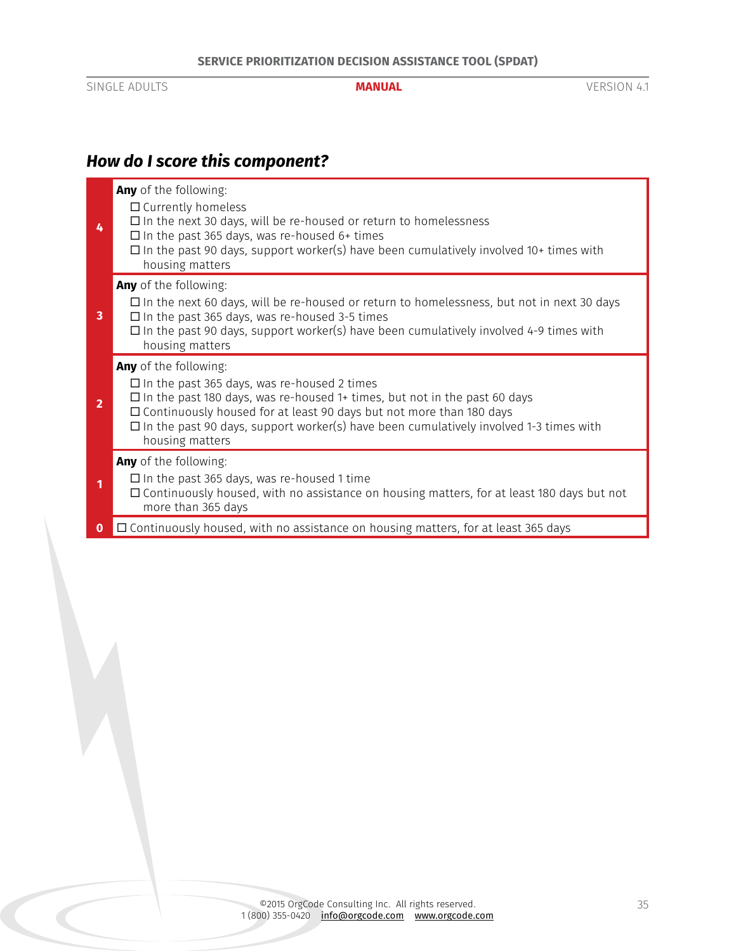# *How do I score this component?*

|                | Any of the following:<br>$\Box$ Currently homeless<br>$\square$ In the next 30 days, will be re-housed or return to homelessness<br>$\Box$ In the past 365 days, was re-housed 6+ times<br>$\Box$ In the past 90 days, support worker(s) have been cumulatively involved 10+ times with<br>housing matters                                                  |
|----------------|-------------------------------------------------------------------------------------------------------------------------------------------------------------------------------------------------------------------------------------------------------------------------------------------------------------------------------------------------------------|
| 3              | <b>Any</b> of the following:<br>$\Box$ In the next 60 days, will be re-housed or return to homelessness, but not in next 30 days<br>$\Box$ In the past 365 days, was re-housed 3-5 times<br>$\Box$ In the past 90 days, support worker(s) have been cumulatively involved 4-9 times with<br>housing matters                                                 |
| $\overline{2}$ | Any of the following:<br>$\Box$ In the past 365 days, was re-housed 2 times<br>$\Box$ In the past 180 days, was re-housed 1+ times, but not in the past 60 days<br>□ Continuously housed for at least 90 days but not more than 180 days<br>$\Box$ In the past 90 days, support worker(s) have been cumulatively involved 1-3 times with<br>housing matters |
|                | Any of the following:<br>$\Box$ In the past 365 days, was re-housed 1 time<br>$\Box$ Continuously housed, with no assistance on housing matters, for at least 180 days but not<br>more than 365 days                                                                                                                                                        |
|                | □ Continuously housed, with no assistance on housing matters, for at least 365 days                                                                                                                                                                                                                                                                         |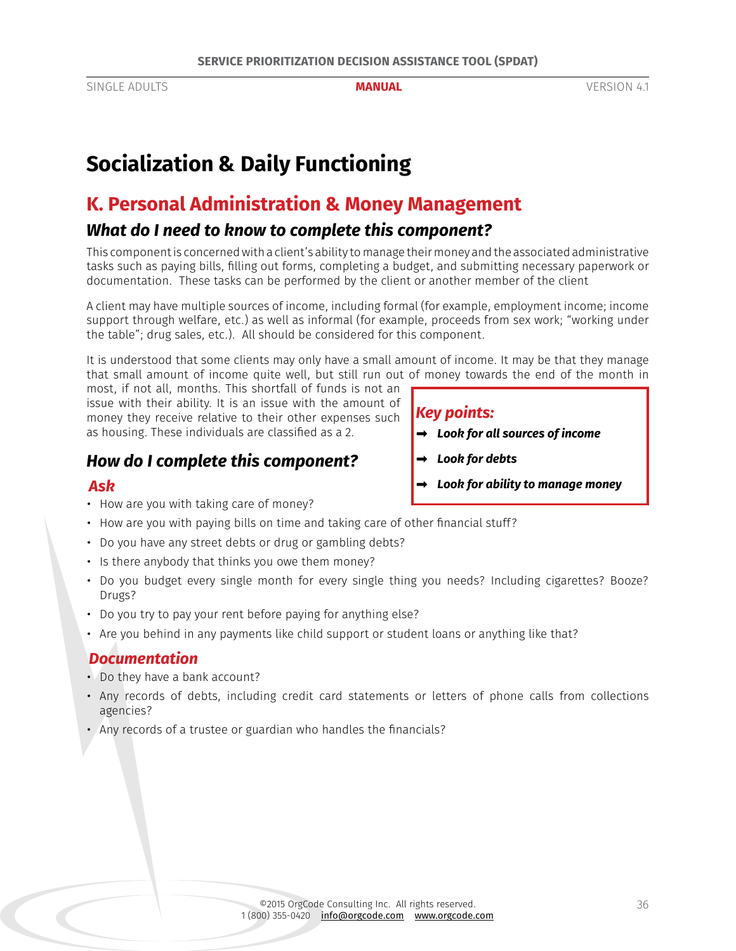# <span id="page-35-0"></span>**Socialization & Daily Functioning**

# **K. Personal Administration & Money Management**

# *What do I need to know to complete this component?*

This component is concerned with a client's ability to manage their money and the associated administrative tasks such as paying bills, filling out forms, completing a budget, and submitting necessary paperwork or documentation. These tasks can be performed by the client or another member of the client

A client may have multiple sources of income, including formal (for example, employment income; income support through welfare, etc.) as well as informal (for example, proceeds from sex work; "working under the table"; drug sales, etc.). All should be considered for this component.

It is understood that some clients may only have a small amount of income. It may be that they manage that small amount of income quite well, but still run out of money towards the end of the month in

*Key points:*

*➡ Look for debts*

*➡ Look for all sources of income*

*➡ Look for ability to manage money*

most, if not all, months. This shortfall of funds is not an issue with their ability. It is an issue with the amount of money they receive relative to their other expenses such as housing. These individuals are classified as a 2.

# *How do I complete this component?*

### *Ask*

- How are you with taking care of money?
- How are you with paying bills on time and taking care of other financial stuff?
- Do you have any street debts or drug or gambling debts?
- Is there anybody that thinks you owe them money?
- Do you budget every single month for every single thing you needs? Including cigarettes? Booze? Drugs?
- Do you try to pay your rent before paying for anything else?
- Are you behind in any payments like child support or student loans or anything like that?

### *Documentation*

- Do they have a bank account?
- Any records of debts, including credit card statements or letters of phone calls from collections agencies?
- Any records of a trustee or guardian who handles the financials?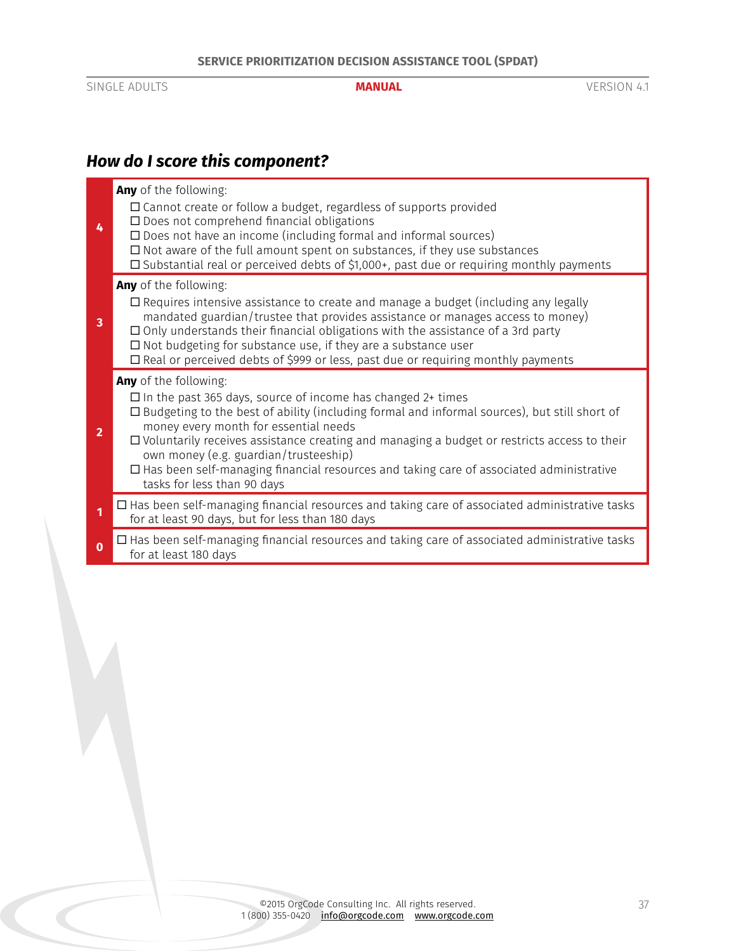# *How do I score this component?*

| 4            | Any of the following:<br>$\square$ Cannot create or follow a budget, regardless of supports provided<br>$\square$ Does not comprehend financial obligations<br>□ Does not have an income (including formal and informal sources)<br>$\Box$ Not aware of the full amount spent on substances, if they use substances<br>□ Substantial real or perceived debts of \$1,000+, past due or requiring monthly payments                                                                                                            |
|--------------|-----------------------------------------------------------------------------------------------------------------------------------------------------------------------------------------------------------------------------------------------------------------------------------------------------------------------------------------------------------------------------------------------------------------------------------------------------------------------------------------------------------------------------|
| 3            | Any of the following:<br>□ Requires intensive assistance to create and manage a budget (including any legally<br>mandated guardian/trustee that provides assistance or manages access to money)<br>$\Box$ Only understands their financial obligations with the assistance of a 3rd party<br>$\square$ Not budgeting for substance use, if they are a substance user<br>□ Real or perceived debts of \$999 or less, past due or requiring monthly payments                                                                  |
| $\mathbf{2}$ | Any of the following:<br>$\Box$ In the past 365 days, source of income has changed 2+ times<br>$\Box$ Budgeting to the best of ability (including formal and informal sources), but still short of<br>money every month for essential needs<br>$\Box$ Voluntarily receives assistance creating and managing a budget or restricts access to their<br>own money (e.g. guardian/trusteeship)<br>$\Box$ Has been self-managing financial resources and taking care of associated administrative<br>tasks for less than 90 days |
| $\mathbf{1}$ | $\Box$ Has been self-managing financial resources and taking care of associated administrative tasks<br>for at least 90 days, but for less than 180 days                                                                                                                                                                                                                                                                                                                                                                    |
| $\mathbf 0$  | $\Box$ Has been self-managing financial resources and taking care of associated administrative tasks<br>for at least 180 days                                                                                                                                                                                                                                                                                                                                                                                               |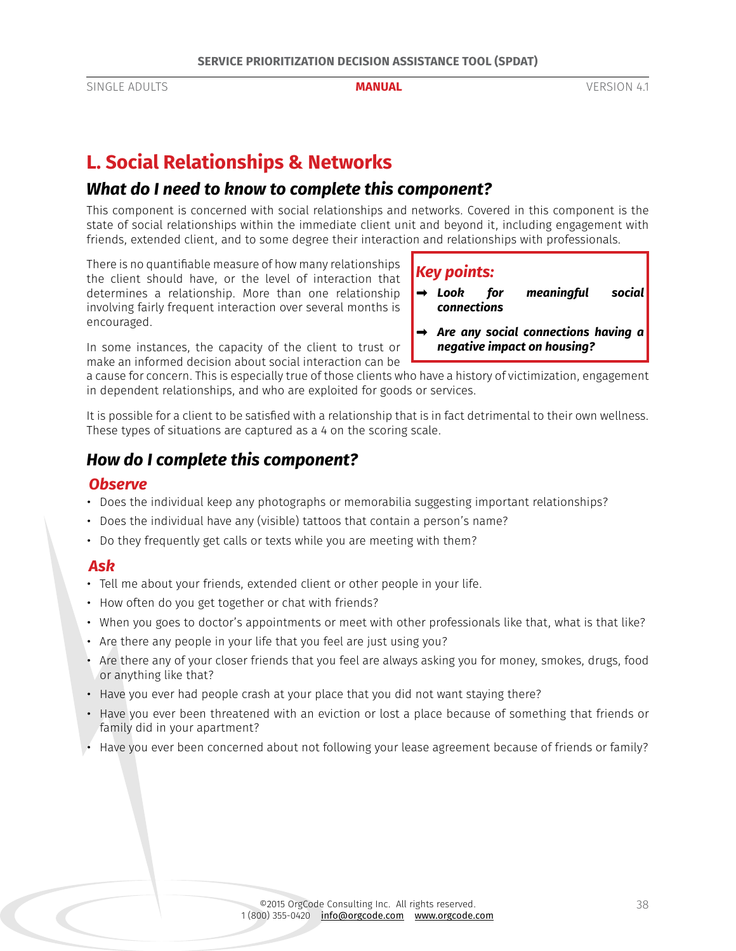# <span id="page-37-0"></span>**L. Social Relationships & Networks**

## *What do I need to know to complete this component?*

This component is concerned with social relationships and networks. Covered in this component is the state of social relationships within the immediate client unit and beyond it, including engagement with friends, extended client, and to some degree their interaction and relationships with professionals.

There is no quantifiable measure of how many relationships the client should have, or the level of interaction that determines a relationship. More than one relationship involving fairly frequent interaction over several months is encouraged.

## *Key points:*

- *➡ Look for meaningful social connections*
- *➡ Are any social connections having a negative impact on housing?*

In some instances, the capacity of the client to trust or make an informed decision about social interaction can be

a cause for concern. This is especially true of those clients who have a history of victimization, engagement in dependent relationships, and who are exploited for goods or services.

It is possible for a client to be satisfied with a relationship that is in fact detrimental to their own wellness. These types of situations are captured as a 4 on the scoring scale.

# *How do I complete this component?*

### *Observe*

- Does the individual keep any photographs or memorabilia suggesting important relationships?
- Does the individual have any (visible) tattoos that contain a person's name?
- Do they frequently get calls or texts while you are meeting with them?

### *Ask*

- Tell me about your friends, extended client or other people in your life.
- How often do you get together or chat with friends?
- When you goes to doctor's appointments or meet with other professionals like that, what is that like?
- Are there any people in your life that you feel are just using you?
- Are there any of your closer friends that you feel are always asking you for money, smokes, drugs, food or anything like that?
- Have you ever had people crash at your place that you did not want staying there?
- Have you ever been threatened with an eviction or lost a place because of something that friends or family did in your apartment?
- Have you ever been concerned about not following your lease agreement because of friends or family?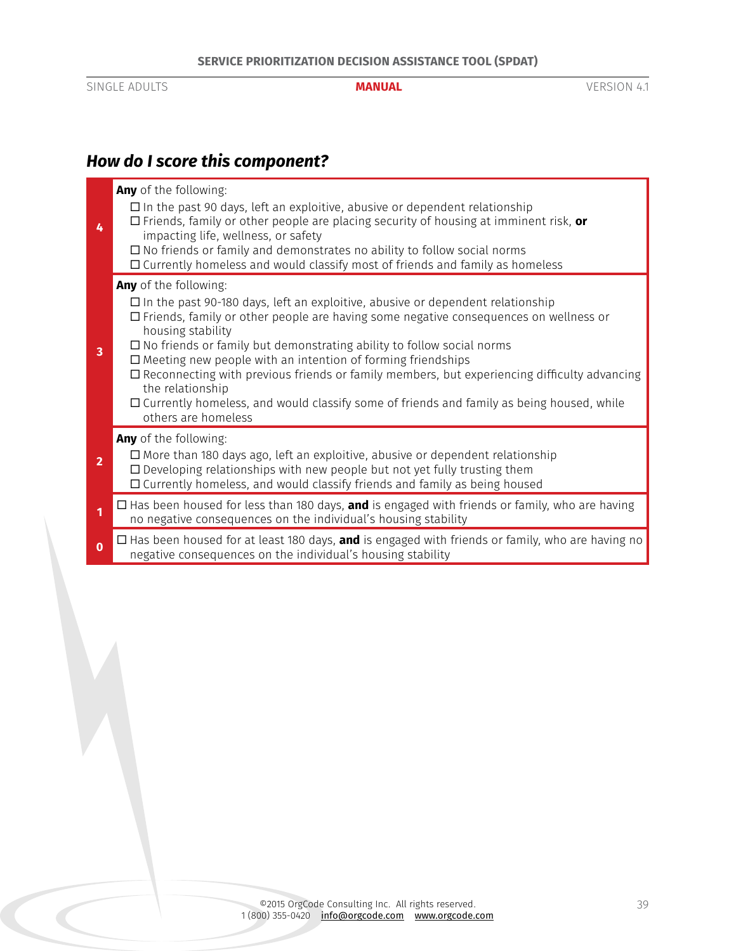# *How do I score this component?*

| 4              | Any of the following:<br>$\Box$ In the past 90 days, left an exploitive, abusive or dependent relationship<br>$\Box$ Friends, family or other people are placing security of housing at imminent risk, or<br>impacting life, wellness, or safety<br>$\Box$ No friends or family and demonstrates no ability to follow social norms                                                                                                                                                                                                                                                                                     |
|----------------|------------------------------------------------------------------------------------------------------------------------------------------------------------------------------------------------------------------------------------------------------------------------------------------------------------------------------------------------------------------------------------------------------------------------------------------------------------------------------------------------------------------------------------------------------------------------------------------------------------------------|
|                | $\Box$ Currently homeless and would classify most of friends and family as homeless<br>Any of the following:                                                                                                                                                                                                                                                                                                                                                                                                                                                                                                           |
| 3              | $\Box$ In the past 90-180 days, left an exploitive, abusive or dependent relationship<br>$\Box$ Friends, family or other people are having some negative consequences on wellness or<br>housing stability<br>$\square$ No friends or family but demonstrating ability to follow social norms<br>$\Box$ Meeting new people with an intention of forming friendships<br>$\Box$ Reconnecting with previous friends or family members, but experiencing difficulty advancing<br>the relationship<br>$\Box$ Currently homeless, and would classify some of friends and family as being housed, while<br>others are homeless |
| $\overline{2}$ | <b>Any</b> of the following:<br>$\Box$ More than 180 days ago, left an exploitive, abusive or dependent relationship<br>$\Box$ Developing relationships with new people but not yet fully trusting them<br>$\Box$ Currently homeless, and would classify friends and family as being housed                                                                                                                                                                                                                                                                                                                            |
| 1              | $\Box$ Has been housed for less than 180 days, <b>and</b> is engaged with friends or family, who are having<br>no negative consequences on the individual's housing stability                                                                                                                                                                                                                                                                                                                                                                                                                                          |
| $\mathbf 0$    | $\Box$ Has been housed for at least 180 days, <b>and</b> is engaged with friends or family, who are having no<br>negative consequences on the individual's housing stability                                                                                                                                                                                                                                                                                                                                                                                                                                           |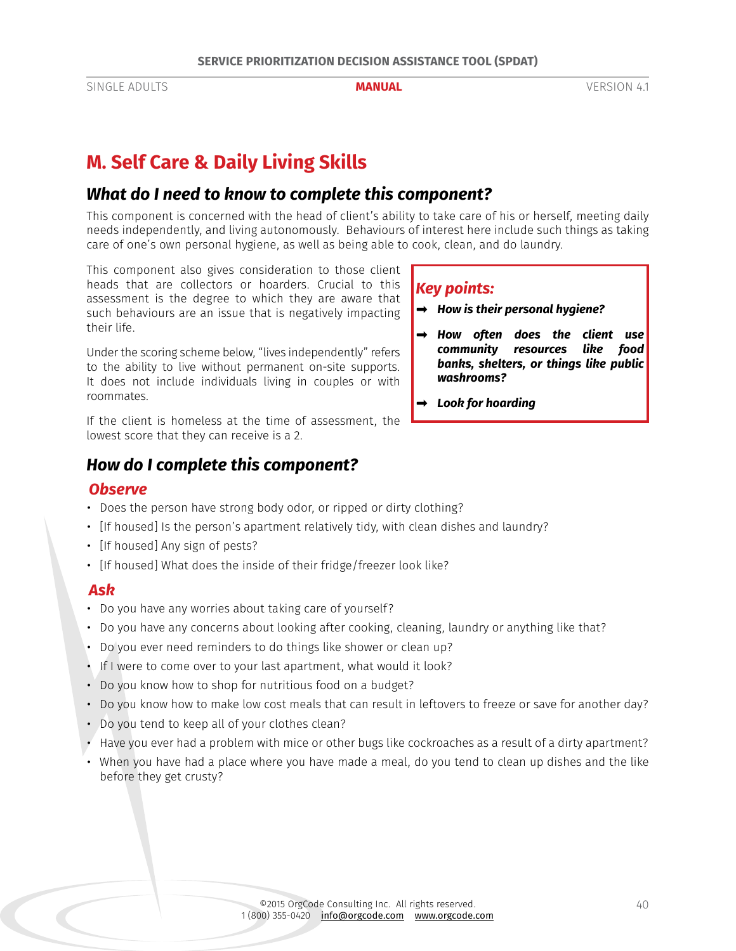# **M. Self Care & Daily Living Skills**

# *What do I need to know to complete this component?*

This component is concerned with the head of client's ability to take care of his or herself, meeting daily needs independently, and living autonomously. Behaviours of interest here include such things as taking care of one's own personal hygiene, as well as being able to cook, clean, and do laundry.

This component also gives consideration to those client heads that are collectors or hoarders. Crucial to this assessment is the degree to which they are aware that such behaviours are an issue that is negatively impacting their life.

Under the scoring scheme below, "lives independently" refers to the ability to live without permanent on-site supports. It does not include individuals living in couples or with roommates.

If the client is homeless at the time of assessment, the lowest score that they can receive is a 2.

# *How do I complete this component?*

### *Observe*

- Does the person have strong body odor, or ripped or dirty clothing?
- [If housed] Is the person's apartment relatively tidy, with clean dishes and laundry?
- [If housed] Any sign of pests?
- [If housed] What does the inside of their fridge/freezer look like?

### *Ask*

- Do you have any worries about taking care of yourself?
- Do you have any concerns about looking after cooking, cleaning, laundry or anything like that?
- Do you ever need reminders to do things like shower or clean up?
- If I were to come over to your last apartment, what would it look?
- Do you know how to shop for nutritious food on a budget?
- Do you know how to make low cost meals that can result in leftovers to freeze or save for another day?
- Do you tend to keep all of your clothes clean?
- Have you ever had a problem with mice or other bugs like cockroaches as a result of a dirty apartment?
- When you have had a place where you have made a meal, do you tend to clean up dishes and the like before they get crusty?

## *Key points:*

- *➡ How is their personal hygiene?*
- *➡ How often does the client use community resources like food banks, shelters, or things like public washrooms?*
- *➡ Look for hoarding*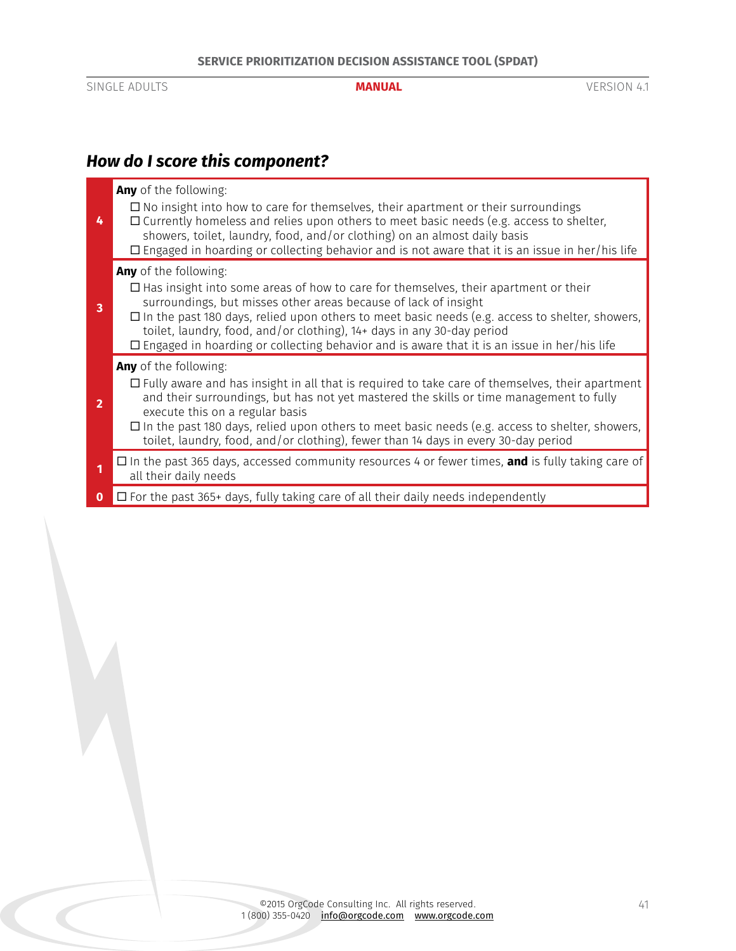# *How do I score this component?*

| 4              | Any of the following:<br>$\Box$ No insight into how to care for themselves, their apartment or their surroundings<br>$\Box$ Currently homeless and relies upon others to meet basic needs (e.g. access to shelter,<br>showers, toilet, laundry, food, and/or clothing) on an almost daily basis<br>$\Box$ Engaged in hoarding or collecting behavior and is not aware that it is an issue in her/his life                                                                       |
|----------------|---------------------------------------------------------------------------------------------------------------------------------------------------------------------------------------------------------------------------------------------------------------------------------------------------------------------------------------------------------------------------------------------------------------------------------------------------------------------------------|
| 3              | Any of the following:<br>$\Box$ Has insight into some areas of how to care for themselves, their apartment or their<br>surroundings, but misses other areas because of lack of insight<br>$\Box$ In the past 180 days, relied upon others to meet basic needs (e.g. access to shelter, showers,<br>toilet, laundry, food, and/or clothing), 14+ days in any 30-day period<br>$\Box$ Engaged in hoarding or collecting behavior and is aware that it is an issue in her/his life |
| $\overline{2}$ | Any of the following:<br>$\Box$ Fully aware and has insight in all that is required to take care of themselves, their apartment<br>and their surroundings, but has not yet mastered the skills or time management to fully<br>execute this on a regular basis<br>$\Box$ In the past 180 days, relied upon others to meet basic needs (e.g. access to shelter, showers,<br>toilet, laundry, food, and/or clothing), fewer than 14 days in every 30-day period                    |
|                | $\Box$ In the past 365 days, accessed community resources 4 or fewer times, <b>and</b> is fully taking care of<br>all their daily needs                                                                                                                                                                                                                                                                                                                                         |
| 0              | $\Box$ For the past 365+ days, fully taking care of all their daily needs independently                                                                                                                                                                                                                                                                                                                                                                                         |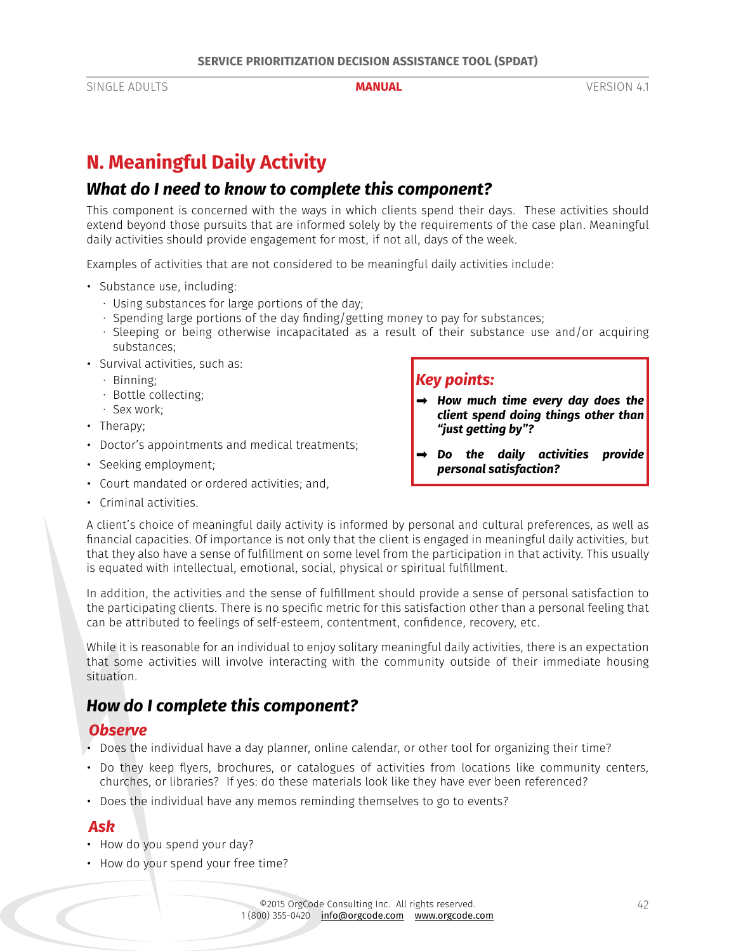# <span id="page-41-0"></span>**N. Meaningful Daily Activity**

# *What do I need to know to complete this component?*

This component is concerned with the ways in which clients spend their days. These activities should extend beyond those pursuits that are informed solely by the requirements of the case plan. Meaningful daily activities should provide engagement for most, if not all, days of the week.

Examples of activities that are not considered to be meaningful daily activities include:

- Substance use, including:
	- · Using substances for large portions of the day;
	- · Spending large portions of the day finding/getting money to pay for substances;
	- · Sleeping or being otherwise incapacitated as a result of their substance use and/or acquiring substances;
- Survival activities, such as:
	- · Binning;
	- · Bottle collecting;
	- · Sex work;
- Therapy;
- Doctor's appointments and medical treatments;
- Seeking employment;
- Court mandated or ordered activities; and,
- Criminal activities.

## *Key points:*

- *➡ How much time every day does the client spend doing things other than "just getting by"?*
- *➡ Do the daily activities provide personal satisfaction?*

A client's choice of meaningful daily activity is informed by personal and cultural preferences, as well as financial capacities. Of importance is not only that the client is engaged in meaningful daily activities, but that they also have a sense of fulfillment on some level from the participation in that activity. This usually is equated with intellectual, emotional, social, physical or spiritual fulfillment.

In addition, the activities and the sense of fulfillment should provide a sense of personal satisfaction to the participating clients. There is no specific metric for this satisfaction other than a personal feeling that can be attributed to feelings of self-esteem, contentment, confidence, recovery, etc.

While it is reasonable for an individual to enjoy solitary meaningful daily activities, there is an expectation that some activities will involve interacting with the community outside of their immediate housing situation.

# *How do I complete this component?*

### *Observe*

- Does the individual have a day planner, online calendar, or other tool for organizing their time?
- Do they keep flyers, brochures, or catalogues of activities from locations like community centers, churches, or libraries? If yes: do these materials look like they have ever been referenced?
- Does the individual have any memos reminding themselves to go to events?

### *Ask*

- How do you spend your day?
- How do your spend your free time?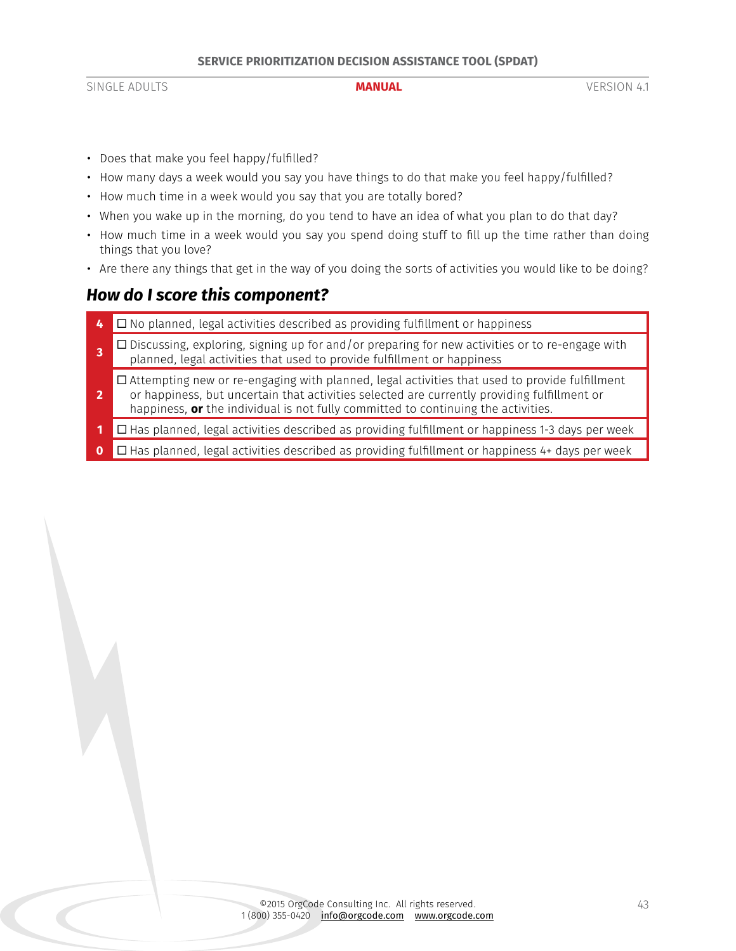- Does that make you feel happy/fulfilled?
- How many days a week would you say you have things to do that make you feel happy/fulfilled?
- How much time in a week would you say that you are totally bored?
- When you wake up in the morning, do you tend to have an idea of what you plan to do that day?
- How much time in a week would you say you spend doing stuff to fill up the time rather than doing things that you love?
- Are there any things that get in the way of you doing the sorts of activities you would like to be doing?

# *How do I score this component?*

- **4** □ No planned, legal activities described as providing fulfillment or happiness
- **3**  $\Box$  Discussing, exploring, signing up for and/or preparing for new activities or to re-engage with planned, legal activities that used to provide fulfillment or happiness
- **2**  $\square$  Attempting new or re-engaging with planned, legal activities that used to provide fulfillment or happiness, but uncertain that activities selected are currently providing fulfillment or happiness, **or** the individual is not fully committed to continuing the activities.
- **1** □ Has planned, legal activities described as providing fulfillment or happiness 1-3 days per week
- **0** □ Has planned, legal activities described as providing fulfillment or happiness 4+ days per week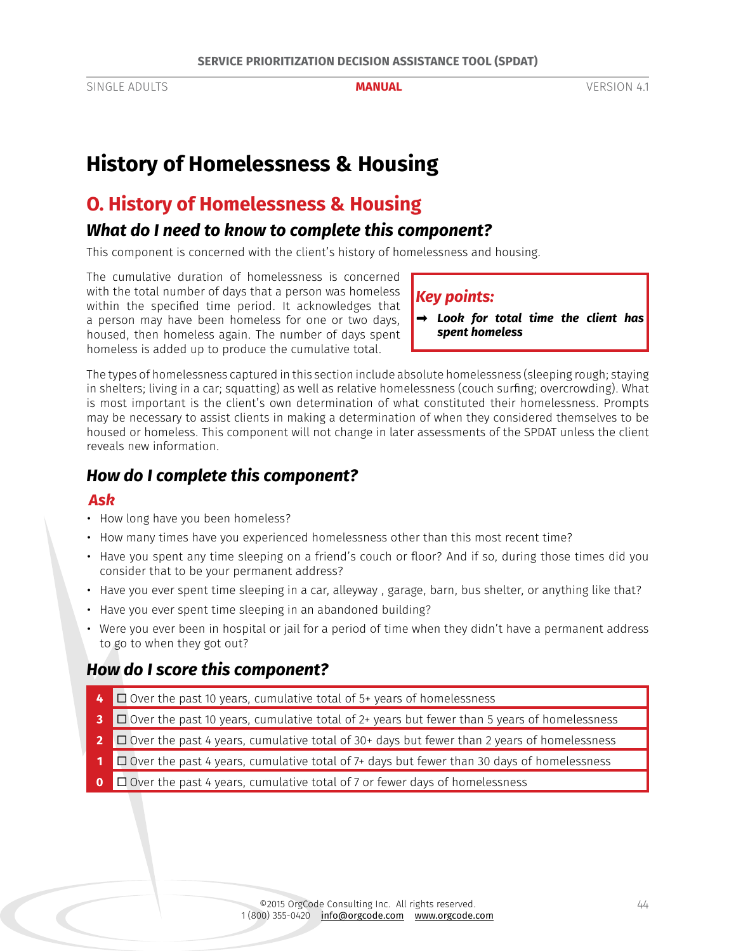# <span id="page-43-0"></span>**History of Homelessness & Housing**

# **O. History of Homelessness & Housing**

# *What do I need to know to complete this component?*

This component is concerned with the client's history of homelessness and housing.

The cumulative duration of homelessness is concerned with the total number of days that a person was homeless within the specified time period. It acknowledges that a person may have been homeless for one or two days, housed, then homeless again. The number of days spent homeless is added up to produce the cumulative total.

### *Key points:*

*➡ Look for total time the client has spent homeless*

The types of homelessness captured in this section include absolute homelessness (sleeping rough; staying in shelters; living in a car; squatting) as well as relative homelessness (couch surfing; overcrowding). What is most important is the client's own determination of what constituted their homelessness. Prompts may be necessary to assist clients in making a determination of when they considered themselves to be housed or homeless. This component will not change in later assessments of the SPDAT unless the client reveals new information.

# *How do I complete this component?*

#### *Ask*

- How long have you been homeless?
- How many times have you experienced homelessness other than this most recent time?
- Have you spent any time sleeping on a friend's couch or floor? And if so, during those times did you consider that to be your permanent address?
- Have you ever spent time sleeping in a car, alleyway , garage, barn, bus shelter, or anything like that?
- Have you ever spent time sleeping in an abandoned building?
- Were you ever been in hospital or jail for a period of time when they didn't have a permanent address to go to when they got out?

# *How do I score this component?*

- **4** □ Over the past 10 years, cumulative total of 5+ years of homelessness
- **3** □ Over the past 10 years, cumulative total of 2+ years but fewer than 5 years of homelessness
- **2** □ Over the past 4 years, cumulative total of 30+ days but fewer than 2 years of homelessness
- **1** □ Over the past 4 years, cumulative total of 7+ days but fewer than 30 days of homelessness
- **0** □ Over the past 4 years, cumulative total of 7 or fewer days of homelessness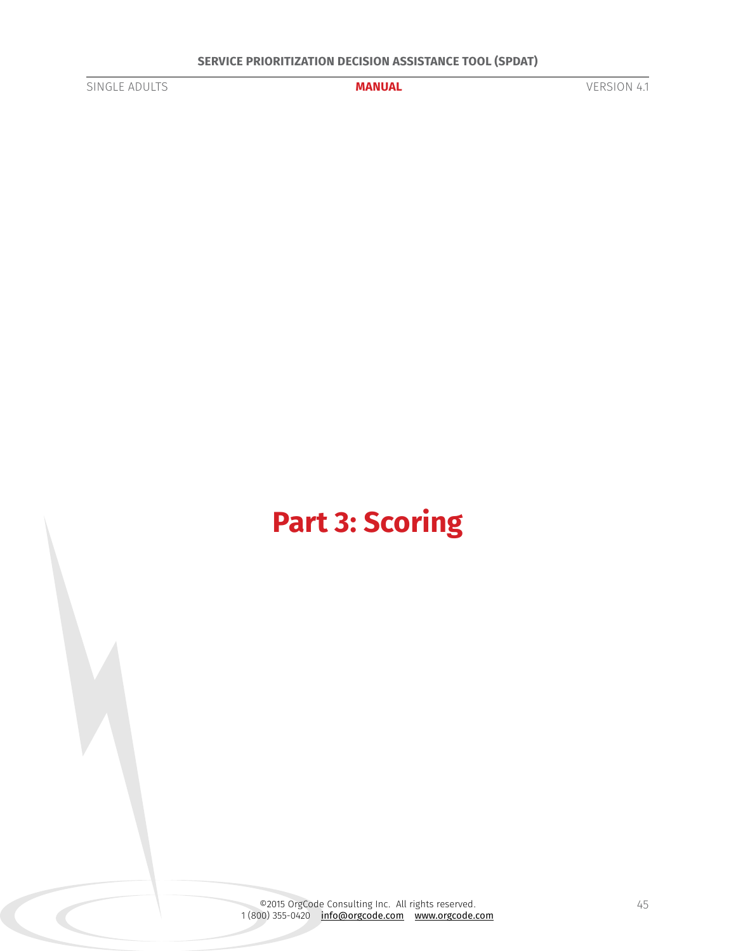<span id="page-44-0"></span>

# **Part 3: Scoring**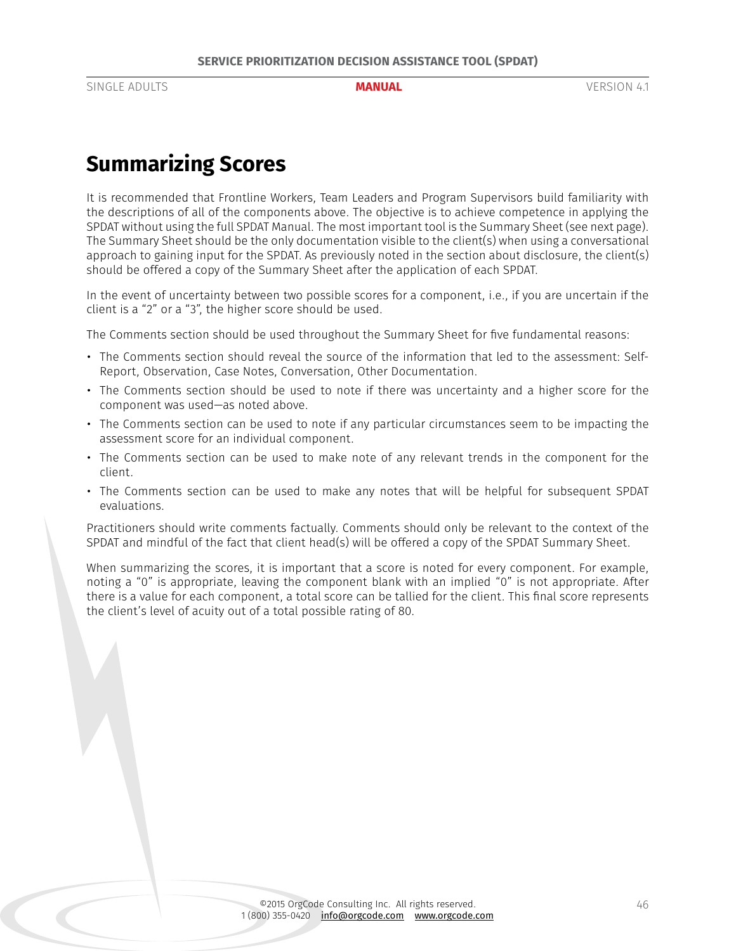# <span id="page-45-0"></span>**Summarizing Scores**

It is recommended that Frontline Workers, Team Leaders and Program Supervisors build familiarity with the descriptions of all of the components above. The objective is to achieve competence in applying the SPDAT without using the full SPDAT Manual. The most important tool is the Summary Sheet (see next page). The Summary Sheet should be the only documentation visible to the client(s) when using a conversational approach to gaining input for the SPDAT. As previously noted in the section about disclosure, the client(s) should be offered a copy of the Summary Sheet after the application of each SPDAT.

In the event of uncertainty between two possible scores for a component, i.e., if you are uncertain if the client is a "2" or a "3", the higher score should be used.

The Comments section should be used throughout the Summary Sheet for five fundamental reasons:

- The Comments section should reveal the source of the information that led to the assessment: Self-Report, Observation, Case Notes, Conversation, Other Documentation.
- The Comments section should be used to note if there was uncertainty and a higher score for the component was used—as noted above.
- The Comments section can be used to note if any particular circumstances seem to be impacting the assessment score for an individual component.
- The Comments section can be used to make note of any relevant trends in the component for the client.
- The Comments section can be used to make any notes that will be helpful for subsequent SPDAT evaluations.

Practitioners should write comments factually. Comments should only be relevant to the context of the SPDAT and mindful of the fact that client head(s) will be offered a copy of the SPDAT Summary Sheet.

When summarizing the scores, it is important that a score is noted for every component. For example, noting a "0" is appropriate, leaving the component blank with an implied "0" is not appropriate. After there is a value for each component, a total score can be tallied for the client. This final score represents the client's level of acuity out of a total possible rating of 80.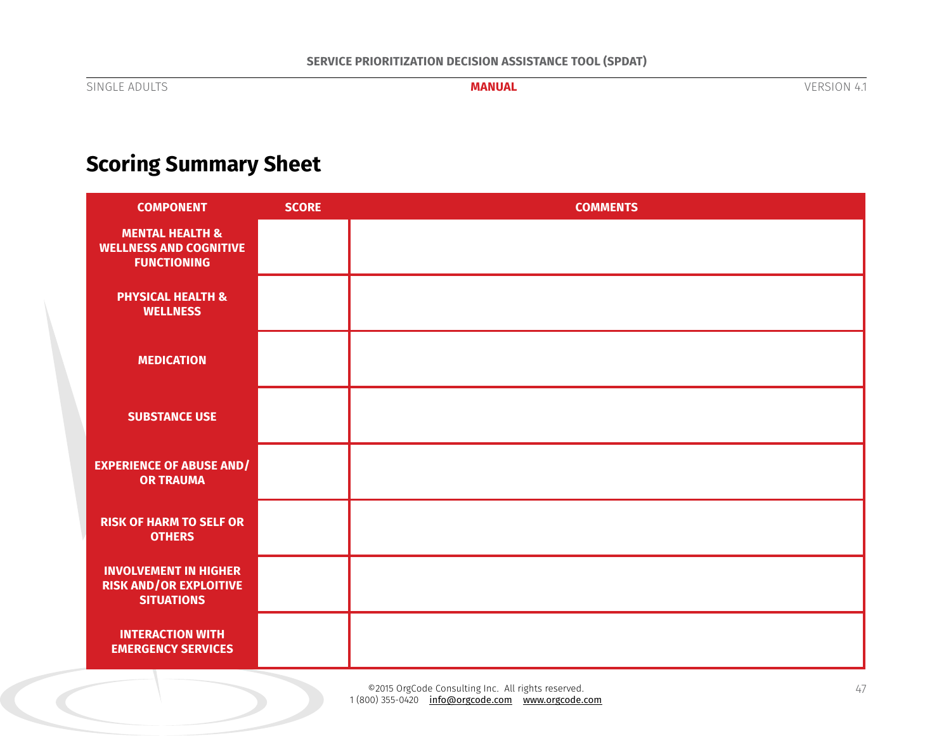# <span id="page-46-0"></span>**Scoring Summary Sheet**

| <b>COMPONENT</b>                                                                   | <b>SCORE</b> | <b>COMMENTS</b> |
|------------------------------------------------------------------------------------|--------------|-----------------|
| <b>MENTAL HEALTH &amp;</b><br><b>WELLNESS AND COGNITIVE</b><br><b>FUNCTIONING</b>  |              |                 |
| <b>PHYSICAL HEALTH &amp;</b><br><b>WELLNESS</b>                                    |              |                 |
| <b>MEDICATION</b>                                                                  |              |                 |
| <b>SUBSTANCE USE</b>                                                               |              |                 |
| <b>EXPERIENCE OF ABUSE AND/</b><br><b>OR TRAUMA</b>                                |              |                 |
| <b>RISK OF HARM TO SELF OR</b><br><b>OTHERS</b>                                    |              |                 |
| <b>INVOLVEMENT IN HIGHER</b><br><b>RISK AND/OR EXPLOITIVE</b><br><b>SITUATIONS</b> |              |                 |
| <b>INTERACTION WITH</b><br><b>EMERGENCY SERVICES</b>                               |              |                 |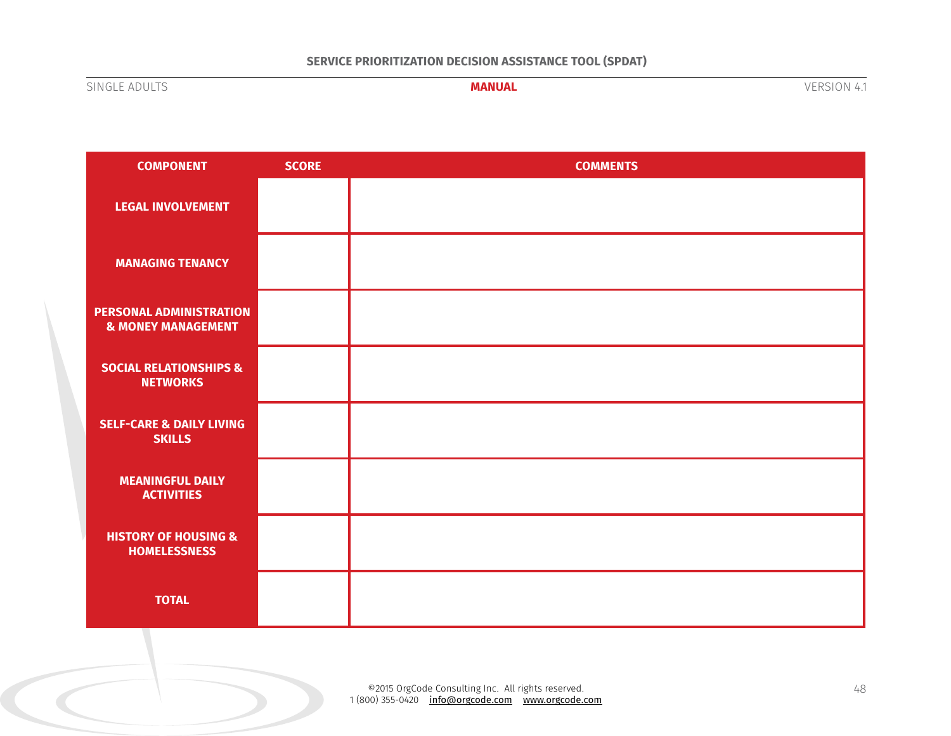### **SERVICE PRIORITIZATION DECISION ASSISTANCE TOOL (SPDAT)**

SINGLE ADULTS **MANUAL** VERSION 4.1

| <b>COMPONENT</b>                                                | <b>SCORE</b> | <b>COMMENTS</b> |
|-----------------------------------------------------------------|--------------|-----------------|
| <b>LEGAL INVOLVEMENT</b>                                        |              |                 |
| <b>MANAGING TENANCY</b>                                         |              |                 |
| <b>PERSONAL ADMINISTRATION</b><br><b>&amp; MONEY MANAGEMENT</b> |              |                 |
| <b>SOCIAL RELATIONSHIPS &amp;</b><br><b>NETWORKS</b>            |              |                 |
| <b>SELF-CARE &amp; DAILY LIVING</b><br><b>SKILLS</b>            |              |                 |
| <b>MEANINGFUL DAILY</b><br><b>ACTIVITIES</b>                    |              |                 |
| <b>HISTORY OF HOUSING &amp;</b><br><b>HOMELESSNESS</b>          |              |                 |
| <b>TOTAL</b>                                                    |              |                 |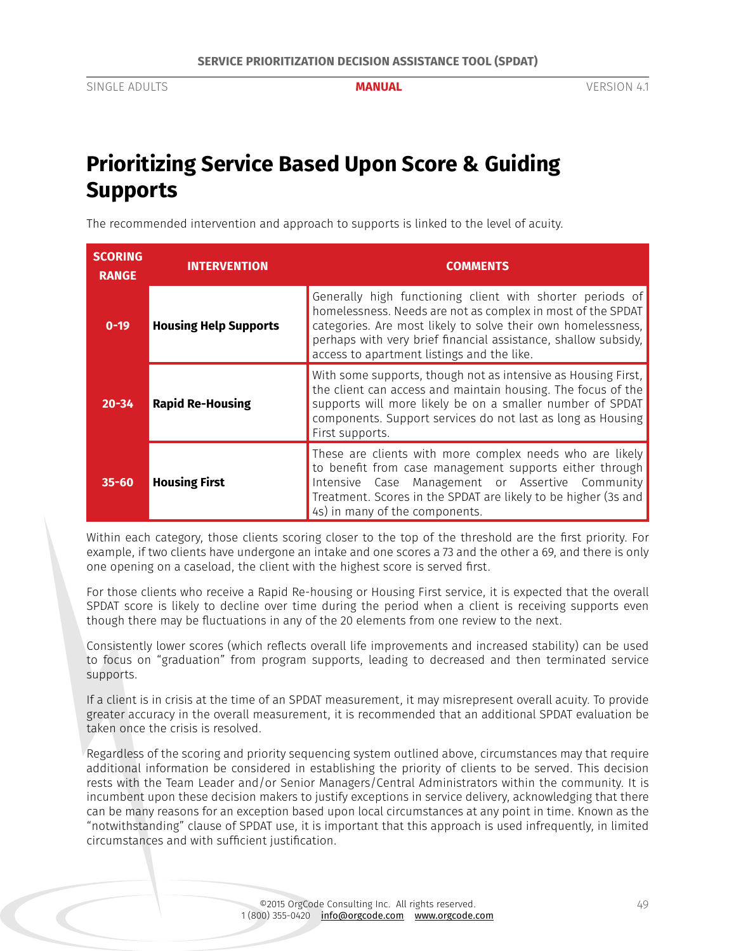# <span id="page-48-0"></span>**Prioritizing Service Based Upon Score & Guiding Supports**

The recommended intervention and approach to supports is linked to the level of acuity.

| <b>SCORING</b><br><b>RANGE</b> | <b>INTERVENTION</b>          | <b>COMMENTS</b>                                                                                                                                                                                                                                                                                          |
|--------------------------------|------------------------------|----------------------------------------------------------------------------------------------------------------------------------------------------------------------------------------------------------------------------------------------------------------------------------------------------------|
| $0 - 19$                       | <b>Housing Help Supports</b> | Generally high functioning client with shorter periods of<br>homelessness. Needs are not as complex in most of the SPDAT<br>categories. Are most likely to solve their own homelessness,<br>perhaps with very brief financial assistance, shallow subsidy,<br>access to apartment listings and the like. |
| $20 - 34$                      | <b>Rapid Re-Housing</b>      | With some supports, though not as intensive as Housing First,<br>the client can access and maintain housing. The focus of the<br>supports will more likely be on a smaller number of SPDAT<br>components. Support services do not last as long as Housing<br>First supports.                             |
| $35 - 60$                      | <b>Housing First</b>         | These are clients with more complex needs who are likely<br>to benefit from case management supports either through<br>Case Management or Assertive Community<br>Intensive<br>Treatment. Scores in the SPDAT are likely to be higher (3s and<br>4s) in many of the components.                           |

Within each category, those clients scoring closer to the top of the threshold are the first priority. For example, if two clients have undergone an intake and one scores a 73 and the other a 69, and there is only one opening on a caseload, the client with the highest score is served first.

For those clients who receive a Rapid Re-housing or Housing First service, it is expected that the overall SPDAT score is likely to decline over time during the period when a client is receiving supports even though there may be fluctuations in any of the 20 elements from one review to the next.

Consistently lower scores (which reflects overall life improvements and increased stability) can be used to focus on "graduation" from program supports, leading to decreased and then terminated service supports.

If a client is in crisis at the time of an SPDAT measurement, it may misrepresent overall acuity. To provide greater accuracy in the overall measurement, it is recommended that an additional SPDAT evaluation be taken once the crisis is resolved.

Regardless of the scoring and priority sequencing system outlined above, circumstances may that require additional information be considered in establishing the priority of clients to be served. This decision rests with the Team Leader and/or Senior Managers/Central Administrators within the community. It is incumbent upon these decision makers to justify exceptions in service delivery, acknowledging that there can be many reasons for an exception based upon local circumstances at any point in time. Known as the "notwithstanding" clause of SPDAT use, it is important that this approach is used infrequently, in limited circumstances and with sufficient justification.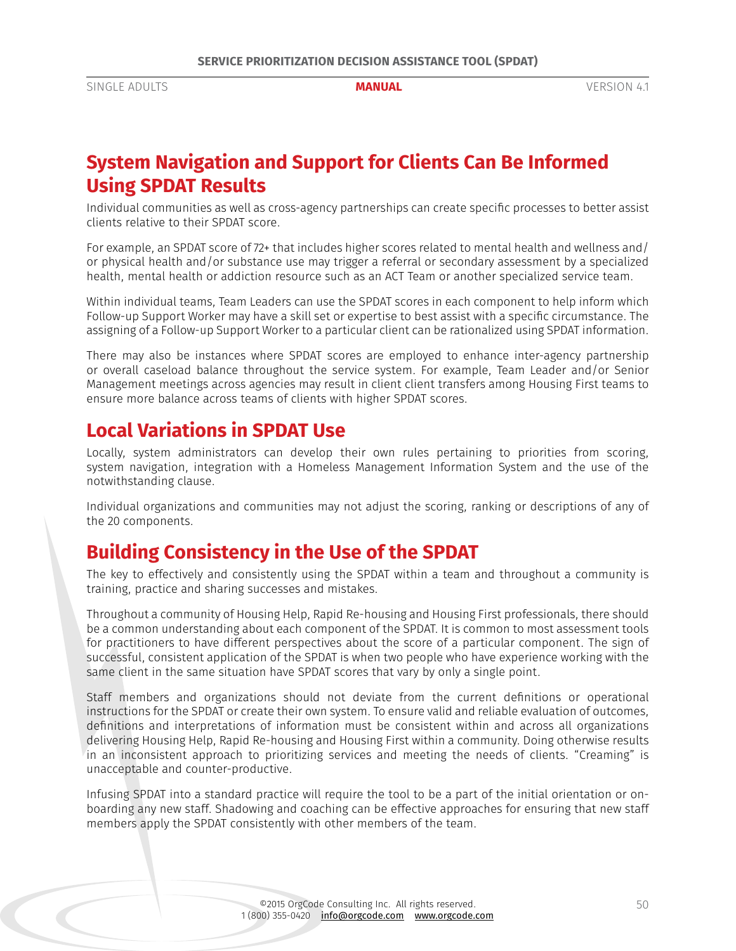# <span id="page-49-0"></span>**System Navigation and Support for Clients Can Be Informed Using SPDAT Results**

Individual communities as well as cross-agency partnerships can create specific processes to better assist clients relative to their SPDAT score.

For example, an SPDAT score of 72+ that includes higher scores related to mental health and wellness and/ or physical health and/or substance use may trigger a referral or secondary assessment by a specialized health, mental health or addiction resource such as an ACT Team or another specialized service team.

Within individual teams, Team Leaders can use the SPDAT scores in each component to help inform which Follow-up Support Worker may have a skill set or expertise to best assist with a specific circumstance. The assigning of a Follow-up Support Worker to a particular client can be rationalized using SPDAT information.

There may also be instances where SPDAT scores are employed to enhance inter-agency partnership or overall caseload balance throughout the service system. For example, Team Leader and/or Senior Management meetings across agencies may result in client client transfers among Housing First teams to ensure more balance across teams of clients with higher SPDAT scores.

# **Local Variations in SPDAT Use**

Locally, system administrators can develop their own rules pertaining to priorities from scoring, system navigation, integration with a Homeless Management Information System and the use of the notwithstanding clause.

Individual organizations and communities may not adjust the scoring, ranking or descriptions of any of the 20 components.

# **Building Consistency in the Use of the SPDAT**

The key to effectively and consistently using the SPDAT within a team and throughout a community is training, practice and sharing successes and mistakes.

Throughout a community of Housing Help, Rapid Re-housing and Housing First professionals, there should be a common understanding about each component of the SPDAT. It is common to most assessment tools for practitioners to have different perspectives about the score of a particular component. The sign of successful, consistent application of the SPDAT is when two people who have experience working with the same client in the same situation have SPDAT scores that vary by only a single point.

Staff members and organizations should not deviate from the current definitions or operational instructions for the SPDAT or create their own system. To ensure valid and reliable evaluation of outcomes, definitions and interpretations of information must be consistent within and across all organizations delivering Housing Help, Rapid Re-housing and Housing First within a community. Doing otherwise results in an inconsistent approach to prioritizing services and meeting the needs of clients. "Creaming" is unacceptable and counter-productive.

Infusing SPDAT into a standard practice will require the tool to be a part of the initial orientation or onboarding any new staff. Shadowing and coaching can be effective approaches for ensuring that new staff members apply the SPDAT consistently with other members of the team.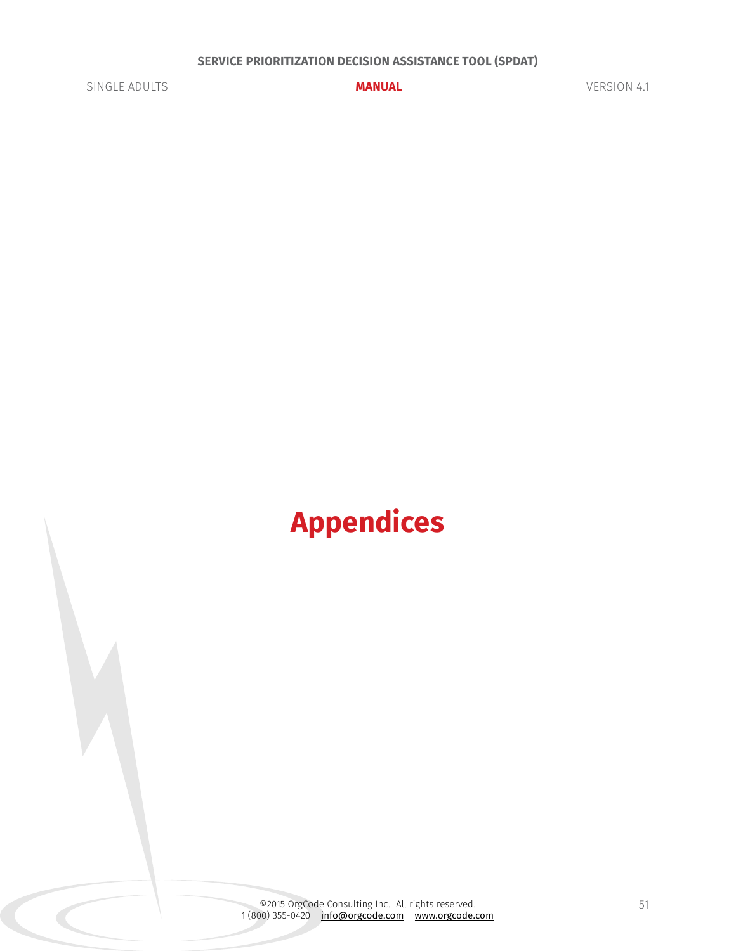<span id="page-50-0"></span>

# **Appendices**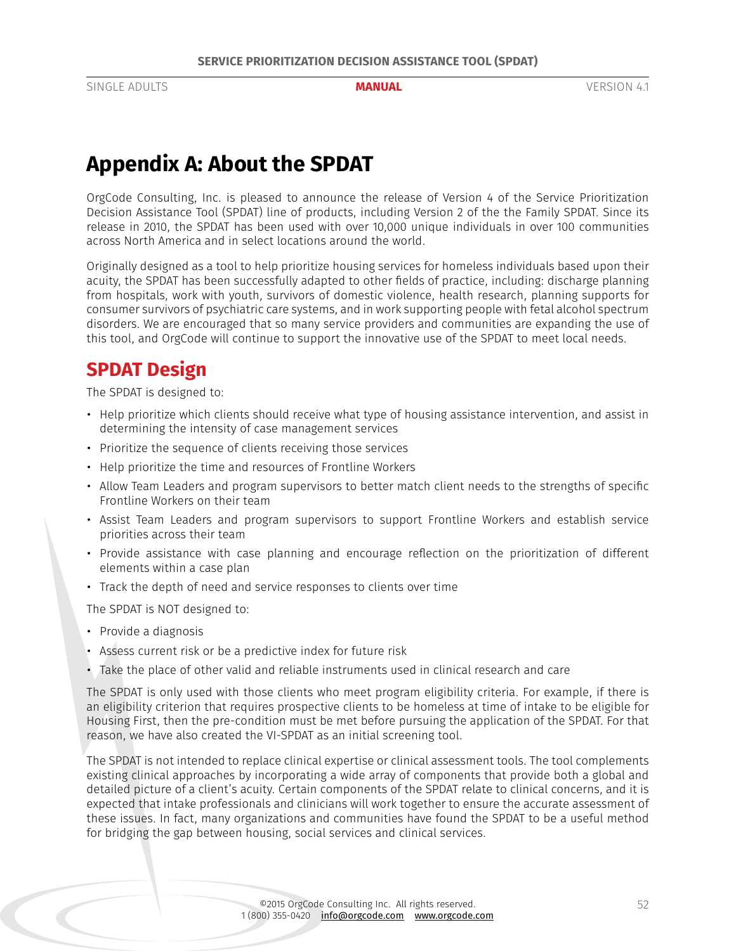# <span id="page-51-0"></span>**Appendix A: About the SPDAT**

OrgCode Consulting, Inc. is pleased to announce the release of Version 4 of the Service Prioritization Decision Assistance Tool (SPDAT) line of products, including Version 2 of the the Family SPDAT. Since its release in 2010, the SPDAT has been used with over 10,000 unique individuals in over 100 communities across North America and in select locations around the world.

Originally designed as a tool to help prioritize housing services for homeless individuals based upon their acuity, the SPDAT has been successfully adapted to other fields of practice, including: discharge planning from hospitals, work with youth, survivors of domestic violence, health research, planning supports for consumer survivors of psychiatric care systems, and in work supporting people with fetal alcohol spectrum disorders. We are encouraged that so many service providers and communities are expanding the use of this tool, and OrgCode will continue to support the innovative use of the SPDAT to meet local needs.

# **SPDAT Design**

The SPDAT is designed to:

- Help prioritize which clients should receive what type of housing assistance intervention, and assist in determining the intensity of case management services
- Prioritize the sequence of clients receiving those services
- Help prioritize the time and resources of Frontline Workers
- Allow Team Leaders and program supervisors to better match client needs to the strengths of specific Frontline Workers on their team
- Assist Team Leaders and program supervisors to support Frontline Workers and establish service priorities across their team
- Provide assistance with case planning and encourage reflection on the prioritization of different elements within a case plan
- Track the depth of need and service responses to clients over time

The SPDAT is NOT designed to:

- Provide a diagnosis
- Assess current risk or be a predictive index for future risk
- Take the place of other valid and reliable instruments used in clinical research and care

The SPDAT is only used with those clients who meet program eligibility criteria. For example, if there is an eligibility criterion that requires prospective clients to be homeless at time of intake to be eligible for Housing First, then the pre-condition must be met before pursuing the application of the SPDAT. For that reason, we have also created the VI-SPDAT as an initial screening tool.

The SPDAT is not intended to replace clinical expertise or clinical assessment tools. The tool complements existing clinical approaches by incorporating a wide array of components that provide both a global and detailed picture of a client's acuity. Certain components of the SPDAT relate to clinical concerns, and it is expected that intake professionals and clinicians will work together to ensure the accurate assessment of these issues. In fact, many organizations and communities have found the SPDAT to be a useful method for bridging the gap between housing, social services and clinical services.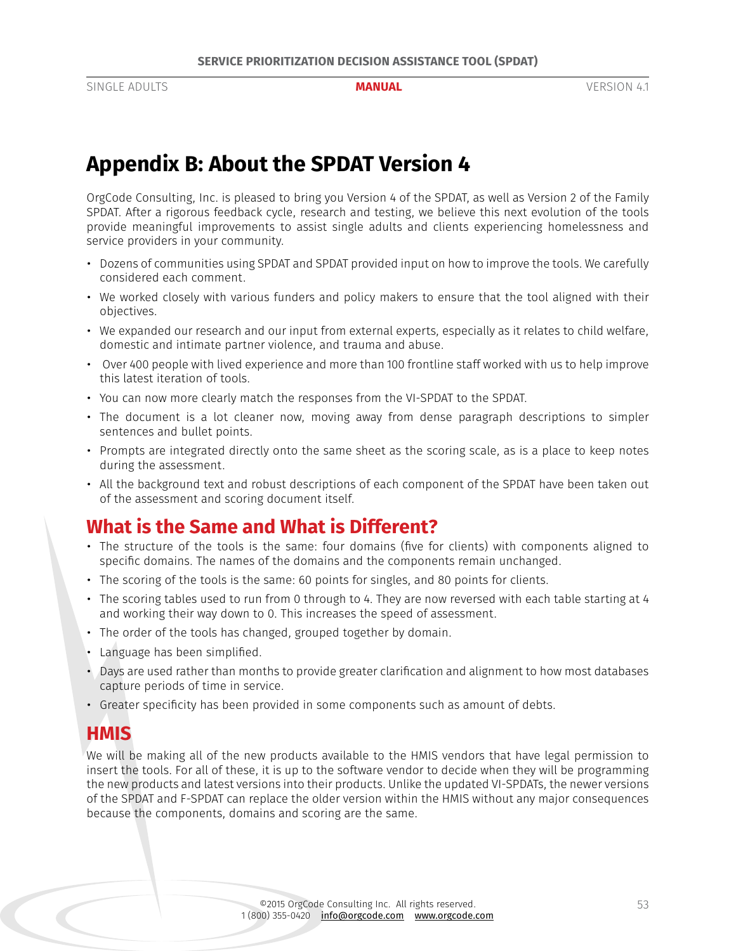# <span id="page-52-0"></span>**Appendix B: About the SPDAT Version 4**

OrgCode Consulting, Inc. is pleased to bring you Version 4 of the SPDAT, as well as Version 2 of the Family SPDAT. After a rigorous feedback cycle, research and testing, we believe this next evolution of the tools provide meaningful improvements to assist single adults and clients experiencing homelessness and service providers in your community.

- Dozens of communities using SPDAT and SPDAT provided input on how to improve the tools. We carefully considered each comment.
- We worked closely with various funders and policy makers to ensure that the tool aligned with their objectives.
- We expanded our research and our input from external experts, especially as it relates to child welfare, domestic and intimate partner violence, and trauma and abuse.
- Over 400 people with lived experience and more than 100 frontline staff worked with us to help improve this latest iteration of tools.
- You can now more clearly match the responses from the VI-SPDAT to the SPDAT.
- The document is a lot cleaner now, moving away from dense paragraph descriptions to simpler sentences and bullet points.
- Prompts are integrated directly onto the same sheet as the scoring scale, as is a place to keep notes during the assessment.
- All the background text and robust descriptions of each component of the SPDAT have been taken out of the assessment and scoring document itself.

# **What is the Same and What is Different?**

- The structure of the tools is the same: four domains (five for clients) with components aligned to specific domains. The names of the domains and the components remain unchanged.
- The scoring of the tools is the same: 60 points for singles, and 80 points for clients.
- The scoring tables used to run from 0 through to 4. They are now reversed with each table starting at 4 and working their way down to 0. This increases the speed of assessment.
- The order of the tools has changed, grouped together by domain.
- Language has been simplified.
- Days are used rather than months to provide greater clarification and alignment to how most databases capture periods of time in service.
- Greater specificity has been provided in some components such as amount of debts.

## **HMIS**

We will be making all of the new products available to the HMIS vendors that have legal permission to insert the tools. For all of these, it is up to the software vendor to decide when they will be programming the new products and latest versions into their products. Unlike the updated VI-SPDATs, the newer versions of the SPDAT and F-SPDAT can replace the older version within the HMIS without any major consequences because the components, domains and scoring are the same.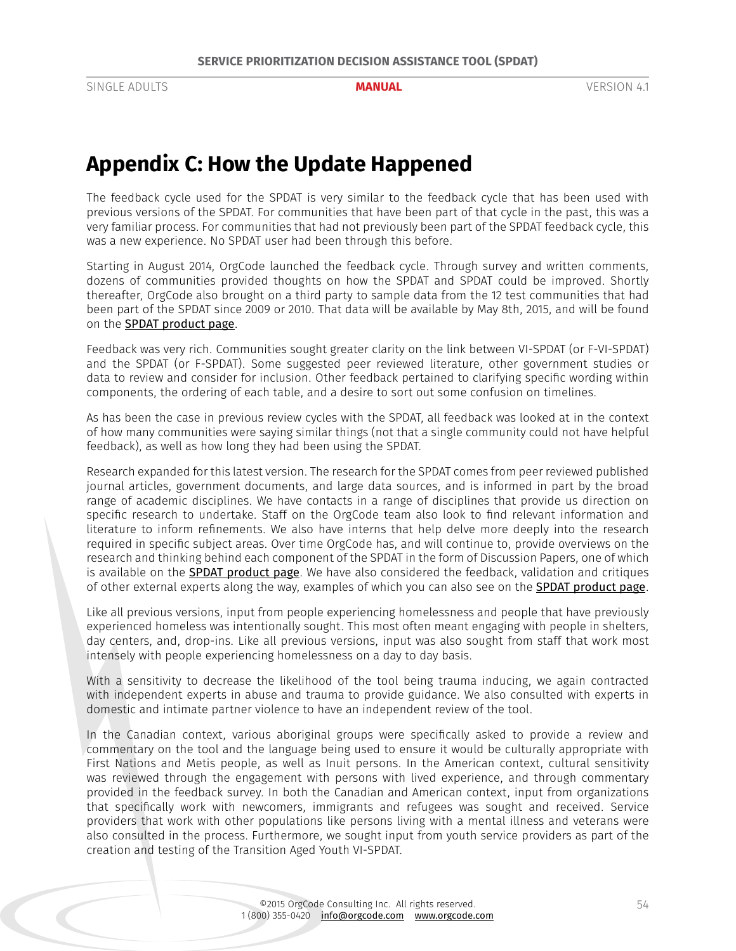# <span id="page-53-0"></span>**Appendix C: How the Update Happened**

The feedback cycle used for the SPDAT is very similar to the feedback cycle that has been used with previous versions of the SPDAT. For communities that have been part of that cycle in the past, this was a very familiar process. For communities that had not previously been part of the SPDAT feedback cycle, this was a new experience. No SPDAT user had been through this before.

Starting in August 2014, OrgCode launched the feedback cycle. Through survey and written comments, dozens of communities provided thoughts on how the SPDAT and SPDAT could be improved. Shortly thereafter, OrgCode also brought on a third party to sample data from the 12 test communities that had been part of the SPDAT since 2009 or 2010. That data will be available by May 8th, 2015, and will be found on the [SPDAT product page](http://www.orgcode.com/product/spdat/).

Feedback was very rich. Communities sought greater clarity on the link between VI-SPDAT (or F-VI-SPDAT) and the SPDAT (or F-SPDAT). Some suggested peer reviewed literature, other government studies or data to review and consider for inclusion. Other feedback pertained to clarifying specific wording within components, the ordering of each table, and a desire to sort out some confusion on timelines.

As has been the case in previous review cycles with the SPDAT, all feedback was looked at in the context of how many communities were saying similar things (not that a single community could not have helpful feedback), as well as how long they had been using the SPDAT.

Research expanded for this latest version. The research for the SPDAT comes from peer reviewed published journal articles, government documents, and large data sources, and is informed in part by the broad range of academic disciplines. We have contacts in a range of disciplines that provide us direction on specific research to undertake. Staff on the OrgCode team also look to find relevant information and literature to inform refinements. We also have interns that help delve more deeply into the research required in specific subject areas. Over time OrgCode has, and will continue to, provide overviews on the research and thinking behind each component of the SPDAT in the form of Discussion Papers, one of which is available on the **[SPDAT product page](http://www.orgcode.com/product/spdat/)**. We have also considered the feedback, validation and critiques of other external experts along the way, examples of which you can also see on the [SPDAT product page](http://www.orgcode.com/product/spdat/).

Like all previous versions, input from people experiencing homelessness and people that have previously experienced homeless was intentionally sought. This most often meant engaging with people in shelters, day centers, and, drop-ins. Like all previous versions, input was also sought from staff that work most intensely with people experiencing homelessness on a day to day basis.

With a sensitivity to decrease the likelihood of the tool being trauma inducing, we again contracted with independent experts in abuse and trauma to provide guidance. We also consulted with experts in domestic and intimate partner violence to have an independent review of the tool.

In the Canadian context, various aboriginal groups were specifically asked to provide a review and commentary on the tool and the language being used to ensure it would be culturally appropriate with First Nations and Metis people, as well as Inuit persons. In the American context, cultural sensitivity was reviewed through the engagement with persons with lived experience, and through commentary provided in the feedback survey. In both the Canadian and American context, input from organizations that specifically work with newcomers, immigrants and refugees was sought and received. Service providers that work with other populations like persons living with a mental illness and veterans were also consulted in the process. Furthermore, we sought input from youth service providers as part of the creation and testing of the Transition Aged Youth VI-SPDAT.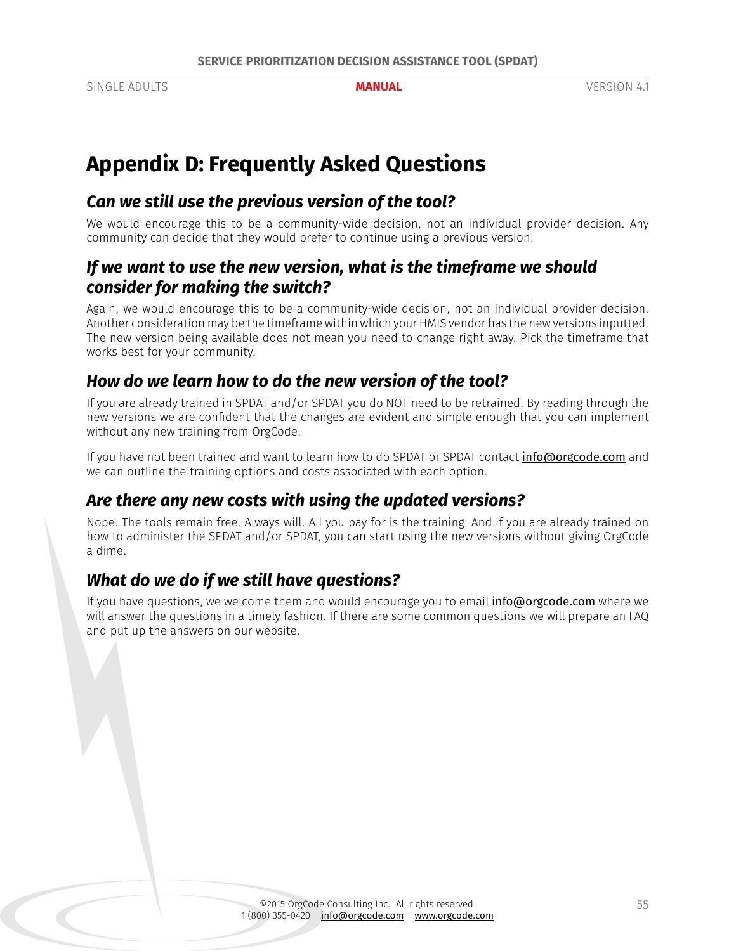# <span id="page-54-0"></span>**Appendix D: Frequently Asked Questions**

# *Can we still use the previous version of the tool?*

We would encourage this to be a community-wide decision, not an individual provider decision. Any community can decide that they would prefer to continue using a previous version.

# *If we want to use the new version, what is the timeframe we should consider for making the switch?*

Again, we would encourage this to be a community-wide decision, not an individual provider decision. Another consideration may be the timeframe within which your HMIS vendor has the new versions inputted. The new version being available does not mean you need to change right away. Pick the timeframe that works best for your community.

# *How do we learn how to do the new version of the tool?*

If you are already trained in SPDAT and/or SPDAT you do NOT need to be retrained. By reading through the new versions we are confident that the changes are evident and simple enough that you can implement without any new training from OrgCode.

If you have not been trained and want to learn how to do SPDAT or SPDAT contact [info@orgcode.com](mailto:info@orgcode.com) and we can outline the training options and costs associated with each option.

# *Are there any new costs with using the updated versions?*

Nope. The tools remain free. Always will. All you pay for is the training. And if you are already trained on how to administer the SPDAT and/or SPDAT, you can start using the new versions without giving OrgCode a dime.

# *What do we do if we still have questions?*

If you have questions, we welcome them and would encourage you to email *[info@orgcode.com](mailto:info@orgcode.com)* where we will answer the questions in a timely fashion. If there are some common questions we will prepare an FAQ and put up the answers on our website.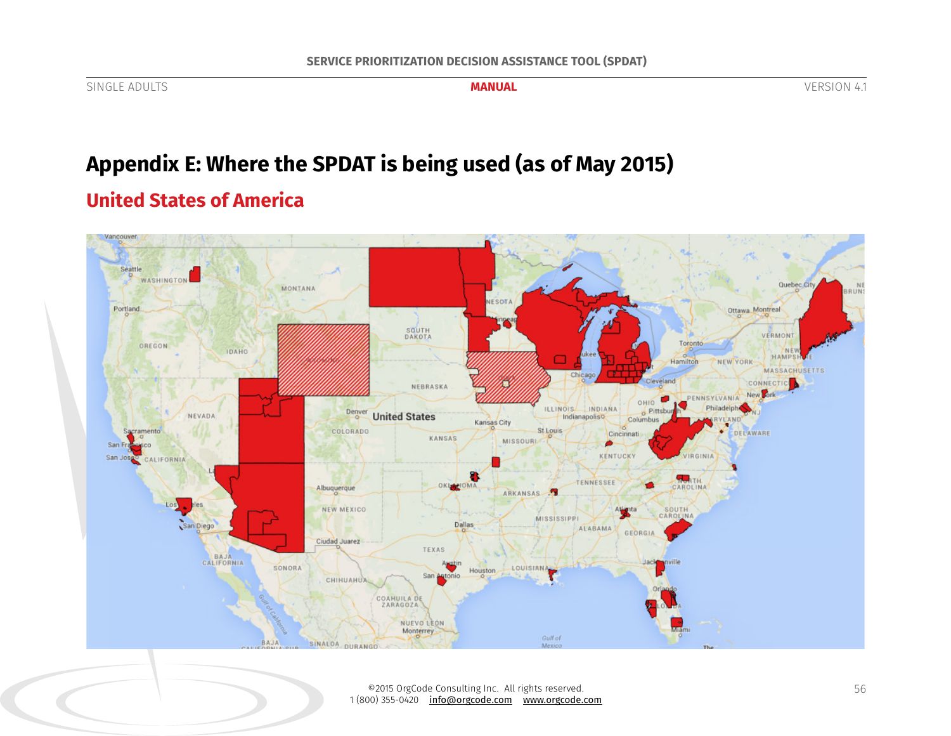SOUTH<br>DAKOTA VERMONT Toronto OREGON IDAHO HAMPS Hamilton NEW YORK **MASSACHUSETTS** Chicago CONNECTIC Cleveland NEBRASKA New **Fork** PENNSYLVANIA OHIO ILLINOIS INDIANA Pittsburg Philadelphi Denver NEVADA **United States** Indianapoliso Columbus Kansas City ramento COLORADO St Louis DELAWARE Cincinnati KANSAS MISSOURL ۵ San Fr co **KENTUCKY IRGINIA** San Jose CALIFORNIA TENNESSEE OKLOMA CAROLINA Albuquerque ARKANSAS Los. NEW MEXICO SOUTH **MISSISSIPPI** San Diego **Dallas ALABAMA** GEORGIA Ciudad Juarez TEXAS BAJA<br>CALIFORNIA In LOUISIANA SONORA Houston San Anto **CHIHUAHUA** COAHUILA DE NUEVO LEÓN Monterrey Gulf of **BAJA** SINALOA DURANGO Mexico

# **United States of America**

Vancouver

Seattle

Portland

WASHINGTON

# **Appendix E: Where the SPDAT is being used (as of May 2015)**

MONTANA

NESOTA

©2015 OrgCode Consulting Inc. All rights reserved. 1 (800) 355-0420 info@orgcode.com www.orgcode.com

<span id="page-55-0"></span>SINGLE ADULTS **MANUAL** VERSION 4.1

Quebec Cit

Ottawa Montreal

RIIN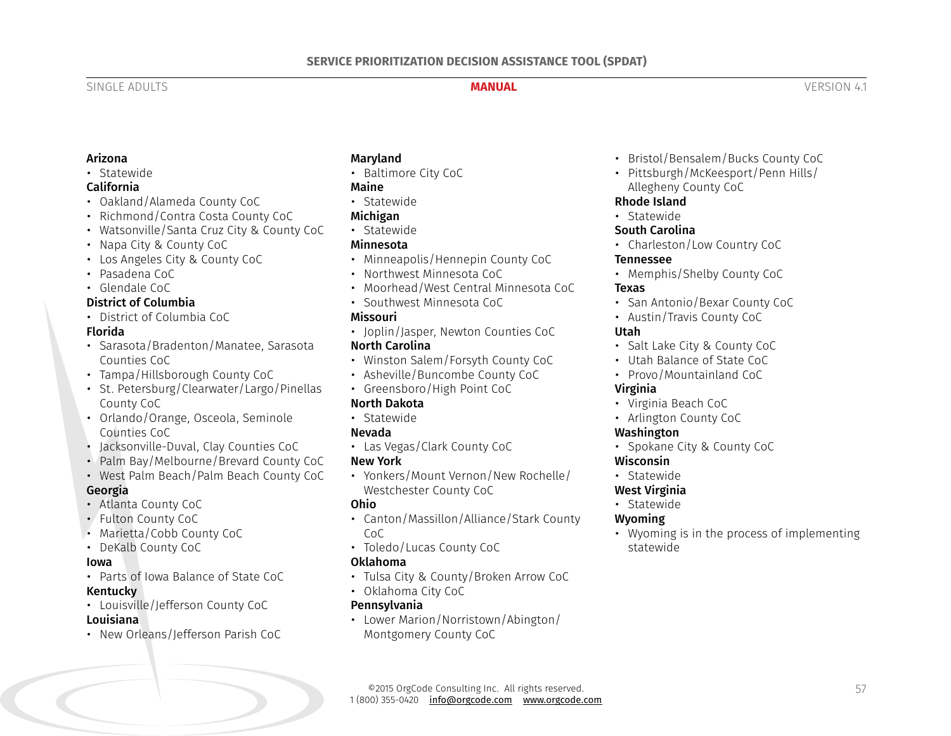#### Arizona

#### • Statewide

#### California

- Oakland/Alameda County CoC
- Richmond/Contra Costa County CoC
- Watsonville/Santa Cruz City & County CoC
- Napa City & County CoC
- Los Angeles City & County CoC
- Pasadena CoC
- Glendale CoC

### District of Columbia

• District of Columbia CoC

#### Florida

- Sarasota/Bradenton/Manatee, Sarasota Counties CoC
- Tampa/Hillsborough County CoC
- St. Petersburg/Clearwater/Largo/Pinellas County CoC
- Orlando/Orange, Osceola, Seminole Counties CoC
- Jacksonville-Duval, Clay Counties CoC
- Palm Bay/Melbourne/Brevard County CoC
- West Palm Beach/Palm Beach County CoC

## Georgia

- Atlanta County CoC
- Fulton County CoC
- Marietta/Cobb County CoC
- DeKalb County CoC

#### Iowa

- Parts of Iowa Balance of State CoC Kentucky
- Louisville/Jefferson County CoC Louisiana
- New Orleans/Jefferson Parish CoC

### **Maryland**

• Baltimore City CoC

#### Maine

• Statewide

#### Michigan

• Statewide

#### Minnesota

- Minneapolis/Hennepin County CoC
- Northwest Minnesota CoC
- Moorhead/West Central Minnesota CoC
- Southwest Minnesota CoC

#### Missouri

• Joplin/Jasper, Newton Counties CoC

### North Carolina

- Winston Salem/Forsyth County CoC
- Asheville/Buncombe County CoC
- Greensboro/High Point CoC

### North Dakota

• Statewide

#### Nevada

• Las Vegas/Clark County CoC

#### New York

• Yonkers/Mount Vernon/New Rochelle/ Westchester County CoC

#### Ohio

- Canton/Massillon/Alliance/Stark County CoC
- Toledo/Lucas County CoC

#### Oklahoma

- Tulsa City & County/Broken Arrow CoC
- Oklahoma City CoC

#### Pennsylvania

• Lower Marion/Norristown/Abington/ Montgomery County CoC

- Bristol/Bensalem/Bucks County CoC
- Pittsburgh/McKeesport/Penn Hills/ Allegheny County CoC

#### Rhode Island

• Statewide

#### South Carolina

• Charleston/Low Country CoC

#### Tennessee

• Memphis/Shelby County CoC

#### Texas

- San Antonio/Bexar County CoC
- Austin/Travis County CoC

#### Utah

- Salt Lake City & County CoC
- Utah Balance of State CoC
- Provo/Mountainland CoC

### Virginia

- Virginia Beach CoC
- Arlington County CoC

#### Washington

• Spokane City & County CoC

#### Wisconsin

- Statewide
- West Virginia
- Statewide

#### Wyoming

• Wyoming is in the process of implementing statewide

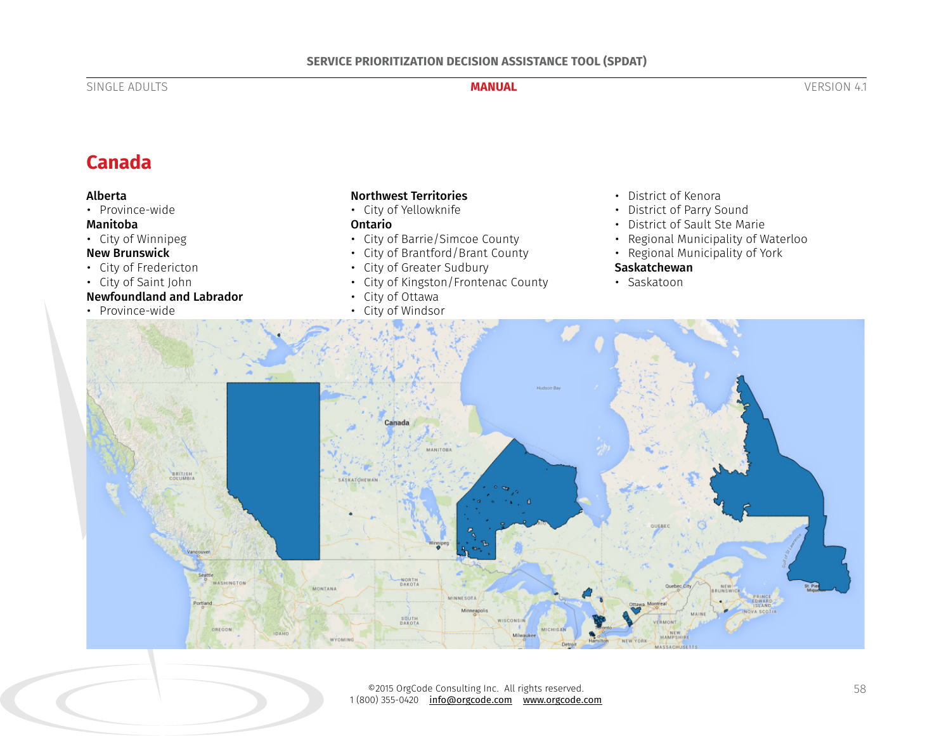# **Canada**

#### Alberta

• Province-wide

#### Manitoba

• City of Winnipeg

#### New Brunswick

- City of Fredericton
- City of Saint John

### Newfoundland and Labrador

• Province-wide

#### Northwest Territories

• City of Yellowknife

#### Ontario

- City of Barrie/Simcoe County
- City of Brantford/Brant County
- City of Greater Sudbury
- City of Kingston/Frontenac County
- City of Ottawa
- City of Windsor
- District of Kenora
- District of Parry Sound
- District of Sault Ste Marie
- Regional Municipality of Waterloo
- Regional Municipality of York

#### **Saskatchewan**

• Saskatoon



©2015 OrgCode Consulting Inc. All rights reserved. 1 (800) 355-0420 <u>info@orgcode.com</u> <u>www.orgcode.com</u>